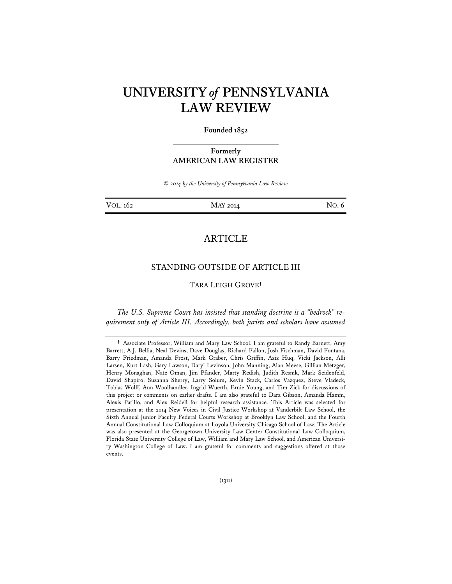# **UNIVERSITY** *of* **PENNSYLVANIA LAW REVIEW**

#### **Founded 1852**

# **Formerly AMERICAN LAW REGISTER**

*© 2014 by the University of Pennsylvania Law Review* 

VOL. 162 MAY 2014 MAY 2014

# ARTICLE

# STANDING OUTSIDE OF ARTICLE III

TARA LEIGH GROVE**†**

*The U.S. Supreme Court has insisted that standing doctrine is a "bedrock" requirement only of Article III. Accordingly, both jurists and scholars have assumed* 

**<sup>†</sup>** Associate Professor, William and Mary Law School. I am grateful to Randy Barnett, Amy Barrett, A.J. Bellia, Neal Devins, Dave Douglas, Richard Fallon, Josh Fischman, David Fontana, Barry Friedman, Amanda Frost, Mark Graber, Chris Griffin, Aziz Huq, Vicki Jackson, Alli Larsen, Kurt Lash, Gary Lawson, Daryl Levinson, John Manning, Alan Meese, Gillian Metzger, Henry Monaghan, Nate Oman, Jim Pfander, Marty Redish, Judith Resnik, Mark Seidenfeld, David Shapiro, Suzanna Sherry, Larry Solum, Kevin Stack, Carlos Vazquez, Steve Vladeck, Tobias Wolff, Ann Woolhandler, Ingrid Wuerth, Ernie Young, and Tim Zick for discussions of this project or comments on earlier drafts. I am also grateful to Dara Gibson, Amanda Hamm, Alexis Patillo, and Alex Reidell for helpful research assistance. This Article was selected for presentation at the 2014 New Voices in Civil Justice Workshop at Vanderbilt Law School, the Sixth Annual Junior Faculty Federal Courts Workshop at Brooklyn Law School, and the Fourth Annual Constitutional Law Colloquium at Loyola University Chicago School of Law. The Article was also presented at the Georgetown University Law Center Constitutional Law Colloquium, Florida State University College of Law, William and Mary Law School, and American University Washington College of Law. I am grateful for comments and suggestions offered at those events.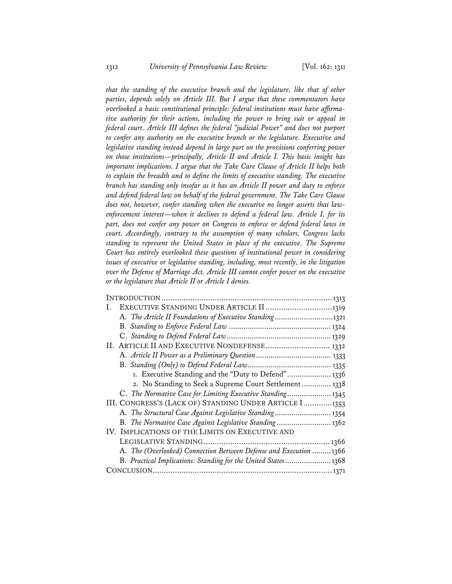*that the standing of the executive branch and the legislature, like that of other parties, depends solely on Article III. But I argue that these commentators have overlooked a basic constitutional principle: federal institutions must have affirmative authority for their actions, including the power to bring suit or appeal in federal court. Article III defines the federal "judicial Power" and does not purport to confer any authority on the executive branch or the legislature. Executive and legislative standing instead depend in large part on the provisions conferring power on those institutions—principally, Article II and Article I. This basic insight has important implications. I argue that the Take Care Clause of Article II helps both to explain the breadth and to define the limits of executive standing. The executive branch has standing only insofar as it has an Article II power and duty to enforce and defend federal law on behalf of the federal government. The Take Care Clause does not, however, confer standing when the executive no longer asserts that lawenforcement interest—when it declines to defend a federal law. Article I, for its part, does not confer any power on Congress to enforce or defend federal laws in court. Accordingly, contrary to the assumption of many scholars, Congress lacks standing to represent the United States in place of the executive. The Supreme Court has entirely overlooked these questions of institutional power in considering issues of executive or legislative standing, including, most recently, in the litigation over the Defense of Marriage Act. Article III cannot confer power on the executive or the legislature that Article II or Article I denies.* 

| EXECUTIVE STANDING UNDER ARTICLE II  1319<br>Ι.                    |
|--------------------------------------------------------------------|
| A. The Article II Foundations of Executive Standing1321            |
|                                                                    |
|                                                                    |
| II. ARTICLE II AND EXECUTIVE NONDEFENSE 1332                       |
|                                                                    |
|                                                                    |
| 1. Executive Standing and the "Duty to Defend" 1336                |
| 2. No Standing to Seek a Supreme Court Settlement  1338            |
| C. The Normative Case for Limiting Executive Standing 1345         |
| III. CONGRESS'S (LACK OF) STANDING UNDER ARTICLE I 1353            |
| A. The Structural Case Against Legislative Standing 1354           |
| B. The Normative Case Against Legislative Standing  1362           |
| IV. IMPLICATIONS OF THE LIMITS ON EXECUTIVE AND                    |
|                                                                    |
| A. The (Overlooked) Connection Between Defense and Execution  1366 |
| B. Practical Implications: Standing for the United States  1368    |
|                                                                    |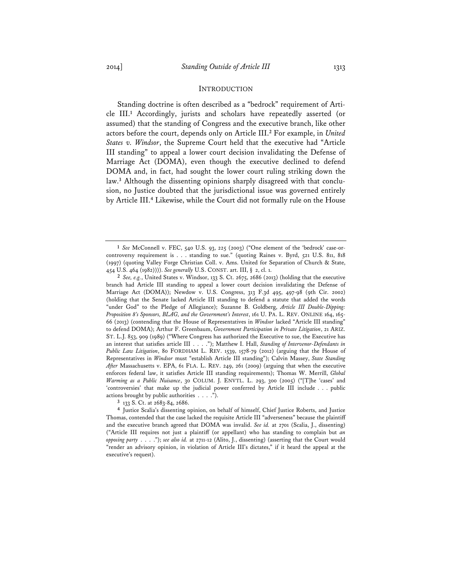Standing doctrine is often described as a "bedrock" requirement of Article III.**<sup>1</sup>** Accordingly, jurists and scholars have repeatedly asserted (or assumed) that the standing of Congress and the executive branch, like other actors before the court, depends only on Article III.**<sup>2</sup>** For example, in *United States v. Windsor*, the Supreme Court held that the executive had "Article III standing" to appeal a lower court decision invalidating the Defense of Marriage Act (DOMA), even though the executive declined to defend DOMA and, in fact, had sought the lower court ruling striking down the law.**3** Although the dissenting opinions sharply disagreed with that conclusion, no Justice doubted that the jurisdictional issue was governed entirely by Article III.**<sup>4</sup>** Likewise, while the Court did not formally rule on the House

**<sup>1</sup>** *See* McConnell v. FEC, 540 U.S. 93, 225 (2003) ("One element of the 'bedrock' case-orcontroversy requirement is . . . standing to sue." (quoting Raines v. Byrd, 521 U.S. 811, 818 (1997) (quoting Valley Forge Christian Coll. v. Ams. United for Separation of Church & State, 454 U.S. 464 (1982)))). *See generally* U.S. CONST. art. III, § 2, cl. 1.

**<sup>2</sup>** *See, e.g.*, United States v. Windsor, 133 S. Ct. 2675, 2686 (2013) (holding that the executive branch had Article III standing to appeal a lower court decision invalidating the Defense of Marriage Act (DOMA)); Newdow v. U.S. Congress, 313 F.3d 495, 497-98 (9th Cir. 2002) (holding that the Senate lacked Article III standing to defend a statute that added the words "under God" to the Pledge of Allegiance); Suzanne B. Goldberg, *Article III Double-Dipping: Proposition 8's Sponsors, BLAG, and the Government's Interest*, 161 U. PA. L. REV. ONLINE 164, 165- 66 (2013) (contending that the House of Representatives in *Windsor* lacked "Article III standing" to defend DOMA); Arthur F. Greenbaum, *Government Participation in Private Litigation*, 21 ARIZ. ST. L.J. 853, 909 (1989) ("Where Congress has authorized the Executive to sue, the Executive has an interest that satisfies article III . . . ."); Matthew I. Hall, *Standing of Intervenor-Defendants in Public Law Litigation*, 80 FORDHAM L. REV. 1539, 1578-79 (2012) (arguing that the House of Representatives in *Windsor* must "establish Article III standing"); Calvin Massey, *State Standing After* Massachusetts v. EPA, 61 FLA. L. REV. 249, 261 (2009) (arguing that when the executive enforces federal law, it satisfies Article III standing requirements); Thomas W. Merrill, *Global Warming as a Public Nuisance*, 30 COLUM. J. ENVTL. L. 293, 300 (2005) ("[T]he 'cases' and 'controversies' that make up the judicial power conferred by Article III include . . . public actions brought by public authorities . . . .").

**<sup>3</sup>** 133 S. Ct. at 2683-84, 2686.

**<sup>4</sup>** Justice Scalia's dissenting opinion, on behalf of himself, Chief Justice Roberts, and Justice Thomas, contended that the case lacked the requisite Article III "adverseness" because the plaintiff and the executive branch agreed that DOMA was invalid. *See id.* at 2701 (Scalia, J., dissenting) ("Article III requires not just a plaintiff (or appellant) who has standing to complain but *an opposing party* . . . ."); *see also id.* at 2711-12 (Alito, J., dissenting) (asserting that the Court would "render an advisory opinion, in violation of Article III's dictates," if it heard the appeal at the executive's request).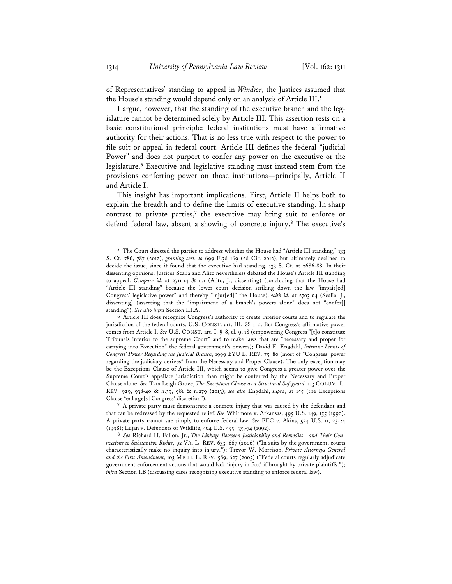of Representatives' standing to appeal in *Windsor*, the Justices assumed that the House's standing would depend only on an analysis of Article III.**<sup>5</sup>**

I argue, however, that the standing of the executive branch and the legislature cannot be determined solely by Article III. This assertion rests on a basic constitutional principle: federal institutions must have affirmative authority for their actions. That is no less true with respect to the power to file suit or appeal in federal court. Article III defines the federal "judicial Power" and does not purport to confer any power on the executive or the legislature.**<sup>6</sup>** Executive and legislative standing must instead stem from the provisions conferring power on those institutions—principally, Article II and Article I.

This insight has important implications. First, Article II helps both to explain the breadth and to define the limits of executive standing. In sharp contrast to private parties,**<sup>7</sup>** the executive may bring suit to enforce or defend federal law, absent a showing of concrete injury.**<sup>8</sup>** The executive's

**<sup>5</sup>** The Court directed the parties to address whether the House had "Article III standing," 133 S. Ct. 786, 787 (2012), *granting cert. to* 699 F.3d 169 (2d Cir. 2012), but ultimately declined to decide the issue, since it found that the executive had standing. 133 S. Ct. at 2686-88. In their dissenting opinions, Justices Scalia and Alito nevertheless debated the House's Article III standing to appeal. *Compare id.* at 2711-14 & n.1 (Alito, J., dissenting) (concluding that the House had "Article III standing" because the lower court decision striking down the law "impair[ed] Congress' legislative power" and thereby "injur[ed]" the House), *with id.* at 2703-04 (Scalia, J., dissenting) (asserting that the "impairment of a branch's powers alone" does not "confer[] standing"). *See also infra* Section III.A.

**<sup>6</sup>** Article III does recognize Congress's authority to create inferior courts and to regulate the jurisdiction of the federal courts. U.S. CONST. art. III, §§ 1–2. But Congress's affirmative power comes from Article I. *See* U.S. CONST. art. I, § 8, cl. 9, 18 (empowering Congress "[t]o constitute Tribunals inferior to the supreme Court" and to make laws that are "necessary and proper for carrying into Execution" the federal government's powers); David E. Engdahl, *Intrinsic Limits of Congress' Power Regarding the Judicial Branch*, 1999 BYU L. REV. 75, 80 (most of "Congress' power regarding the judiciary derives" from the Necessary and Proper Clause). The only exception may be the Exceptions Clause of Article III, which seems to give Congress a greater power over the Supreme Court's appellate jurisdiction than might be conferred by the Necessary and Proper Clause alone. *See* Tara Leigh Grove, *The Exceptions Clause as a Structural Safeguard,* 113 COLUM. L. REV. 929, 938-40 & n.39, 981 & n.279 (2013); *see also* Engdahl, *supra*, at 155 (the Exceptions Clause "enlarge[s] Congress' discretion").

**<sup>7</sup>** A private party must demonstrate a concrete injury that was caused by the defendant and that can be redressed by the requested relief. *See* Whitmore v. Arkansas, 495 U.S. 149, 155 (1990). A private party cannot sue simply to enforce federal law. *See* FEC v. Akins, 524 U.S. 11, 23-24 (1998); Lujan v. Defenders of Wildlife, 504 U.S. 555, 573-74 (1992).

**<sup>8</sup>** *See* Richard H. Fallon, Jr., *The Linkage Between Justiciability and Remedies—and Their Connections to Substantive Rights*, 92 VA. L. REV. 633, 667 (2006) ("In suits by the government, courts characteristically make no inquiry into injury."); Trevor W. Morrison, *Private Attorneys General and the First Amendment*, 103 MICH. L. REV. 589, 627 (2005) ("Federal courts regularly adjudicate government enforcement actions that would lack 'injury in fact' if brought by private plaintiffs."); *infra* Section I.B (discussing cases recognizing executive standing to enforce federal law).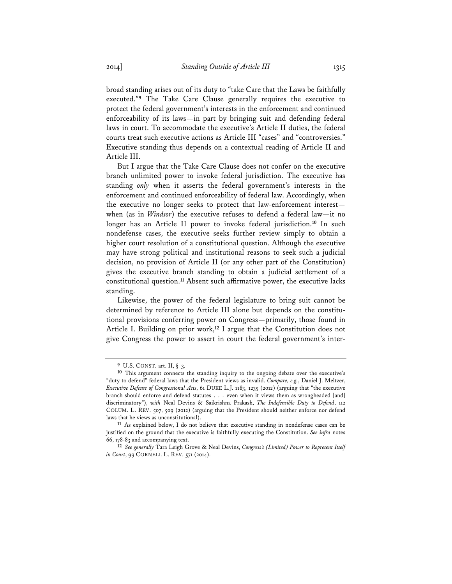broad standing arises out of its duty to "take Care that the Laws be faithfully executed."**<sup>9</sup>** The Take Care Clause generally requires the executive to protect the federal government's interests in the enforcement and continued enforceability of its laws—in part by bringing suit and defending federal laws in court. To accommodate the executive's Article II duties, the federal courts treat such executive actions as Article III "cases" and "controversies." Executive standing thus depends on a contextual reading of Article II and Article III.

But I argue that the Take Care Clause does not confer on the executive branch unlimited power to invoke federal jurisdiction. The executive has standing *only* when it asserts the federal government's interests in the enforcement and continued enforceability of federal law. Accordingly, when the executive no longer seeks to protect that law-enforcement interest when (as in *Windsor*) the executive refuses to defend a federal law—it no longer has an Article II power to invoke federal jurisdiction.**<sup>10</sup>** In such nondefense cases, the executive seeks further review simply to obtain a higher court resolution of a constitutional question. Although the executive may have strong political and institutional reasons to seek such a judicial decision, no provision of Article II (or any other part of the Constitution) gives the executive branch standing to obtain a judicial settlement of a constitutional question.**<sup>11</sup>** Absent such affirmative power, the executive lacks standing.

Likewise, the power of the federal legislature to bring suit cannot be determined by reference to Article III alone but depends on the constitutional provisions conferring power on Congress—primarily, those found in Article I. Building on prior work,**<sup>12</sup>** I argue that the Constitution does not give Congress the power to assert in court the federal government's inter-

**<sup>9</sup>** U.S. CONST. art. II, § 3.

**<sup>10</sup>** This argument connects the standing inquiry to the ongoing debate over the executive's "duty to defend" federal laws that the President views as invalid. *Compare, e.g.*, Daniel J. Meltzer, *Executive Defense of Congressional Acts*, 61 DUKE L.J. 1183, 1235 (2012) (arguing that "the executive branch should enforce and defend statutes . . . even when it views them as wrongheaded [and] discriminatory"), *with* Neal Devins & Saikrishna Prakash, *The Indefensible Duty to Defend*, 112 COLUM. L. REV. 507, 509 (2012) (arguing that the President should neither enforce nor defend laws that he views as unconstitutional).

**<sup>11</sup>** As explained below, I do not believe that executive standing in nondefense cases can be justified on the ground that the executive is faithfully executing the Constitution. *See infra* notes 66, 178-83 and accompanying text.

**<sup>12</sup>** *See generally* Tara Leigh Grove & Neal Devins, *Congress's (Limited) Power to Represent Itself in Court*, 99 CORNELL L. REV. 571 (2014).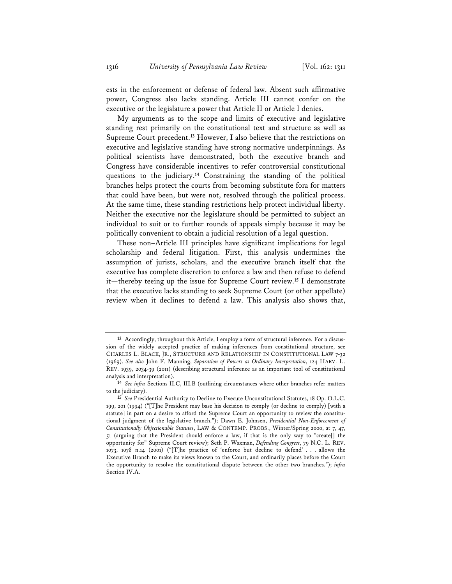ests in the enforcement or defense of federal law. Absent such affirmative power, Congress also lacks standing. Article III cannot confer on the executive or the legislature a power that Article II or Article I denies.

My arguments as to the scope and limits of executive and legislative standing rest primarily on the constitutional text and structure as well as Supreme Court precedent.**<sup>13</sup>** However, I also believe that the restrictions on executive and legislative standing have strong normative underpinnings. As political scientists have demonstrated, both the executive branch and Congress have considerable incentives to refer controversial constitutional questions to the judiciary.**<sup>14</sup>** Constraining the standing of the political branches helps protect the courts from becoming substitute fora for matters that could have been, but were not, resolved through the political process. At the same time, these standing restrictions help protect individual liberty. Neither the executive nor the legislature should be permitted to subject an individual to suit or to further rounds of appeals simply because it may be politically convenient to obtain a judicial resolution of a legal question.

These non–Article III principles have significant implications for legal scholarship and federal litigation. First, this analysis undermines the assumption of jurists, scholars, and the executive branch itself that the executive has complete discretion to enforce a law and then refuse to defend it—thereby teeing up the issue for Supreme Court review.**<sup>15</sup>** I demonstrate that the executive lacks standing to seek Supreme Court (or other appellate) review when it declines to defend a law. This analysis also shows that,

**<sup>13</sup>** Accordingly, throughout this Article, I employ a form of structural inference. For a discussion of the widely accepted practice of making inferences from constitutional structure, see CHARLES L. BLACK, JR., STRUCTURE AND RELATIONSHIP IN CONSTITUTIONAL LAW 7-32 (1969). *See also* John F. Manning, *Separation of Powers as Ordinary Interpretation*, 124 HARV. L. REV. 1939, 2034-39 (2011) (describing structural inference as an important tool of constitutional analysis and interpretation).

**<sup>14</sup>** *See infra* Sections II.C, III.B (outlining circumstances where other branches refer matters to the judiciary).

**<sup>15</sup>** *See* Presidential Authority to Decline to Execute Unconstitutional Statutes, 18 Op. O.L.C. 199, 201 (1994) ("[T]he President may base his decision to comply (or decline to comply) [with a statute] in part on a desire to afford the Supreme Court an opportunity to review the constitutional judgment of the legislative branch."); Dawn E. Johnsen, *Presidential Non-Enforcement of Constitutionally Objectionable Statutes*, LAW & CONTEMP. PROBS., Winter/Spring 2000, at 7, 47, 51 (arguing that the President should enforce a law, if that is the only way to "create[] the opportunity for" Supreme Court review); Seth P. Waxman, *Defending Congress*, 79 N.C. L. REV. 1073, 1078 n.14 (2001) ("[T]he practice of 'enforce but decline to defend' . . . allows the Executive Branch to make its views known to the Court, and ordinarily places before the Court the opportunity to resolve the constitutional dispute between the other two branches."); *infra* Section IV.A.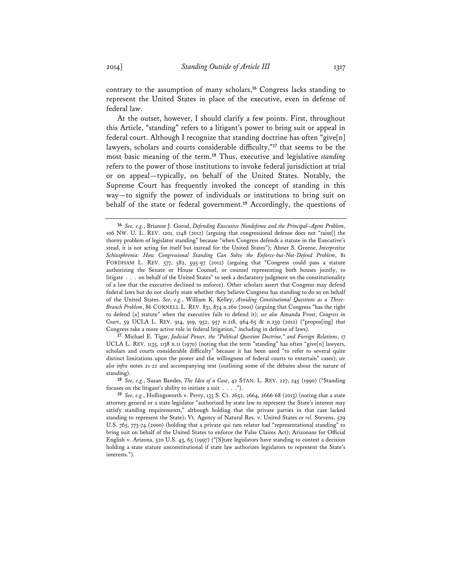contrary to the assumption of many scholars,**<sup>16</sup>** Congress lacks standing to represent the United States in place of the executive, even in defense of federal law.

At the outset, however, I should clarify a few points. First, throughout this Article, "standing" refers to a litigant's power to bring suit or appeal in federal court. Although I recognize that standing doctrine has often "give[n] lawyers, scholars and courts considerable difficulty,"**<sup>17</sup>** that seems to be the most basic meaning of the term.**<sup>18</sup>** Thus, executive and legislative *standing* refers to the power of those institutions to invoke federal jurisdiction at trial or on appeal—typically, on behalf of the United States. Notably, the Supreme Court has frequently invoked the concept of standing in this way—to signify the power of individuals or institutions to bring suit on behalf of the state or federal government.**<sup>19</sup>** Accordingly, the questions of

**17** Michael E. Tigar, *Judicial Power, the "Political Question Doctrine," and Foreign Relations*, 17 UCLA L. REV. 1135, 1138 n.11 (1970) (noting that the term "standing" has often "give[n] lawyers, scholars and courts considerable difficulty" because it has been used "to refer to several quite distinct limitations upon the power and the willingness of federal courts to entertain" cases); *see also infra* notes 21-22 and accompanying text (outlining some of the debates about the nature of standing).

**18** *See, e.g.*, Susan Bandes, *The Idea of a Case*, 42 STAN. L. REV. 227, 245 (1990) ("Standing focuses on the litigant's ability to initiate a suit . . . .").

**19** *See, e.g.*, Hollingsworth v. Perry, 133 S. Ct. 2652, 2664, 2666-68 (2013) (noting that a state attorney general or a state legislator "authorized by state law to represent the State's interest may satisfy standing requirements," although holding that the private parties in that case lacked standing to represent the State); Vt. Agency of Natural Res. v. United States *ex rel.* Stevens, 529 U.S. 765, 773-74 (2000) (holding that a private qui tam relator had "representational standing" to bring suit on behalf of the United States to enforce the False Claims Act); Arizonans for Official English v. Arizona, 520 U.S. 43, 65 (1997) ("[S]tate legislators have standing to contest a decision holding a state statute unconstitutional if state law authorizes legislators to represent the State's interests.").

**<sup>16</sup>** *See, e.g.*, Brianne J. Gorod, *Defending Executive Nondefense and the Principal–Agent Problem*, 106 NW. U. L. REV. 1201, 1248 (2012) (arguing that congressional defense does not "raise[] the thorny problem of legislator standing" because "when Congress defends a statute in the Executive's stead, it is not acting for itself but instead for the United States"); Abner S. Greene, *Interpretive Schizophrenia: How Congressional Standing Can Solve the Enforce-but-Not-Defend Problem*, 81 FORDHAM L. REV. 577, 582, 595-97 (2012) (arguing that "Congress could pass a statute authorizing the Senate or House Counsel, or counsel representing both houses jointly, to litigate . . . on behalf of the United States" to seek a declaratory judgment on the constitutionality of a law that the executive declined to enforce). Other scholars assert that Congress may defend federal laws but do not clearly state whether they believe Congress has standing to do so on behalf of the United States. *See, e.g.*, William K. Kelley, *Avoiding Constitutional Questions as a Three-Branch Problem*, 86 CORNELL L. REV. 831, 874 n.260 (2001) (arguing that Congress "has the right to defend [a] statute" when the executive fails to defend it); *see also* Amanda Frost, *Congress in Court*, 59 UCLA L. REV. 914, 919, 952, 957 n.218, 964-65 & n.239 (2012) ("propos[ing] that Congress take a more active role in federal litigation," including in defense of laws).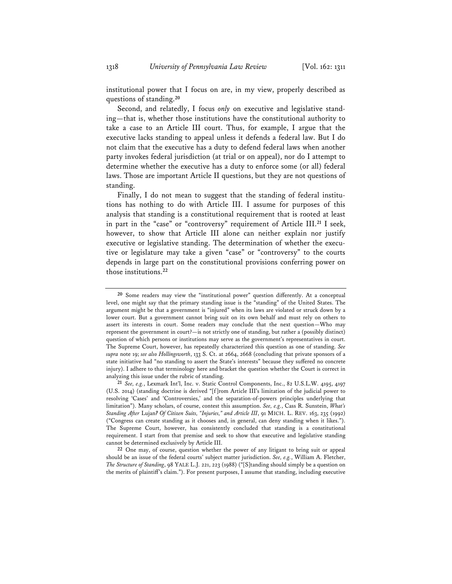institutional power that I focus on are, in my view, properly described as questions of standing.**<sup>20</sup>**

Second, and relatedly, I focus *only* on executive and legislative standing—that is, whether those institutions have the constitutional authority to take a case to an Article III court. Thus, for example, I argue that the executive lacks standing to appeal unless it defends a federal law. But I do not claim that the executive has a duty to defend federal laws when another party invokes federal jurisdiction (at trial or on appeal), nor do I attempt to determine whether the executive has a duty to enforce some (or all) federal laws. Those are important Article II questions, but they are not questions of standing.

Finally, I do not mean to suggest that the standing of federal institutions has nothing to do with Article III. I assume for purposes of this analysis that standing is a constitutional requirement that is rooted at least in part in the "case" or "controversy" requirement of Article III.**<sup>21</sup>** I seek, however, to show that Article III alone can neither explain nor justify executive or legislative standing. The determination of whether the executive or legislature may take a given "case" or "controversy" to the courts depends in large part on the constitutional provisions conferring power on those institutions.**<sup>22</sup>**

**<sup>20</sup>** Some readers may view the "institutional power" question differently. At a conceptual level, one might say that the primary standing issue is the "standing" of the United States. The argument might be that a government is "injured" when its laws are violated or struck down by a lower court. But a government cannot bring suit on its own behalf and must rely on others to assert its interests in court. Some readers may conclude that the next question—Who may represent the government in court?—is not strictly one of standing, but rather a (possibly distinct) question of which persons or institutions may serve as the government's representatives in court. The Supreme Court, however, has repeatedly characterized this question as one of standing. *See supra* note 19; *see also Hollingsworth*, 133 S. Ct. at 2664, 2668 (concluding that private sponsors of a state initiative had "no standing to assert the State's interests" because they suffered no concrete injury). I adhere to that terminology here and bracket the question whether the Court is correct in analyzing this issue under the rubric of standing.

**<sup>21</sup>** *See, e.g.*, Lexmark Int'l, Inc. v. Static Control Components, Inc., 82 U.S.L.W. 4195, 4197 (U.S. 2014) (standing doctrine is derived "[f]rom Article III's limitation of the judicial power to resolving 'Cases' and 'Controversies,' and the separation-of-powers principles underlying that limitation"). Many scholars, of course, contest this assumption. *See, e.g.*, Cass R. Sunstein, *What's Standing After* Lujan*? Of Citizen Suits, "Injuries," and Article III*, 91 MICH. L. REV. 163, 235 (1992) ("Congress can create standing as it chooses and, in general, can deny standing when it likes."). The Supreme Court, however, has consistently concluded that standing is a constitutional requirement. I start from that premise and seek to show that executive and legislative standing cannot be determined exclusively by Article III.

**<sup>22</sup>** One may, of course, question whether the power of any litigant to bring suit or appeal should be an issue of the federal courts' subject matter jurisdiction. *See, e.g.*, William A. Fletcher, *The Structure of Standing*, 98 YALE L.J. 221, 223 (1988) ("[S]tanding should simply be a question on the merits of plaintiff's claim."). For present purposes, I assume that standing, including executive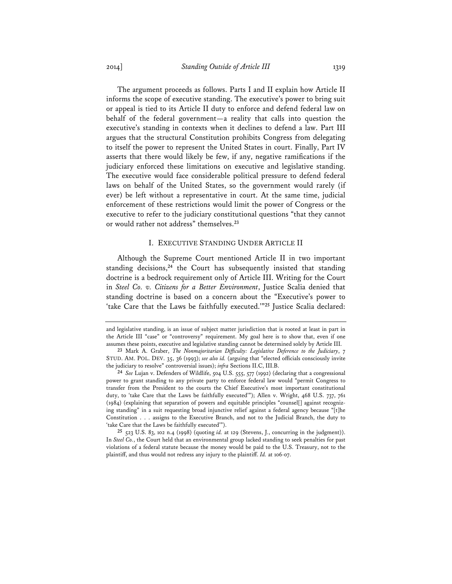The argument proceeds as follows. Parts I and II explain how Article II informs the scope of executive standing. The executive's power to bring suit or appeal is tied to its Article II duty to enforce and defend federal law on behalf of the federal government—a reality that calls into question the executive's standing in contexts when it declines to defend a law. Part III argues that the structural Constitution prohibits Congress from delegating to itself the power to represent the United States in court. Finally, Part IV asserts that there would likely be few, if any, negative ramifications if the judiciary enforced these limitations on executive and legislative standing. The executive would face considerable political pressure to defend federal laws on behalf of the United States, so the government would rarely (if ever) be left without a representative in court. At the same time, judicial enforcement of these restrictions would limit the power of Congress or the executive to refer to the judiciary constitutional questions "that they cannot or would rather not address" themselves.**<sup>23</sup>**

#### I. EXECUTIVE STANDING UNDER ARTICLE II

Although the Supreme Court mentioned Article II in two important standing decisions,**<sup>24</sup>** the Court has subsequently insisted that standing doctrine is a bedrock requirement only of Article III. Writing for the Court in *Steel Co. v. Citizens for a Better Environment*, Justice Scalia denied that standing doctrine is based on a concern about the "Executive's power to 'take Care that the Laws be faithfully executed.'"**<sup>25</sup>** Justice Scalia declared:

**25** 523 U.S. 83, 102 n.4 (1998) (quoting *id.* at 129 (Stevens, J., concurring in the judgment)). In *Steel Co.*, the Court held that an environmental group lacked standing to seek penalties for past violations of a federal statute because the money would be paid to the U.S. Treasury, not to the plaintiff, and thus would not redress any injury to the plaintiff. *Id.* at 106-07.

and legislative standing, is an issue of subject matter jurisdiction that is rooted at least in part in the Article III "case" or "controversy" requirement. My goal here is to show that, even if one assumes these points, executive and legislative standing cannot be determined solely by Article III.

**<sup>23</sup>** Mark A. Graber, *The Nonmajoritarian Difficulty: Legislative Deference to the Judiciary*, 7 STUD. AM. POL. DEV. 35, 36 (1993); *see also id.* (arguing that "elected officials consciously invite the judiciary to resolve" controversial issues); *infra* Sections II.C, III.B.

**<sup>24</sup>** *See* Lujan v. Defenders of Wildlife, 504 U.S. 555, 577 (1992) (declaring that a congressional power to grant standing to any private party to enforce federal law would "permit Congress to transfer from the President to the courts the Chief Executive's most important constitutional duty, to 'take Care that the Laws be faithfully executed'"); Allen v. Wright, 468 U.S. 737, 761 (1984) (explaining that separation of powers and equitable principles "counsel[] against recognizing standing" in a suit requesting broad injunctive relief against a federal agency because "[t]he Constitution . . . assigns to the Executive Branch, and not to the Judicial Branch, the duty to 'take Care that the Laws be faithfully executed'").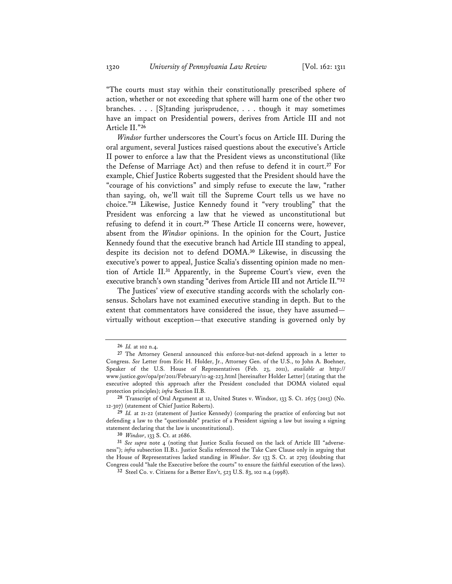"The courts must stay within their constitutionally prescribed sphere of action, whether or not exceeding that sphere will harm one of the other two branches. . . . [S]tanding jurisprudence, . . . though it may sometimes have an impact on Presidential powers, derives from Article III and not Article II."**<sup>26</sup>**

*Windsor* further underscores the Court's focus on Article III. During the oral argument, several Justices raised questions about the executive's Article II power to enforce a law that the President views as unconstitutional (like the Defense of Marriage Act) and then refuse to defend it in court.**<sup>27</sup>** For example, Chief Justice Roberts suggested that the President should have the "courage of his convictions" and simply refuse to execute the law, "rather than saying, oh, we'll wait till the Supreme Court tells us we have no choice."**<sup>28</sup>** Likewise, Justice Kennedy found it "very troubling" that the President was enforcing a law that he viewed as unconstitutional but refusing to defend it in court.**<sup>29</sup>** These Article II concerns were, however, absent from the *Windsor* opinions. In the opinion for the Court, Justice Kennedy found that the executive branch had Article III standing to appeal, despite its decision not to defend DOMA.**<sup>30</sup>** Likewise, in discussing the executive's power to appeal, Justice Scalia's dissenting opinion made no mention of Article II.**<sup>31</sup>** Apparently, in the Supreme Court's view, even the executive branch's own standing "derives from Article III and not Article II."**<sup>32</sup>**

The Justices' view of executive standing accords with the scholarly consensus. Scholars have not examined executive standing in depth. But to the extent that commentators have considered the issue, they have assumed virtually without exception—that executive standing is governed only by

**<sup>26</sup>** *Id.* at 102 n.4.

**<sup>27</sup>** The Attorney General announced this enforce-but-not-defend approach in a letter to Congress. *See* Letter from Eric H. Holder, Jr., Attorney Gen. of the U.S., to John A. Boehner, Speaker of the U.S. House of Representatives (Feb. 23, 2011), *available at* http:// www.justice.gov/opa/pr/2011/February/11-ag-223.html [hereinafter Holder Letter] (stating that the executive adopted this approach after the President concluded that DOMA violated equal protection principles); *infra* Section II.B.

**<sup>28</sup>** Transcript of Oral Argument at 12, United States v. Windsor, 133 S. Ct. 2675 (2013) (No. 12-307) (statement of Chief Justice Roberts).

**<sup>29</sup>** *Id.* at 21-22 (statement of Justice Kennedy) (comparing the practice of enforcing but not defending a law to the "questionable" practice of a President signing a law but issuing a signing statement declaring that the law is unconstitutional).

**<sup>30</sup>** *Windsor*, 133 S. Ct. at 2686.

**<sup>31</sup>** *See supra* note 4 (noting that Justice Scalia focused on the lack of Article III "adverseness"); *infra* subsection II.B.1. Justice Scalia referenced the Take Care Clause only in arguing that the House of Representatives lacked standing in *Windsor*. *See* 133 S. Ct. at 2703 (doubting that Congress could "hale the Executive before the courts" to ensure the faithful execution of the laws).

**<sup>32</sup>** Steel Co. v. Citizens for a Better Env't, 523 U.S. 83, 102 n.4 (1998).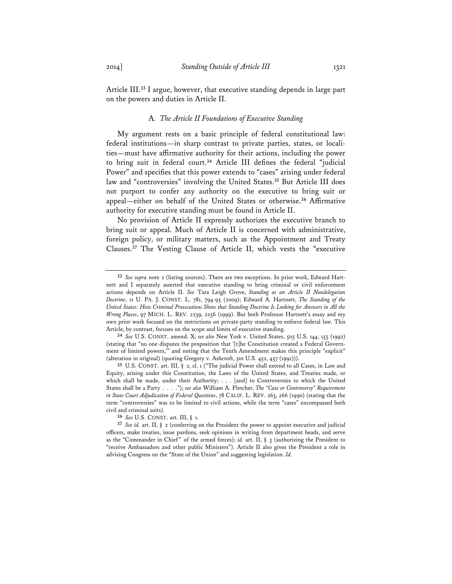Article III.**<sup>33</sup>** I argue, however, that executive standing depends in large part on the powers and duties in Article II.

#### A*. The Article II Foundations of Executive Standing*

My argument rests on a basic principle of federal constitutional law: federal institutions—in sharp contrast to private parties, states, or localities—must have affirmative authority for their actions, including the power to bring suit in federal court.**<sup>34</sup>** Article III defines the federal "judicial Power" and specifies that this power extends to "cases" arising under federal law and "controversies" involving the United States.**<sup>35</sup>** But Article III does not purport to confer any authority on the executive to bring suit or appeal—either on behalf of the United States or otherwise.**<sup>36</sup>** Affirmative authority for executive standing must be found in Article II.

No provision of Article II expressly authorizes the executive branch to bring suit or appeal. Much of Article II is concerned with administrative, foreign policy, or military matters, such as the Appointment and Treaty Clauses.**<sup>37</sup>** The Vesting Clause of Article II, which vests the "executive

**<sup>33</sup>** *See supra* note 2 (listing sources). There are two exceptions. In prior work, Edward Hartnett and I separately asserted that executive standing to bring criminal or civil enforcement actions depends on Article II. *See* Tara Leigh Grove, *Standing as an Article II Nondelegation Doctrine*, 11 U. PA. J. CONST. L. 781, 794-95 (2009); Edward A. Hartnett, *The Standing of the United States: How Criminal Prosecutions Show that Standing Doctrine Is Looking for Answers in All the Wrong Places*, 97 MICH. L. REV. 2239, 2256 (1999). But both Professor Hartnett's essay and my own prior work focused on the restrictions on private-party standing to enforce federal law. This Article, by contrast, focuses on the scope and limits of executive standing.

**<sup>34</sup>** *See* U.S. CONST. amend. X; *see also* New York v. United States, 505 U.S. 144, 155 (1992) (stating that "no one disputes the proposition that '[t]he Constitution created a Federal Government of limited powers,'" and noting that the Tenth Amendment makes this principle "explicit" (alteration in original) (quoting Gregory v. Ashcroft, 501 U.S. 452, 457 (1991))).

**<sup>35</sup>** U.S. CONST. art. III, § 2, cl. 1 ("The judicial Power shall extend to all Cases, in Law and Equity, arising under this Constitution, the Laws of the United States, and Treaties made, or which shall be made, under their Authority; . . . [and] to Controversies to which the United States shall be a Party . . . ."); *see also* William A. Fletcher, *The "Case or Controversy" Requirement in State Court Adjudication of Federal Questions*, 78 CALIF. L. REV. 263, 266 (1990) (stating that the term "controversies" was to be limited to civil actions, while the term "cases" encompassed both civil and criminal suits).

**<sup>36</sup>** *See* U.S. CONST. art. III, § 1.

**<sup>37</sup>** *See id.* art. II, § 2 (conferring on the President the power to appoint executive and judicial officers, make treaties, issue pardons, seek opinions in writing from department heads, and serve as the "Commander in Chief" of the armed forces); *id.* art. II, § 3 (authorizing the President to "receive Ambassadors and other public Ministers"). Article II also gives the President a role in advising Congress on the "State of the Union" and suggesting legislation. *Id.*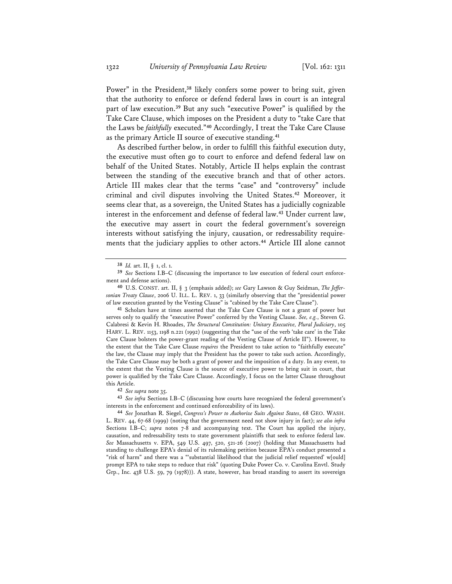Power" in the President,**<sup>38</sup>** likely confers some power to bring suit, given that the authority to enforce or defend federal laws in court is an integral part of law execution.**<sup>39</sup>** But any such "executive Power" is qualified by the Take Care Clause, which imposes on the President a duty to "take Care that the Laws be *faithfully* executed."**<sup>40</sup>** Accordingly, I treat the Take Care Clause as the primary Article II source of executive standing.**<sup>41</sup>**

As described further below, in order to fulfill this faithful execution duty, the executive must often go to court to enforce and defend federal law on behalf of the United States. Notably, Article II helps explain the contrast between the standing of the executive branch and that of other actors. Article III makes clear that the terms "case" and "controversy" include criminal and civil disputes involving the United States.**<sup>42</sup>** Moreover, it seems clear that, as a sovereign, the United States has a judicially cognizable interest in the enforcement and defense of federal law.**<sup>43</sup>** Under current law, the executive may assert in court the federal government's sovereign interests without satisfying the injury, causation, or redressability requirements that the judiciary applies to other actors.**<sup>44</sup>** Article III alone cannot

**41** Scholars have at times asserted that the Take Care Clause is not a grant of power but serves only to qualify the "executive Power" conferred by the Vesting Clause. *See, e.g.*, Steven G. Calabresi & Kevin H. Rhoades, *The Structural Constitution: Unitary Executive, Plural Judiciary*, 105 HARV. L. REV. 1153, 1198 n.221 (1992) (suggesting that the "use of the verb 'take care' in the Take Care Clause bolsters the power-grant reading of the Vesting Clause of Article II"). However, to the extent that the Take Care Clause *requires* the President to take action to "faithfully execute" the law, the Clause may imply that the President has the power to take such action. Accordingly, the Take Care Clause may be both a grant of power and the imposition of a duty. In any event, to the extent that the Vesting Clause is the source of executive power to bring suit in court, that power is qualified by the Take Care Clause. Accordingly, I focus on the latter Clause throughout this Article.

**42** *See supra* note 35.

**43** *See infra* Sections I.B–C (discussing how courts have recognized the federal government's interests in the enforcement and continued enforceability of its laws).

**44** *See* Jonathan R. Siegel, *Congress's Power to Authorize Suits Against States*, 68 GEO. WASH. L. REV. 44, 67-68 (1999) (noting that the government need not show injury in fact); *see also infra* Sections I.B–C; *supra* notes 7-8 and accompanying text. The Court has applied the injury, causation, and redressability tests to state government plaintiffs that seek to enforce federal law. *See* Massachusetts v. EPA, 549 U.S. 497, 520, 521-26 (2007) (holding that Massachusetts had standing to challenge EPA's denial of its rulemaking petition because EPA's conduct presented a "risk of harm" and there was a "'substantial likelihood that the judicial relief requested' w[ould] prompt EPA to take steps to reduce that risk" (quoting Duke Power Co. v. Carolina Envtl. Study Grp., Inc. 438 U.S. 59, 79 (1978))). A state, however, has broad standing to assert its sovereign

**<sup>38</sup>** *Id.* art. II, § 1, cl. 1.

**<sup>39</sup>** *See* Sections I.B–C (discussing the importance to law execution of federal court enforcement and defense actions).

**<sup>40</sup>** U.S. CONST. art. II, § 3 (emphasis added); *see* Gary Lawson & Guy Seidman, *The Jeffersonian Treaty Clause*, 2006 U. ILL. L. REV. 1, 33 (similarly observing that the "presidential power of law execution granted by the Vesting Clause" is "cabined by the Take Care Clause").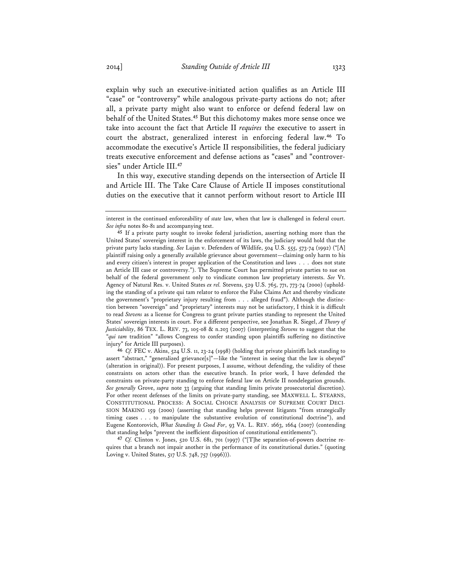explain why such an executive-initiated action qualifies as an Article III "case" or "controversy" while analogous private-party actions do not; after all, a private party might also want to enforce or defend federal law on behalf of the United States.**<sup>45</sup>** But this dichotomy makes more sense once we take into account the fact that Article II *requires* the executive to assert in court the abstract, generalized interest in enforcing federal law.**<sup>46</sup>** To accommodate the executive's Article II responsibilities, the federal judiciary treats executive enforcement and defense actions as "cases" and "controversies" under Article III.**<sup>47</sup>**

In this way, executive standing depends on the intersection of Article II and Article III. The Take Care Clause of Article II imposes constitutional duties on the executive that it cannot perform without resort to Article III

**46** *Cf.* FEC v. Akins, 524 U.S. 11, 23-24 (1998) (holding that private plaintiffs lack standing to assert "abstract," "generalized grievance[s]"—like the "interest in seeing that the law is obeyed" (alteration in original)). For present purposes, I assume, without defending, the validity of these constraints on actors other than the executive branch. In prior work, I have defended the constraints on private-party standing to enforce federal law on Article II nondelegation grounds. *See generally* Grove, *supra* note 33 (arguing that standing limits private prosecutorial discretion). For other recent defenses of the limits on private-party standing, see MAXWELL L. STEARNS, CONSTITUTIONAL PROCESS: A SOCIAL CHOICE ANALYSIS OF SUPREME COURT DECI-SION MAKING 159 (2000) (asserting that standing helps prevent litigants "from strategically timing cases . . . to manipulate the substantive evolution of constitutional doctrine"), and Eugene Kontorovich, *What Standing Is Good For*, 93 VA. L. REV. 1663, 1664 (2007) (contending that standing helps "prevent the inefficient disposition of constitutional entitlements").

**47** *Cf.* Clinton v. Jones, 520 U.S. 681, 701 (1997) ("[T]he separation-of-powers doctrine requires that a branch not impair another in the performance of its constitutional duties." (quoting Loving v. United States, 517 U.S. 748, 757 (1996))).

interest in the continued enforceability of *state* law, when that law is challenged in federal court. *See infra* notes 80-81 and accompanying text.

**<sup>45</sup>** If a private party sought to invoke federal jurisdiction, asserting nothing more than the United States' sovereign interest in the enforcement of its laws, the judiciary would hold that the private party lacks standing. *See* Lujan v. Defenders of Wildlife, 504 U.S. 555, 573-74 (1992) ("[A] plaintiff raising only a generally available grievance about government—claiming only harm to his and every citizen's interest in proper application of the Constitution and laws . . . does not state an Article III case or controversy."). The Supreme Court has permitted private parties to sue on behalf of the federal government only to vindicate common law proprietary interests. *See* Vt. Agency of Natural Res. v. United States *ex rel.* Stevens, 529 U.S. 765, 771, 773-74 (2000) (upholding the standing of a private qui tam relator to enforce the False Claims Act and thereby vindicate the government's "proprietary injury resulting from . . . alleged fraud"). Although the distinction between "sovereign" and "proprietary" interests may not be satisfactory, I think it is difficult to read *Stevens* as a license for Congress to grant private parties standing to represent the United States' sovereign interests in court. For a different perspective, see Jonathan R. Siegel, *A Theory of Justiciability*, 86 TEX. L. REV. 73, 105-08 & n.203 (2007) (interpreting *Stevens* to suggest that the "*qui tam* tradition" "allows Congress to confer standing upon plaintiffs suffering no distinctive injury" for Article III purposes).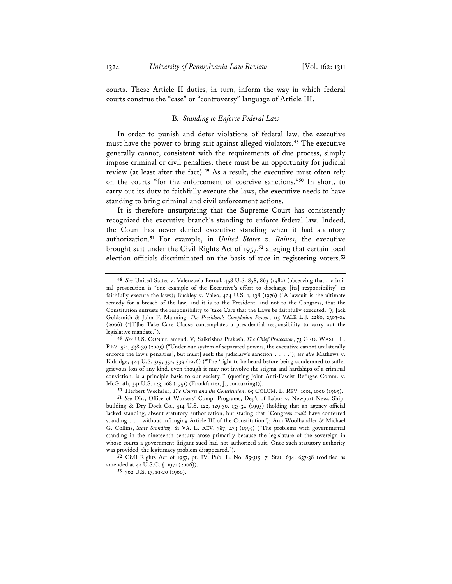courts. These Article II duties, in turn, inform the way in which federal courts construe the "case" or "controversy" language of Article III.

# B*. Standing to Enforce Federal Law*

In order to punish and deter violations of federal law, the executive must have the power to bring suit against alleged violators.**<sup>48</sup>** The executive generally cannot, consistent with the requirements of due process, simply impose criminal or civil penalties; there must be an opportunity for judicial review (at least after the fact).**<sup>49</sup>** As a result, the executive must often rely on the courts "for the enforcement of coercive sanctions."**<sup>50</sup>** In short, to carry out its duty to faithfully execute the laws, the executive needs to have standing to bring criminal and civil enforcement actions.

It is therefore unsurprising that the Supreme Court has consistently recognized the executive branch's standing to enforce federal law. Indeed, the Court has never denied executive standing when it had statutory authorization.**<sup>51</sup>** For example, in *United States v. Raines*, the executive brought suit under the Civil Rights Act of 1957,**<sup>52</sup>** alleging that certain local election officials discriminated on the basis of race in registering voters.**<sup>53</sup>**

**<sup>48</sup>** *See* United States v. Valenzuela-Bernal, 458 U.S. 858, 863 (1982) (observing that a criminal prosecution is "one example of the Executive's effort to discharge [its] responsibility" to faithfully execute the laws); Buckley v. Valeo, 424 U.S. 1, 138 (1976) ("A lawsuit is the ultimate remedy for a breach of the law, and it is to the President, and not to the Congress, that the Constitution entrusts the responsibility to 'take Care that the Laws be faithfully executed.'"); Jack Goldsmith & John F. Manning, *The President's Completion Power*, 115 YALE L.J. 2280, 2303-04 (2006) ("[T]he Take Care Clause contemplates a presidential responsibility to carry out the legislative mandate.").

**<sup>49</sup>** *See* U.S. CONST. amend. V; Saikrishna Prakash, *The Chief Prosecutor*, 73 GEO. WASH. L. REV. 521, 538-39 (2005) ("Under our system of separated powers, the executive cannot unilaterally enforce the law's penalties[, but must] seek the judiciary's sanction . . . ."); *see also* Mathews v. Eldridge, 424 U.S. 319, 332, 339 (1976) ("The 'right to be heard before being condemned to suffer grievous loss of any kind, even though it may not involve the stigma and hardships of a criminal conviction, is a principle basic to our society.'" (quoting Joint Anti-Fascist Refugee Comm. v. McGrath, 341 U.S. 123, 168 (1951) (Frankfurter, J., concurring))).

**<sup>50</sup>** Herbert Wechsler, *The Courts and the Constitution*, 65 COLUM. L. REV. 1001, 1006 (1965).

**<sup>51</sup>** *See* Dir., Office of Workers' Comp. Programs, Dep't of Labor v. Newport News Shipbuilding & Dry Dock Co., 514 U.S. 122, 129-30, 133-34 (1995) (holding that an agency official lacked standing, absent statutory authorization, but stating that "Congress *could* have conferred standing . . . without infringing Article III of the Constitution"); Ann Woolhandler & Michael G. Collins, *State Standing*, 81 VA. L. REV. 387, 473 (1995) ("The problems with governmental standing in the nineteenth century arose primarily because the legislature of the sovereign in whose courts a government litigant sued had not authorized suit. Once such statutory authority was provided, the legitimacy problem disappeared.").

**<sup>52</sup>** Civil Rights Act of 1957, pt. IV, Pub. L. No. 85-315, 71 Stat. 634, 637-38 (codified as amended at 42 U.S.C. § 1971 (2006)).

**<sup>53</sup>** 362 U.S. 17, 19-20 (1960).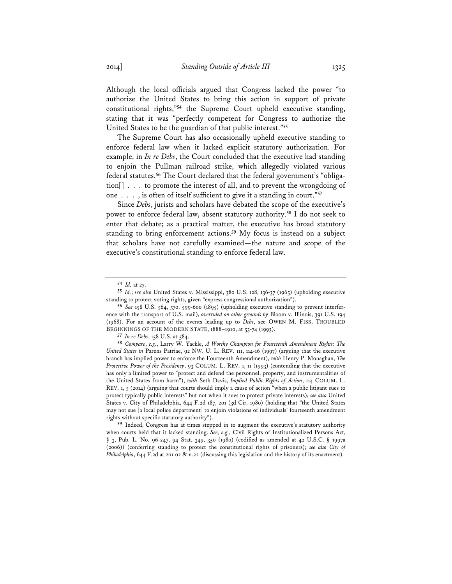Although the local officials argued that Congress lacked the power "to authorize the United States to bring this action in support of private constitutional rights,"**<sup>54</sup>** the Supreme Court upheld executive standing, stating that it was "perfectly competent for Congress to authorize the United States to be the guardian of that public interest."**<sup>55</sup>**

The Supreme Court has also occasionally upheld executive standing to enforce federal law when it lacked explicit statutory authorization. For example, in *In re Debs*, the Court concluded that the executive had standing to enjoin the Pullman railroad strike, which allegedly violated various federal statutes.**56** The Court declared that the federal government's "obligation[] . . . to promote the interest of all, and to prevent the wrongdoing of one . . . , is often of itself sufficient to give it a standing in court."**<sup>57</sup>**

Since *Debs*, jurists and scholars have debated the scope of the executive's power to enforce federal law, absent statutory authority.**<sup>58</sup>** I do not seek to enter that debate; as a practical matter, the executive has broad statutory standing to bring enforcement actions.**<sup>59</sup>** My focus is instead on a subject that scholars have not carefully examined—the nature and scope of the executive's constitutional standing to enforce federal law.

**59** Indeed, Congress has at times stepped in to augment the executive's statutory authority when courts held that it lacked standing. *See, e.g.*, Civil Rights of Institutionalized Persons Act, § 3, Pub. L. No. 96-247, 94 Stat. 349, 350 (1980) (codified as amended at 42 U.S.C. § 1997a (2006)) (conferring standing to protect the constitutional rights of prisoners); *see also City of Philadelphia*, 644 F.2d at 201-02 & n.22 (discussing this legislation and the history of its enactment).

**<sup>54</sup>** *Id.* at 27.

**<sup>55</sup>** *Id.*; *see also* United States v. Mississippi, 380 U.S. 128, 136-37 (1965) (upholding executive standing to protect voting rights, given "express congressional authorization").

**<sup>56</sup>** *See* 158 U.S. 564, 570, 599-600 (1895) (upholding executive standing to prevent interference with the transport of U.S. mail), *overruled on other grounds by* Bloom v. Illinois, 391 U.S. 194 (1968). For an account of the events leading up to *Debs*, see OWEN M. FISS, TROUBLED BEGINNINGS OF THE MODERN STATE, 1888–1910, at 53-74 (1993).

**<sup>57</sup>** *In re Debs*, 158 U.S. at 584.

**<sup>58</sup>** *Compare*, *e.g.*, Larry W. Yackle, *A Worthy Champion for Fourteenth Amendment Rights: The United States in* Parens Patriae, 92 NW. U. L. REV. 111, 114-16 (1997) (arguing that the executive branch has implied power to enforce the Fourteenth Amendment), *with* Henry P. Monaghan, *The Protective Power of the Presidency*, 93 COLUM. L. REV. 1, 11 (1993) (contending that the executive has only a limited power to "protect and defend the personnel, property, and instrumentalities of the United States from harm"), *with* Seth Davis, *Implied Public Rights of Action*, 114 COLUM. L. REV. 1, 5 (2014) (arguing that courts should imply a cause of action "when a public litigant sues to protect typically public interests" but not when it sues to protect private interests); *see also* United States v. City of Philadelphia, 644 F.2d 187, 201 (3d Cir. 1980) (holding that "the United States may not sue [a local police department] to enjoin violations of individuals' fourteenth amendment rights without specific statutory authority").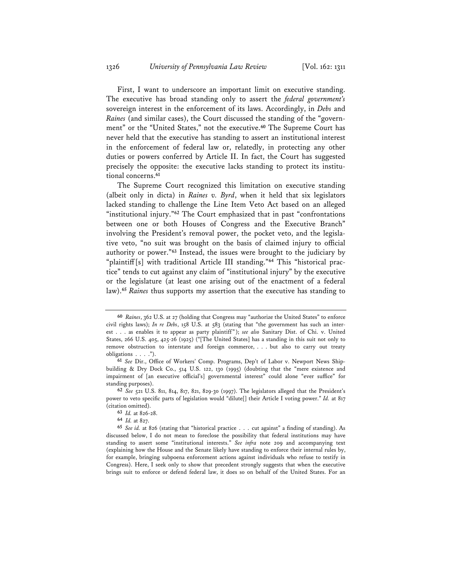First, I want to underscore an important limit on executive standing. The executive has broad standing only to assert the *federal government's* sovereign interest in the enforcement of its laws. Accordingly, in *Debs* and *Raines* (and similar cases), the Court discussed the standing of the "government" or the "United States," not the executive.**<sup>60</sup>** The Supreme Court has never held that the executive has standing to assert an institutional interest in the enforcement of federal law or, relatedly, in protecting any other duties or powers conferred by Article II. In fact, the Court has suggested precisely the opposite: the executive lacks standing to protect its institutional concerns.**<sup>61</sup>**

The Supreme Court recognized this limitation on executive standing (albeit only in dicta) in *Raines v. Byrd*, when it held that six legislators lacked standing to challenge the Line Item Veto Act based on an alleged "institutional injury."**<sup>62</sup>** The Court emphasized that in past "confrontations between one or both Houses of Congress and the Executive Branch" involving the President's removal power, the pocket veto, and the legislative veto, "no suit was brought on the basis of claimed injury to official authority or power."**<sup>63</sup>** Instead, the issues were brought to the judiciary by "plaintiff [s] with traditional Article III standing."**<sup>64</sup>** This "historical practice" tends to cut against any claim of "institutional injury" by the executive or the legislature (at least one arising out of the enactment of a federal law).**<sup>65</sup>** *Raines* thus supports my assertion that the executive has standing to

**<sup>60</sup>** *Raines*, 362 U.S. at 27 (holding that Congress may "authorize the United States" to enforce civil rights laws); *In re Debs*, 158 U.S. at 583 (stating that "the government has such an interest . . . as enables it to appear as party plaintiff"); *see also* Sanitary Dist. of Chi. v. United States, 266 U.S. 405, 425-26 (1925) ("[The United States] has a standing in this suit not only to remove obstruction to interstate and foreign commerce, . . . but also to carry out treaty obligations . . . .").

**<sup>61</sup>** *See* Dir., Office of Workers' Comp. Programs, Dep't of Labor v. Newport News Shipbuilding & Dry Dock Co., 514 U.S. 122, 130 (1995) (doubting that the "mere existence and impairment of [an executive official's] governmental interest" could alone "ever suffice" for standing purposes).

**<sup>62</sup>** *See* 521 U.S. 811, 814, 817, 821, 829-30 (1997). The legislators alleged that the President's power to veto specific parts of legislation would "dilute[] their Article I voting power." *Id.* at 817 (citation omitted).

**<sup>63</sup>** *Id.* at 826-28.

**<sup>64</sup>** *Id.* at 827.

**<sup>65</sup>** *See id.* at 826 (stating that "historical practice . . . cut against" a finding of standing). As discussed below, I do not mean to foreclose the possibility that federal institutions may have standing to assert some "institutional interests." *See infra* note 209 and accompanying text (explaining how the House and the Senate likely have standing to enforce their internal rules by, for example, bringing subpoena enforcement actions against individuals who refuse to testify in Congress). Here, I seek only to show that precedent strongly suggests that when the executive brings suit to enforce or defend federal law, it does so on behalf of the United States. For an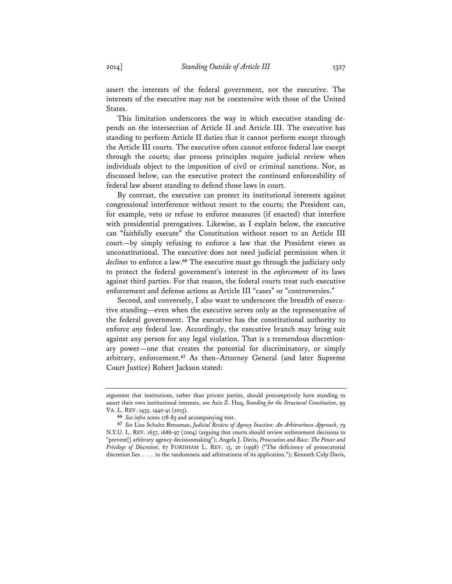assert the interests of the federal government, not the executive. The interests of the executive may not be coextensive with those of the United States.

This limitation underscores the way in which executive standing depends on the intersection of Article II and Article III. The executive has standing to perform Article II duties that it cannot perform except through the Article III courts. The executive often cannot enforce federal law except through the courts; due process principles require judicial review when individuals object to the imposition of civil or criminal sanctions. Nor, as discussed below, can the executive protect the continued enforceability of federal law absent standing to defend those laws in court.

By contrast, the executive can protect its institutional interests against congressional interference without resort to the courts; the President can, for example, veto or refuse to enforce measures (if enacted) that interfere with presidential prerogatives. Likewise, as I explain below, the executive can "faithfully execute" the Constitution without resort to an Article III court—by simply refusing to enforce a law that the President views as unconstitutional. The executive does not need judicial permission when it *declines* to enforce a law.**<sup>66</sup>** The executive must go through the judiciary only to protect the federal government's interest in the *enforcement* of its laws against third parties. For that reason, the federal courts treat such executive enforcement and defense actions as Article III "cases" or "controversies."

Second, and conversely, I also want to underscore the breadth of executive standing—even when the executive serves only as the representative of the federal government. The executive has the constitutional authority to enforce *any* federal law. Accordingly, the executive branch may bring suit against any person for any legal violation. That is a tremendous discretionary power—one that creates the potential for discriminatory, or simply arbitrary, enforcement.**<sup>67</sup>** As then–Attorney General (and later Supreme Court Justice) Robert Jackson stated:

argument that institutions, rather than private parties, should presumptively have standing to assert their own institutional interests, see Aziz Z. Huq, *Standing for the Structural Constitution*, 99 VA. L. REV. 1435, 1440-41 (2013).

**<sup>66</sup>** *See infra* notes 178-83 and accompanying text.

**<sup>67</sup>** *See* Lisa Schultz Bressman, *Judicial Review of Agency Inaction: An Arbitrariness Approach*, 79 N.Y.U. L. REV. 1657, 1686-97 (2004) (arguing that courts should review enforcement decisions to "prevent[] arbitrary agency decisionmaking"); Angela J. Davis, *Prosecution and Race: The Power and Privilege of Discretion*, 67 FORDHAM L. REV. 13, 20 (1998) ("The deficiency of prosecutorial discretion lies . . . in the randomness and arbitrariness of its application."); Kenneth Culp Davis,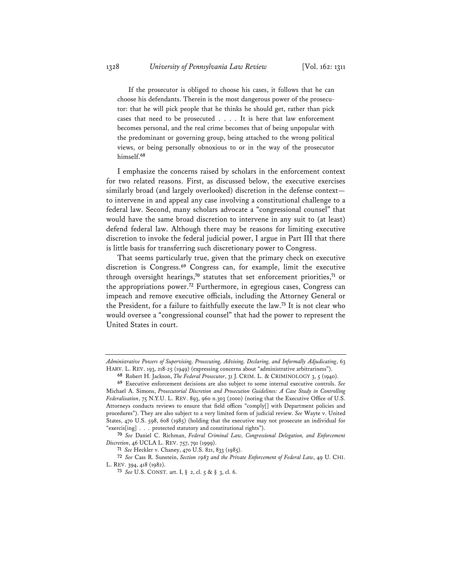If the prosecutor is obliged to choose his cases, it follows that he can choose his defendants. Therein is the most dangerous power of the prosecutor: that he will pick people that he thinks he should get, rather than pick cases that need to be prosecuted . . . . It is here that law enforcement becomes personal, and the real crime becomes that of being unpopular with the predominant or governing group, being attached to the wrong political views, or being personally obnoxious to or in the way of the prosecutor himself.**<sup>68</sup>**

I emphasize the concerns raised by scholars in the enforcement context for two related reasons. First, as discussed below, the executive exercises similarly broad (and largely overlooked) discretion in the defense context to intervene in and appeal any case involving a constitutional challenge to a federal law. Second, many scholars advocate a "congressional counsel" that would have the same broad discretion to intervene in any suit to (at least) defend federal law. Although there may be reasons for limiting executive discretion to invoke the federal judicial power, I argue in Part III that there is little basis for transferring such discretionary power to Congress.

That seems particularly true, given that the primary check on executive discretion is Congress.**<sup>69</sup>** Congress can, for example, limit the executive through oversight hearings,**<sup>70</sup>** statutes that set enforcement priorities,**<sup>71</sup>** or the appropriations power.**<sup>72</sup>** Furthermore, in egregious cases, Congress can impeach and remove executive officials, including the Attorney General or the President, for a failure to faithfully execute the law.**<sup>73</sup>** It is not clear who would oversee a "congressional counsel" that had the power to represent the United States in court.

*Administrative Powers of Supervising, Prosecuting, Advising, Declaring, and Informally Adjudicating*, 63 HARV. L. REV. 193, 218-25 (1949) (expressing concerns about "administrative arbitrariness").

**<sup>68</sup>** Robert H. Jackson, *The Federal Prosecutor*, 31 J. CRIM. L. & CRIMINOLOGY 3, 5 (1940).

**<sup>69</sup>** Executive enforcement decisions are also subject to some internal executive controls. *See* Michael A. Simons, *Prosecutorial Discretion and Prosecution Guidelines: A Case Study in Controlling Federalization*, 75 N.Y.U. L. REV. 893, 960 n.303 (2000) (noting that the Executive Office of U.S. Attorneys conducts reviews to ensure that field offices "comply[] with Department policies and procedures"). They are also subject to a very limited form of judicial review. *See* Wayte v. United States, 470 U.S. 598, 608 (1985) (holding that the executive may not prosecute an individual for "exercis[ing] . . . protected statutory and constitutional rights").

**<sup>70</sup>** *See* Daniel C. Richman, *Federal Criminal Law, Congressional Delegation, and Enforcement Discretion*, 46 UCLA L. REV. 757, 791 (1999).

**<sup>71</sup>** *See* Heckler v. Chaney, 470 U.S. 821, 833 (1985).

**<sup>72</sup>** *See* Cass R. Sunstein, *Section 1983 and the Private Enforcement of Federal Law*, 49 U. CHI. L. REV. 394, 418 (1982).

**<sup>73</sup>** *See* U.S. CONST. art. I, § 2, cl. 5 & § 3, cl. 6.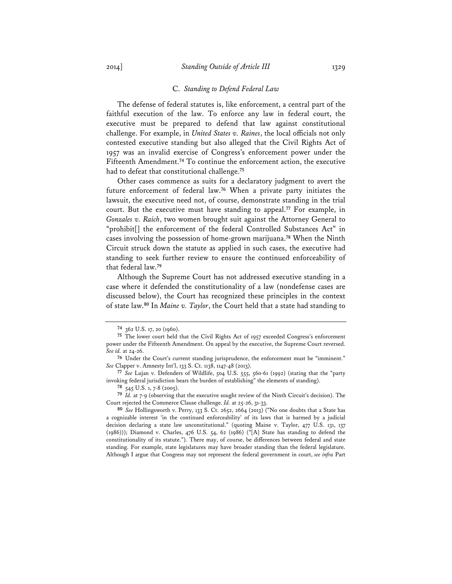#### C. *Standing to Defend Federal Law*

The defense of federal statutes is, like enforcement, a central part of the faithful execution of the law. To enforce any law in federal court, the executive must be prepared to defend that law against constitutional challenge. For example, in *United States v. Raines*, the local officials not only contested executive standing but also alleged that the Civil Rights Act of 1957 was an invalid exercise of Congress's enforcement power under the Fifteenth Amendment.**<sup>74</sup>** To continue the enforcement action, the executive had to defeat that constitutional challenge.**<sup>75</sup>**

Other cases commence as suits for a declaratory judgment to avert the future enforcement of federal law.**<sup>76</sup>** When a private party initiates the lawsuit, the executive need not, of course, demonstrate standing in the trial court. But the executive must have standing to appeal.**<sup>77</sup>** For example, in *Gonzales v. Raich*, two women brought suit against the Attorney General to "prohibit[] the enforcement of the federal Controlled Substances Act" in cases involving the possession of home-grown marijuana.**<sup>78</sup>** When the Ninth Circuit struck down the statute as applied in such cases, the executive had standing to seek further review to ensure the continued enforceability of that federal law.**<sup>79</sup>**

Although the Supreme Court has not addressed executive standing in a case where it defended the constitutionality of a law (nondefense cases are discussed below), the Court has recognized these principles in the context of state law.**<sup>80</sup>** In *Maine v. Taylor*, the Court held that a state had standing to

**<sup>74</sup>** 362 U.S. 17, 20 (1960).

**<sup>75</sup>** The lower court held that the Civil Rights Act of 1957 exceeded Congress's enforcement power under the Fifteenth Amendment. On appeal by the executive, the Supreme Court reversed. *See id.* at 24-26.

**<sup>76</sup>** Under the Court's current standing jurisprudence, the enforcement must be "imminent." *See* Clapper v. Amnesty Int'l, 133 S. Ct. 1138, 1147-48 (2013).

**<sup>77</sup>** *See* Lujan v. Defenders of Wildlife, 504 U.S. 555, 560-61 (1992) (stating that the "party invoking federal jurisdiction bears the burden of establishing" the elements of standing).

**<sup>78</sup>** 545 U.S. 1, 7-8 (2005).

**<sup>79</sup>** *Id.* at 7-9 (observing that the executive sought review of the Ninth Circuit's decision). The Court rejected the Commerce Clause challenge. *Id.* at 25-26, 31-33.

**<sup>80</sup>** *See* Hollingsworth v. Perry, 133 S. Ct. 2652, 2664 (2013) ("No one doubts that a State has a cognizable interest 'in the continued enforceability' of its laws that is harmed by a judicial decision declaring a state law unconstitutional." (quoting Maine v. Taylor, 477 U.S. 131, 137 (1986))); Diamond v. Charles, 476 U.S. 54, 62 (1986) ("[A] State has standing to defend the constitutionality of its statute."). There may, of course, be differences between federal and state standing. For example, state legislatures may have broader standing than the federal legislature. Although I argue that Congress may not represent the federal government in court, *see infra* Part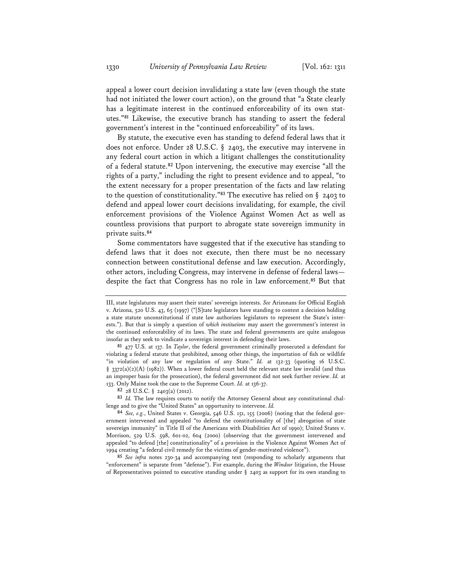appeal a lower court decision invalidating a state law (even though the state had not initiated the lower court action), on the ground that "a State clearly has a legitimate interest in the continued enforceability of its own statutes."**<sup>81</sup>** Likewise, the executive branch has standing to assert the federal government's interest in the "continued enforceability" of its laws.

By statute, the executive even has standing to defend federal laws that it does not enforce. Under 28 U.S.C. § 2403, the executive may intervene in any federal court action in which a litigant challenges the constitutionality of a federal statute.**<sup>82</sup>** Upon intervening, the executive may exercise "all the rights of a party," including the right to present evidence and to appeal, "to the extent necessary for a proper presentation of the facts and law relating to the question of constitutionality."**<sup>83</sup>** The executive has relied on § 2403 to defend and appeal lower court decisions invalidating, for example, the civil enforcement provisions of the Violence Against Women Act as well as countless provisions that purport to abrogate state sovereign immunity in private suits.**<sup>84</sup>**

Some commentators have suggested that if the executive has standing to defend laws that it does not execute, then there must be no necessary connection between constitutional defense and law execution. Accordingly, other actors, including Congress, may intervene in defense of federal laws despite the fact that Congress has no role in law enforcement.**<sup>85</sup>** But that

**83** *Id.* The law requires courts to notify the Attorney General about any constitutional challenge and to give the "United States" an opportunity to intervene. *Id.*

**85** *See infra* notes 230-34 and accompanying text (responding to scholarly arguments that "enforcement" is separate from "defense"). For example, during the *Windsor* litigation, the House of Representatives pointed to executive standing under  $\S$  2403 as support for its own standing to

III, state legislatures may assert their states' sovereign interests. *See* Arizonans for Official English v. Arizona, 520 U.S. 43, 65 (1997) ("[S]tate legislators have standing to contest a decision holding a state statute unconstitutional if state law authorizes legislators to represent the State's interests."). But that is simply a question of *which institutions* may assert the government's interest in the continued enforceability of its laws. The state and federal governments are quite analogous insofar as they seek to vindicate a sovereign interest in defending their laws.

**<sup>81</sup>** 477 U.S. at 137. In *Taylor*, the federal government criminally prosecuted a defendant for violating a federal statute that prohibited, among other things, the importation of fish or wildlife "in violation of any law or regulation of any State." *Id.* at 132-33 (quoting 16 U.S.C.  $§$  3372(a)(2)(A) (1982)). When a lower federal court held the relevant state law invalid (and thus an improper basis for the prosecution), the federal government did not seek further review. *Id.* at 133. Only Maine took the case to the Supreme Court. *Id.* at 136-37.

**<sup>82</sup>** 28 U.S.C. § 2403(a) (2012).

**<sup>84</sup>** *See, e.g.*, United States v. Georgia, 546 U.S. 151, 155 (2006) (noting that the federal government intervened and appealed "to defend the constitutionality of [the] abrogation of state sovereign immunity" in Title II of the Americans with Disabilities Act of 1990); United States v. Morrison, 529 U.S. 598, 601-02, 604 (2000) (observing that the government intervened and appealed "to defend [the] constitutionality" of a provision in the Violence Against Women Act of 1994 creating "a federal civil remedy for the victims of gender-motivated violence").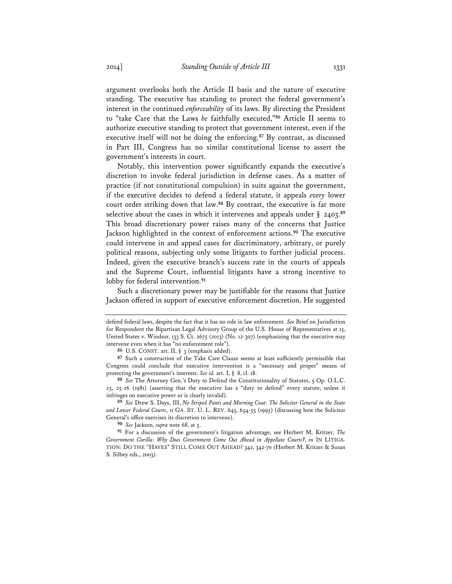argument overlooks both the Article II basis and the nature of executive standing. The executive has standing to protect the federal government's interest in the continued *enforceability* of its laws. By directing the President to "take Care that the Laws *be* faithfully executed,"**<sup>86</sup>** Article II seems to authorize executive standing to protect that government interest, even if the executive itself will not be doing the enforcing.**<sup>87</sup>** By contrast, as discussed in Part III, Congress has no similar constitutional license to assert the government's interests in court.

Notably, this intervention power significantly expands the executive's discretion to invoke federal jurisdiction in defense cases. As a matter of practice (if not constitutional compulsion) in suits against the government, if the executive decides to defend a federal statute, it appeals *every* lower court order striking down that law.**<sup>88</sup>** By contrast, the executive is far more selective about the cases in which it intervenes and appeals under § 2403.**<sup>89</sup>** This broad discretionary power raises many of the concerns that Justice Jackson highlighted in the context of enforcement actions.**<sup>90</sup>** The executive could intervene in and appeal cases for discriminatory, arbitrary, or purely political reasons, subjecting only some litigants to further judicial process. Indeed, given the executive branch's success rate in the courts of appeals and the Supreme Court, influential litigants have a strong incentive to lobby for federal intervention.**<sup>91</sup>**

Such a discretionary power may be justifiable for the reasons that Justice Jackson offered in support of executive enforcement discretion. He suggested

defend federal laws, despite the fact that it has no role in law enforcement. *See* Brief on Jurisdiction for Respondent the Bipartisan Legal Advisory Group of the U.S. House of Representatives at 15, United States v. Windsor, 133 S. Ct. 2675 (2013) (No. 12-307) (emphasizing that the executive may intervene even when it has "no enforcement role").

**<sup>86</sup>** U.S. CONST. art. II, § 3 (emphasis added).

**<sup>87</sup>** Such a construction of the Take Care Clause seems at least sufficiently permissible that Congress could conclude that executive intervention is a "necessary and proper" means of protecting the government's interests. *See id.* art. I, § 8, cl. 18.

**<sup>88</sup>** *See* The Attorney Gen.'s Duty to Defend the Constitutionality of Statutes, 5 Op. O.L.C. 25, 25-26 (1981) (asserting that the executive has a "duty to defend" every statute, unless it infringes on executive power or is clearly invalid).

**<sup>89</sup>** *See* Drew S. Days, III, *No Striped Pants and Morning Coat: The Solicitor General in the State and Lower Federal Courts*, 11 GA. ST. U. L. REV. 645, 654-55 (1995) (discussing how the Solicitor General's office exercises its discretion to intervene).

**<sup>90</sup>** *See* Jackson, *supra* note 68, at 5.

**<sup>91</sup>** For a discussion of the government's litigation advantage, see Herbert M. Kritzer, *The Government Gorilla: Why Does Government Come Out Ahead in Appellate Courts?*, *in* IN LITIGA-TION: DO THE "HAVES" STILL COME OUT AHEAD? 342, 342-70 (Herbert M. Kritzer & Susan S. Silbey eds., 2003).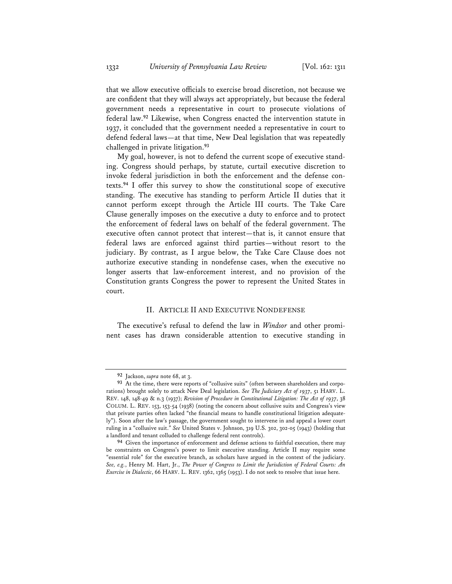that we allow executive officials to exercise broad discretion, not because we are confident that they will always act appropriately, but because the federal government needs a representative in court to prosecute violations of federal law.**<sup>92</sup>** Likewise, when Congress enacted the intervention statute in 1937, it concluded that the government needed a representative in court to defend federal laws—at that time, New Deal legislation that was repeatedly challenged in private litigation.**<sup>93</sup>**

My goal, however, is not to defend the current scope of executive standing. Congress should perhaps, by statute, curtail executive discretion to invoke federal jurisdiction in both the enforcement and the defense contexts.**<sup>94</sup>** I offer this survey to show the constitutional scope of executive standing. The executive has standing to perform Article II duties that it cannot perform except through the Article III courts. The Take Care Clause generally imposes on the executive a duty to enforce and to protect the enforcement of federal laws on behalf of the federal government. The executive often cannot protect that interest—that is, it cannot ensure that federal laws are enforced against third parties—without resort to the judiciary. By contrast, as I argue below, the Take Care Clause does not authorize executive standing in nondefense cases, when the executive no longer asserts that law-enforcement interest, and no provision of the Constitution grants Congress the power to represent the United States in court.

# II. ARTICLE II AND EXECUTIVE NONDEFENSE

The executive's refusal to defend the law in *Windsor* and other prominent cases has drawn considerable attention to executive standing in

**<sup>92</sup>** Jackson, *supra* note 68, at 3.

**<sup>93</sup>** At the time, there were reports of "collusive suits" (often between shareholders and corporations) brought solely to attack New Deal legislation. *See The Judiciary Act of 1937*, 51 HARV. L. REV. 148, 148-49 & n.3 (1937); *Revision of Procedure in Constitutional Litigation: The Act of 1937*, 38 COLUM. L. REV. 153, 153-54 (1938) (noting the concern about collusive suits and Congress's view that private parties often lacked "the financial means to handle constitutional litigation adequately"). Soon after the law's passage, the government sought to intervene in and appeal a lower court ruling in a "collusive suit." *See* United States v. Johnson, 319 U.S. 302, 302-05 (1943) (holding that a landlord and tenant colluded to challenge federal rent controls).

**<sup>94</sup>** Given the importance of enforcement and defense actions to faithful execution, there may be constraints on Congress's power to limit executive standing. Article II may require some "essential role" for the executive branch, as scholars have argued in the context of the judiciary. *See, e.g.*, Henry M. Hart, Jr., *The Power of Congress to Limit the Jurisdiction of Federal Courts: An Exercise in Dialectic*, 66 HARV. L. REV. 1362, 1365 (1953). I do not seek to resolve that issue here.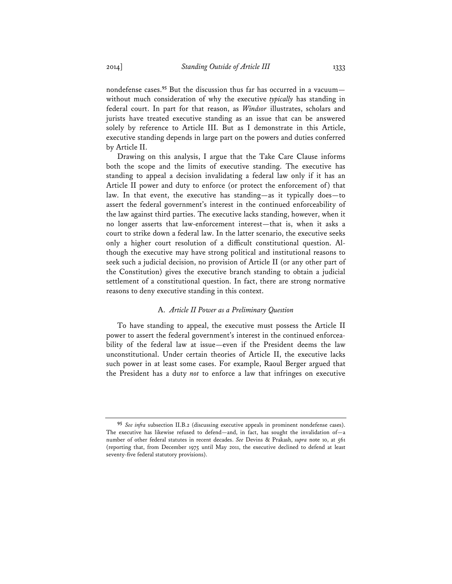nondefense cases.**<sup>95</sup>** But the discussion thus far has occurred in a vacuum without much consideration of why the executive *typically* has standing in federal court. In part for that reason, as *Windsor* illustrates, scholars and jurists have treated executive standing as an issue that can be answered solely by reference to Article III. But as I demonstrate in this Article, executive standing depends in large part on the powers and duties conferred by Article II.

Drawing on this analysis, I argue that the Take Care Clause informs both the scope and the limits of executive standing. The executive has standing to appeal a decision invalidating a federal law only if it has an Article II power and duty to enforce (or protect the enforcement of) that law. In that event, the executive has standing—as it typically does—to assert the federal government's interest in the continued enforceability of the law against third parties. The executive lacks standing, however, when it no longer asserts that law-enforcement interest—that is, when it asks a court to strike down a federal law. In the latter scenario, the executive seeks only a higher court resolution of a difficult constitutional question. Although the executive may have strong political and institutional reasons to seek such a judicial decision, no provision of Article II (or any other part of the Constitution) gives the executive branch standing to obtain a judicial settlement of a constitutional question. In fact, there are strong normative reasons to deny executive standing in this context.

# A. *Article II Power as a Preliminary Question*

To have standing to appeal, the executive must possess the Article II power to assert the federal government's interest in the continued enforceability of the federal law at issue—even if the President deems the law unconstitutional. Under certain theories of Article II, the executive lacks such power in at least some cases. For example, Raoul Berger argued that the President has a duty *not* to enforce a law that infringes on executive

**<sup>95</sup>** *See infra* subsection II.B.2 (discussing executive appeals in prominent nondefense cases). The executive has likewise refused to defend—and, in fact, has sought the invalidation of—a number of other federal statutes in recent decades. *See* Devins & Prakash, *supra* note 10, at 561 (reporting that, from December 1975 until May 2011, the executive declined to defend at least seventy-five federal statutory provisions).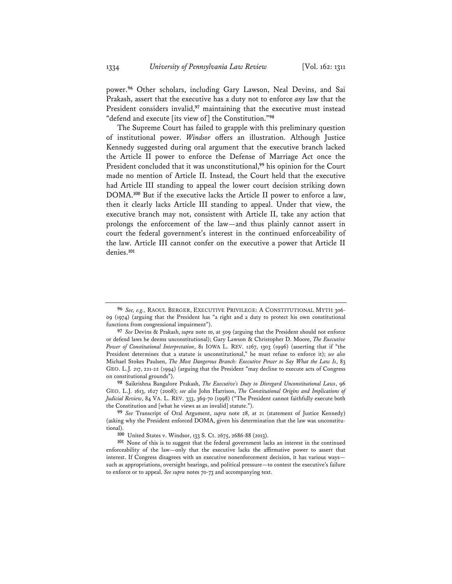power.**<sup>96</sup>** Other scholars, including Gary Lawson, Neal Devins, and Sai Prakash, assert that the executive has a duty not to enforce *any* law that the President considers invalid,<sup>97</sup> maintaining that the executive must instead "defend and execute [its view of] the Constitution."**<sup>98</sup>**

The Supreme Court has failed to grapple with this preliminary question of institutional power. *Windsor* offers an illustration. Although Justice Kennedy suggested during oral argument that the executive branch lacked the Article II power to enforce the Defense of Marriage Act once the President concluded that it was unconstitutional,**<sup>99</sup>** his opinion for the Court made no mention of Article II. Instead, the Court held that the executive had Article III standing to appeal the lower court decision striking down DOMA.**<sup>100</sup>** But if the executive lacks the Article II power to enforce a law, then it clearly lacks Article III standing to appeal. Under that view, the executive branch may not, consistent with Article II, take any action that prolongs the enforcement of the law—and thus plainly cannot assert in court the federal government's interest in the continued enforceability of the law. Article III cannot confer on the executive a power that Article II denies.**<sup>101</sup>**

**<sup>96</sup>** *See, e.g.,* RAOUL BERGER, EXECUTIVE PRIVILEGE: A CONSTITUTIONAL MYTH 306- 09 (1974) (arguing that the President has "a right and a duty to protect his own constitutional functions from congressional impairment").

**<sup>97</sup>** *See* Devins & Prakash, *supra* note 10, at 509 (arguing that the President should not enforce or defend laws he deems unconstitutional); Gary Lawson & Christopher D. Moore, *The Executive Power of Constitutional Interpretation*, 81 IOWA L. REV. 1267, 1303 (1996) (asserting that if "the President determines that a statute is unconstitutional," he must refuse to enforce it); *see also* Michael Stokes Paulsen, *The Most Dangerous Branch: Executive Power to Say What the Law Is*, 83 GEO. L.J. 217, 221-22 (1994) (arguing that the President "may decline to execute acts of Congress on constitutional grounds").

**<sup>98</sup>** Saikrishna Bangalore Prakash, *The Executive's Duty to Disregard Unconstitutional Laws*, 96 GEO. L.J. 1613, 1627 (2008); *see also* John Harrison, *The Constitutional Origins and Implications of Judicial Review*, 84 VA. L. REV. 333, 369-70 (1998) ("The President cannot faithfully execute both the Constitution and [what he views as an invalid] statute.").

**<sup>99</sup>** *See* Transcript of Oral Argument, *supra* note 28, at 21 (statement of Justice Kennedy) (asking why the President enforced DOMA, given his determination that the law was unconstitutional).

**<sup>100</sup>** United States v. Windsor, 133 S. Ct. 2675, 2686-88 (2013).

**<sup>101</sup>** None of this is to suggest that the federal government lacks an interest in the continued enforceability of the law—only that the executive lacks the affirmative power to assert that interest. If Congress disagrees with an executive nonenforcement decision, it has various ways such as appropriations, oversight hearings, and political pressure—to contest the executive's failure to enforce or to appeal. *See supra* notes 70-73 and accompanying text.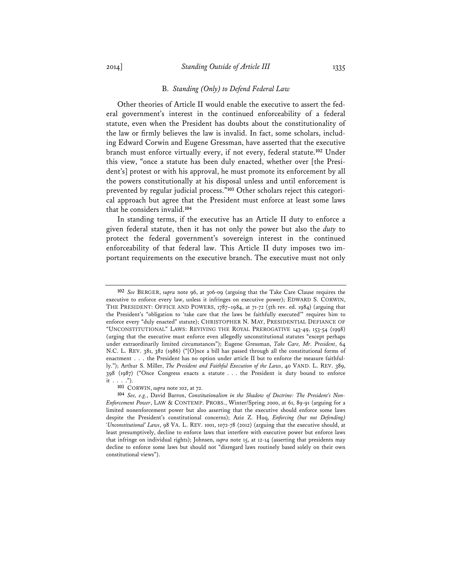# B. *Standing (Only) to Defend Federal Law*

Other theories of Article II would enable the executive to assert the federal government's interest in the continued enforceability of a federal statute, even when the President has doubts about the constitutionality of the law or firmly believes the law is invalid. In fact, some scholars, including Edward Corwin and Eugene Gressman, have asserted that the executive branch must enforce virtually every, if not every, federal statute.**<sup>102</sup>** Under this view, "once a statute has been duly enacted, whether over [the President's] protest or with his approval, he must promote its enforcement by all the powers constitutionally at his disposal unless and until enforcement is prevented by regular judicial process."**103** Other scholars reject this categorical approach but agree that the President must enforce at least some laws that he considers invalid.**<sup>104</sup>**

In standing terms, if the executive has an Article II duty to enforce a given federal statute, then it has not only the power but also the *duty* to protect the federal government's sovereign interest in the continued enforceability of that federal law. This Article II duty imposes two important requirements on the executive branch. The executive must not only

**<sup>102</sup>** *See* BERGER, *supra* note 96, at 306-09 (arguing that the Take Care Clause requires the executive to enforce every law, unless it infringes on executive power); EDWARD S. CORWIN, THE PRESIDENT: OFFICE AND POWERS, 1787-1984, at 71-72 (5th rev. ed. 1984) (arguing that the President's "obligation to 'take care that the laws be faithfully executed'" requires him to enforce every "duly enacted" statute); CHRISTOPHER N. MAY, PRESIDENTIAL DEFIANCE OF "UNCONSTITUTIONAL" LAWS: REVIVING THE ROYAL PREROGATIVE 143-49, 153-54 (1998) (urging that the executive must enforce even allegedly unconstitutional statutes "except perhaps under extraordinarily limited circumstances"); Eugene Gressman, *Take Care, Mr. President*, 64 N.C. L. REV. 381, 382 (1986) ("[O]nce a bill has passed through all the constitutional forms of enactment . . . the President has no option under article II but to enforce the measure faithfully."); Arthur S. Miller, *The President and Faithful Execution of the Laws*, 40 VAND. L. REV. 389, 398 (1987) ("Once Congress enacts a statute . . . the President is duty bound to enforce it . . . .").

**<sup>103</sup>** CORWIN, *supra* note 102, at 72.

**<sup>104</sup>** *See, e.g.*, David Barron, *Constitutionalism in the Shadow of Doctrine: The President's Non-Enforcement Power*, LAW & CONTEMP. PROBS., Winter/Spring 2000, at 61, 89-91 (arguing for a limited nonenforcement power but also asserting that the executive should enforce some laws despite the President's constitutional concerns); Aziz Z. Huq, *Enforcing (but not Defending) 'Unconstitutional' Laws*, 98 VA. L. REV. 1001, 1072-78 (2012) (arguing that the executive should, at least presumptively, decline to enforce laws that interfere with executive power but enforce laws that infringe on individual rights); Johnsen, *supra* note 15, at 12-14 (asserting that presidents may decline to enforce some laws but should not "disregard laws routinely based solely on their own constitutional views").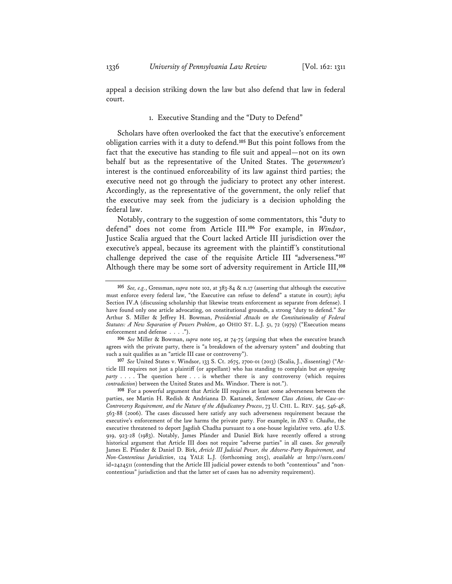appeal a decision striking down the law but also defend that law in federal court.

# 1. Executive Standing and the "Duty to Defend"

Scholars have often overlooked the fact that the executive's enforcement obligation carries with it a duty to defend.**<sup>105</sup>** But this point follows from the fact that the executive has standing to file suit and appeal—not on its own behalf but as the representative of the United States. The *government's* interest is the continued enforceability of its law against third parties; the executive need not go through the judiciary to protect any other interest. Accordingly, as the representative of the government, the only relief that the executive may seek from the judiciary is a decision upholding the federal law.

Notably, contrary to the suggestion of some commentators, this "duty to defend" does not come from Article III.**<sup>106</sup>** For example, in *Windsor*, Justice Scalia argued that the Court lacked Article III jurisdiction over the executive's appeal, because its agreement with the plaintiff 's constitutional challenge deprived the case of the requisite Article III "adverseness."**<sup>107</sup>** Although there may be some sort of adversity requirement in Article III,**<sup>108</sup>**

**107** *See* United States v. Windsor, 133 S. Ct. 2675, 2700-01 (2013) (Scalia, J., dissenting) ("Article III requires not just a plaintiff (or appellant) who has standing to complain but *an opposing party* . . . . The question here . . . is whether there is any controversy (which requires *contradiction*) between the United States and Ms. Windsor. There is not.").

**108** For a powerful argument that Article III requires at least some adverseness between the parties, see Martin H. Redish & Andrianna D. Kastanek, *Settlement Class Actions, the Case-or-Controversy Requirement, and the Nature of the Adjudicatory Process*, 73 U. CHI. L. REV. 545, 546-48, 563-88 (2006). The cases discussed here satisfy any such adverseness requirement because the executive's enforcement of the law harms the private party. For example, in *INS v. Chadha*, the executive threatened to deport Jagdish Chadha pursuant to a one-house legislative veto. 462 U.S. 919, 923-28 (1983). Notably, James Pfander and Daniel Birk have recently offered a strong historical argument that Article III does not require "adverse parties" in all cases. *See generally* James E. Pfander & Daniel D. Birk, *Article III Judicial Power, the Adverse-Party Requirement, and Non-Contentious Jurisdiction*, 124 YALE L.J. (forthcoming 2015), *available at* http://ssrn.com/ id=2424511 (contending that the Article III judicial power extends to both "contentious" and "noncontentious" jurisdiction and that the latter set of cases has no adversity requirement).

**<sup>105</sup>** *See, e.g.*, Gressman, *supra* note 102, at 383-84 & n.17 (asserting that although the executive must enforce every federal law, "the Executive can refuse to defend" a statute in court); *infra* Section IV.A (discussing scholarship that likewise treats enforcement as separate from defense). I have found only one article advocating, on constitutional grounds, a strong "duty to defend." *See* Arthur S. Miller & Jeffrey H. Bowman, *Presidential Attacks on the Constitutionality of Federal Statutes: A New Separation of Powers Problem*, 40 OHIO ST. L.J. 51, 72 (1979) ("Execution means enforcement and defense . . . .").

**<sup>106</sup>** *See* Miller & Bowman, *supra* note 105, at 74-75 (arguing that when the executive branch agrees with the private party, there is "a breakdown of the adversary system" and doubting that such a suit qualifies as an "article III case or controversy").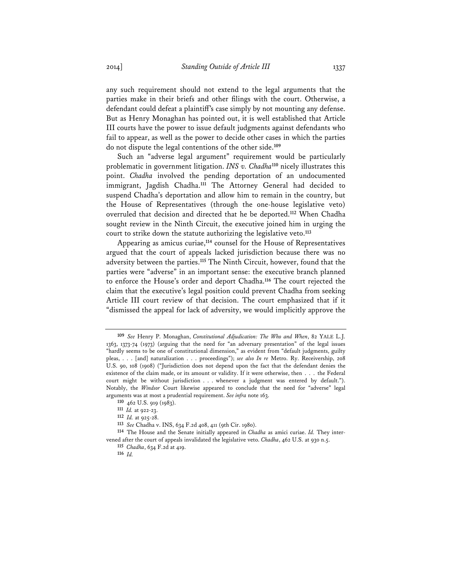any such requirement should not extend to the legal arguments that the parties make in their briefs and other filings with the court. Otherwise, a defendant could defeat a plaintiff's case simply by not mounting any defense. But as Henry Monaghan has pointed out, it is well established that Article III courts have the power to issue default judgments against defendants who fail to appear, as well as the power to decide other cases in which the parties do not dispute the legal contentions of the other side.**<sup>109</sup>**

Such an "adverse legal argument" requirement would be particularly problematic in government litigation. *INS v. Chadha***<sup>110</sup>** nicely illustrates this point. *Chadha* involved the pending deportation of an undocumented immigrant, Jagdish Chadha.**<sup>111</sup>** The Attorney General had decided to suspend Chadha's deportation and allow him to remain in the country, but the House of Representatives (through the one-house legislative veto) overruled that decision and directed that he be deported.**<sup>112</sup>** When Chadha sought review in the Ninth Circuit, the executive joined him in urging the court to strike down the statute authorizing the legislative veto.**<sup>113</sup>**

Appearing as amicus curiae,**<sup>114</sup>** counsel for the House of Representatives argued that the court of appeals lacked jurisdiction because there was no adversity between the parties.**<sup>115</sup>** The Ninth Circuit, however, found that the parties were "adverse" in an important sense: the executive branch planned to enforce the House's order and deport Chadha.**<sup>116</sup>** The court rejected the claim that the executive's legal position could prevent Chadha from seeking Article III court review of that decision. The court emphasized that if it "dismissed the appeal for lack of adversity, we would implicitly approve the

**<sup>109</sup>** *See* Henry P. Monaghan, *Constitutional Adjudication: The Who and When*, 82 YALE L.J. 1363, 1373-74 (1973) (arguing that the need for "an adversary presentation" of the legal issues "hardly seems to be one of constitutional dimension," as evident from "default judgments, guilty pleas, . . . [and] naturalization . . . proceedings"); *see also In re* Metro. Ry. Receivership, 208 U.S. 90, 108 (1908) ("Jurisdiction does not depend upon the fact that the defendant denies the existence of the claim made, or its amount or validity. If it were otherwise, then . . . the Federal court might be without jurisdiction . . . whenever a judgment was entered by default."). Notably, the *Windsor* Court likewise appeared to conclude that the need for "adverse" legal arguments was at most a prudential requirement. *See infra* note 163.

**<sup>110</sup>** 462 U.S. 919 (1983).

**<sup>111</sup>** *Id.* at 922-23.

**<sup>112</sup>** *Id.* at 925-28.

**<sup>113</sup>** *See* Chadha v. INS, 634 F.2d 408, 411 (9th Cir. 1980).

**<sup>114</sup>** The House and the Senate initially appeared in *Chadha* as amici curiae. *Id.* They intervened after the court of appeals invalidated the legislative veto. *Chadha*, 462 U.S. at 930 n.5.

**<sup>115</sup>** *Chadha*, 634 F.2d at 419.

**<sup>116</sup>** *Id.*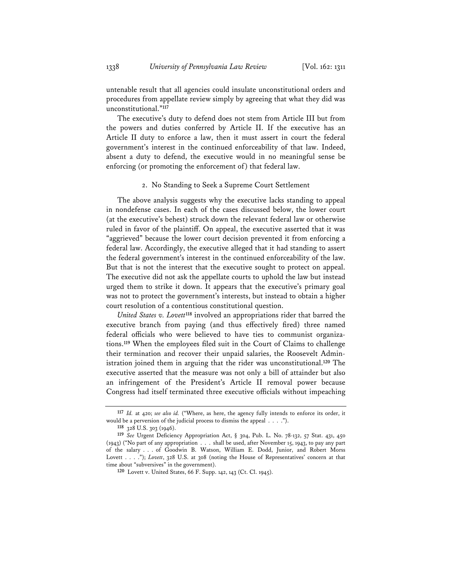untenable result that all agencies could insulate unconstitutional orders and procedures from appellate review simply by agreeing that what they did was unconstitutional."**<sup>117</sup>**

The executive's duty to defend does not stem from Article III but from the powers and duties conferred by Article II. If the executive has an Article II duty to enforce a law, then it must assert in court the federal government's interest in the continued enforceability of that law. Indeed, absent a duty to defend, the executive would in no meaningful sense be enforcing (or promoting the enforcement of) that federal law.

# 2. No Standing to Seek a Supreme Court Settlement

The above analysis suggests why the executive lacks standing to appeal in nondefense cases. In each of the cases discussed below, the lower court (at the executive's behest) struck down the relevant federal law or otherwise ruled in favor of the plaintiff. On appeal, the executive asserted that it was "aggrieved" because the lower court decision prevented it from enforcing a federal law. Accordingly, the executive alleged that it had standing to assert the federal government's interest in the continued enforceability of the law. But that is not the interest that the executive sought to protect on appeal. The executive did not ask the appellate courts to uphold the law but instead urged them to strike it down. It appears that the executive's primary goal was not to protect the government's interests, but instead to obtain a higher court resolution of a contentious constitutional question.

*United States v. Lovett***<sup>118</sup>** involved an appropriations rider that barred the executive branch from paying (and thus effectively fired) three named federal officials who were believed to have ties to communist organizations.**<sup>119</sup>** When the employees filed suit in the Court of Claims to challenge their termination and recover their unpaid salaries, the Roosevelt Administration joined them in arguing that the rider was unconstitutional.**<sup>120</sup>** The executive asserted that the measure was not only a bill of attainder but also an infringement of the President's Article II removal power because Congress had itself terminated three executive officials without impeaching

**<sup>117</sup>** *Id.* at 420; *see also id.* ("Where, as here, the agency fully intends to enforce its order, it would be a perversion of the judicial process to dismiss the appeal . . . .").

**<sup>118</sup>** 328 U.S. 303 (1946).

**<sup>119</sup>** *See* Urgent Deficiency Appropriation Act, § 304, Pub. L. No. 78-132, 57 Stat. 431, 450 (1943) ("No part of any appropriation . . . shall be used, after November 15, 1943, to pay any part of the salary . . . of Goodwin B. Watson, William E. Dodd, Junior, and Robert Morss Lovett . . . ."); *Lovett*, 328 U.S. at 308 (noting the House of Representatives' concern at that time about "subversives" in the government).

**<sup>120</sup>** Lovett v. United States, 66 F. Supp. 142, 143 (Ct. Cl. 1945).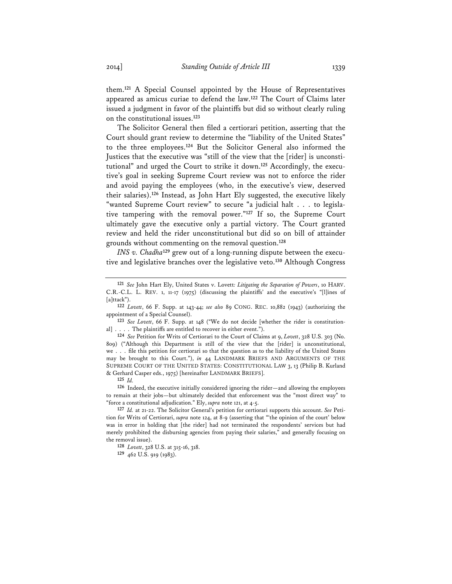them.**<sup>121</sup>** A Special Counsel appointed by the House of Representatives appeared as amicus curiae to defend the law.**<sup>122</sup>** The Court of Claims later issued a judgment in favor of the plaintiffs but did so without clearly ruling on the constitutional issues.**<sup>123</sup>**

The Solicitor General then filed a certiorari petition, asserting that the Court should grant review to determine the "liability of the United States" to the three employees.**<sup>124</sup>** But the Solicitor General also informed the Justices that the executive was "still of the view that the [rider] is unconstitutional" and urged the Court to strike it down.**125** Accordingly, the executive's goal in seeking Supreme Court review was not to enforce the rider and avoid paying the employees (who, in the executive's view, deserved their salaries).**<sup>126</sup>** Instead, as John Hart Ely suggested, the executive likely "wanted Supreme Court review" to secure "a judicial halt . . . to legislative tampering with the removal power."**<sup>127</sup>** If so, the Supreme Court ultimately gave the executive only a partial victory. The Court granted review and held the rider unconstitutional but did so on bill of attainder grounds without commenting on the removal question.**<sup>128</sup>**

*INS v. Chadha***129** grew out of a long-running dispute between the executive and legislative branches over the legislative veto.**<sup>130</sup>** Although Congress

**125** *Id.*

**126** Indeed, the executive initially considered ignoring the rider—and allowing the employees to remain at their jobs—but ultimately decided that enforcement was the "most direct way" to "force a constitutional adjudication." Ely, *supra* note 121, at 4-5.

**127** *Id.* at 21-22. The Solicitor General's petition for certiorari supports this account. *See* Petition for Writs of Certiorari, *supra* note 124, at 8-9 (asserting that "'the opinion of the court' below was in error in holding that [the rider] had not terminated the respondents' services but had merely prohibited the disbursing agencies from paying their salaries," and generally focusing on the removal issue).

**128** *Lovett*, 328 U.S. at 315-16, 318.

**129** 462 U.S. 919 (1983).

**<sup>121</sup>** *See* John Hart Ely, United States v. Lovett*: Litigating the Separation of Powers*, 10 HARV. C.R.-C.L. L. REV. 1, 11-17 (1975) (discussing the plaintiffs' and the executive's "[l]ines of [a]ttack").

**<sup>122</sup>** *Lovett*, 66 F. Supp. at 143-44; *see also* 89 CONG. REC. 10,882 (1943) (authorizing the appointment of a Special Counsel).

**<sup>123</sup>** *See Lovett*, 66 F. Supp. at 148 ("We do not decide [whether the rider is constitutional] . . . . The plaintiffs are entitled to recover in either event.").

**<sup>124</sup>** *See* Petition for Writs of Certiorari to the Court of Claims at 9, *Lovett*, 328 U.S. 303 (No. 809) ("Although this Department is still of the view that the [rider] is unconstitutional, we . . . file this petition for certiorari so that the question as to the liability of the United States may be brought to this Court."), *in* 44 LANDMARK BRIEFS AND ARGUMENTS OF THE SUPREME COURT OF THE UNITED STATES: CONSTITUTIONAL LAW 3, 13 (Philip B. Kurland & Gerhard Casper eds., 1975) [hereinafter LANDMARK BRIEFS].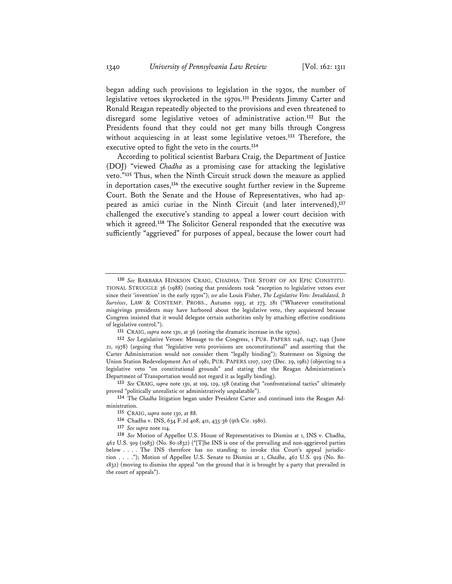began adding such provisions to legislation in the 1930s, the number of legislative vetoes skyrocketed in the 1970s.**<sup>131</sup>** Presidents Jimmy Carter and Ronald Reagan repeatedly objected to the provisions and even threatened to disregard some legislative vetoes of administrative action.**<sup>132</sup>** But the Presidents found that they could not get many bills through Congress without acquiescing in at least some legislative vetoes.**<sup>133</sup>** Therefore, the executive opted to fight the veto in the courts.**<sup>134</sup>**

According to political scientist Barbara Craig, the Department of Justice (DOJ) "viewed *Chadha* as a promising case for attacking the legislative veto."**<sup>135</sup>** Thus, when the Ninth Circuit struck down the measure as applied in deportation cases,**<sup>136</sup>** the executive sought further review in the Supreme Court. Both the Senate and the House of Representatives, who had appeared as amici curiae in the Ninth Circuit (and later intervened),**<sup>137</sup>** challenged the executive's standing to appeal a lower court decision with which it agreed.**<sup>138</sup>** The Solicitor General responded that the executive was sufficiently "aggrieved" for purposes of appeal, because the lower court had

**131** CRAIG, *supra* note 130, at 36 (noting the dramatic increase in the 1970s).

**<sup>130</sup>** *See* BARBARA HINKSON CRAIG, CHADHA: THE STORY OF AN EPIC CONSTITU-TIONAL STRUGGLE 36 (1988) (noting that presidents took "exception to legislative vetoes ever since their 'invention' in the early 1930s"); *see also* Louis Fisher, *The Legislative Veto: Invalidated, It Survives*, LAW & CONTEMP. PROBS., Autumn 1993, at 273, 281 ("Whatever constitutional misgivings presidents may have harbored about the legislative veto, they acquiesced because Congress insisted that it would delegate certain authorities only by attaching effective conditions of legislative control.").

**<sup>132</sup>** *See* Legislative Vetoes: Message to the Congress, 1 PUB. PAPERS 1146, 1147, 1149 (June 21, 1978) (arguing that "legislative veto provisions are unconstitutional" and asserting that the Carter Administration would not consider them "legally binding"); Statement on Signing the Union Station Redevelopment Act of 1981, PUB. PAPERS 1207, 1207 (Dec. 29, 1981) (objecting to a legislative veto "on constitutional grounds" and stating that the Reagan Administration's Department of Transportation would not regard it as legally binding).

**<sup>133</sup>** *See* CRAIG, *supra* note 130, at 109, 129, 158 (stating that "confrontational tactics" ultimately proved "politically unrealistic or administratively unpalatable").

**<sup>134</sup>** The *Chadha* litigation began under President Carter and continued into the Reagan Administration.

**<sup>135</sup>** CRAIG, *supra* note 130, at 88.

**<sup>136</sup>** Chadha v. INS, 634 F.2d 408, 411, 435-36 (9th Cir. 1980).

**<sup>137</sup>** *See supra* note 114.

**<sup>138</sup>** *See* Motion of Appellee U.S. House of Representatives to Dismiss at 1, INS v. Chadha, 462 U.S. 919 (1983) (No. 80-1832) ("[T]he INS is one of the prevailing and non-aggrieved parties below . . . . The INS therefore has no standing to invoke this Court's appeal jurisdiction . . . ."); Motion of Appellee U.S. Senate to Dismiss at 1, *Chadha*, 462 U.S. 919 (No. 80- 1832) (moving to dismiss the appeal "on the ground that it is brought by a party that prevailed in the court of appeals").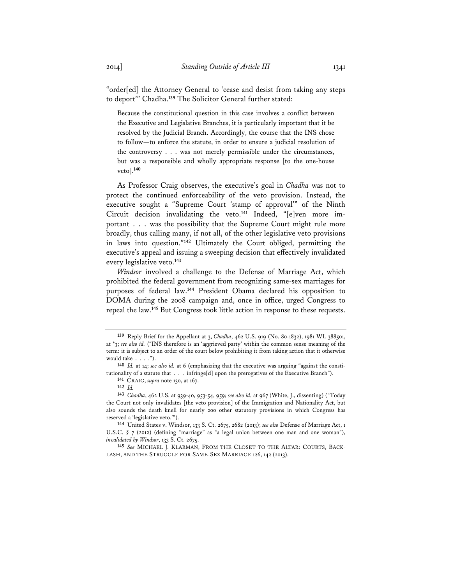"order[ed] the Attorney General to 'cease and desist from taking any steps to deport'" Chadha.**<sup>139</sup>** The Solicitor General further stated:

Because the constitutional question in this case involves a conflict between the Executive and Legislative Branches, it is particularly important that it be resolved by the Judicial Branch. Accordingly, the course that the INS chose to follow—to enforce the statute, in order to ensure a judicial resolution of the controversy . . . was not merely permissible under the circumstances, but was a responsible and wholly appropriate response [to the one-house veto].**<sup>140</sup>**

As Professor Craig observes, the executive's goal in *Chadha* was not to protect the continued enforceability of the veto provision. Instead, the executive sought a "Supreme Court 'stamp of approval'" of the Ninth Circuit decision invalidating the veto.**141** Indeed, "[e]ven more important . . . was the possibility that the Supreme Court might rule more broadly, thus calling many, if not all, of the other legislative veto provisions in laws into question."**<sup>142</sup>** Ultimately the Court obliged, permitting the executive's appeal and issuing a sweeping decision that effectively invalidated every legislative veto.**<sup>143</sup>**

*Windsor* involved a challenge to the Defense of Marriage Act, which prohibited the federal government from recognizing same-sex marriages for purposes of federal law.**<sup>144</sup>** President Obama declared his opposition to DOMA during the 2008 campaign and, once in office, urged Congress to repeal the law.**<sup>145</sup>** But Congress took little action in response to these requests.

**<sup>139</sup>** Reply Brief for the Appellant at 3, *Chadha*, 462 U.S. 919 (No. 80-1832), 1981 WL 388501, at \*3; *see also id.* ("INS therefore is an 'aggrieved party' within the common sense meaning of the term: it is subject to an order of the court below prohibiting it from taking action that it otherwise would take  $\ldots$ .").

**<sup>140</sup>** *Id.* at 14; *see also id.* at 6 (emphasizing that the executive was arguing "against the constitutionality of a statute that . . . infringe[d] upon the prerogatives of the Executive Branch").

**<sup>141</sup>** CRAIG, *supra* note 130, at 167.

**<sup>142</sup>** *Id.*

**<sup>143</sup>** *Chadha*, 462 U.S. at 939-40, 953-54, 959; *see also id.* at 967 (White, J., dissenting) ("Today the Court not only invalidates [the veto provision] of the Immigration and Nationality Act, but also sounds the death knell for nearly 200 other statutory provisions in which Congress has reserved a 'legislative veto.'").

**<sup>144</sup>** United States v. Windsor, 133 S. Ct. 2675, 2682 (2013); *see also* Defense of Marriage Act, 1 U.S.C. § 7 (2012) (defining "marriage" as "a legal union between one man and one woman"), *invalidated by Windsor*, 133 S. Ct. 2675.

**<sup>145</sup>** *See* MICHAEL J. KLARMAN, FROM THE CLOSET TO THE ALTAR: COURTS, BACK-LASH, AND THE STRUGGLE FOR SAME-SEX MARRIAGE 126, 142 (2013).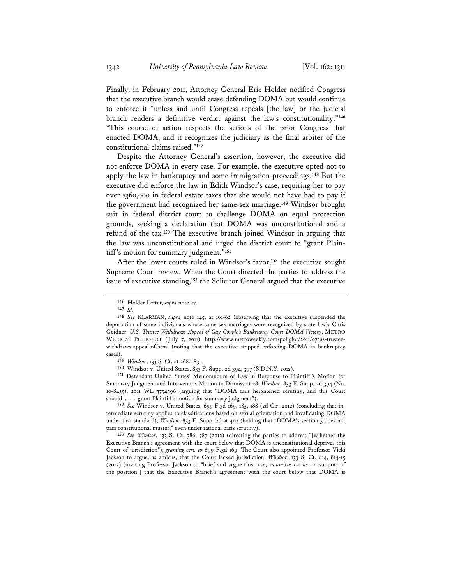Finally, in February 2011, Attorney General Eric Holder notified Congress that the executive branch would cease defending DOMA but would continue to enforce it "unless and until Congress repeals [the law] or the judicial branch renders a definitive verdict against the law's constitutionality."**<sup>146</sup>** "This course of action respects the actions of the prior Congress that enacted DOMA, and it recognizes the judiciary as the final arbiter of the constitutional claims raised."**<sup>147</sup>**

Despite the Attorney General's assertion, however, the executive did not enforce DOMA in every case. For example, the executive opted not to apply the law in bankruptcy and some immigration proceedings.**<sup>148</sup>** But the executive did enforce the law in Edith Windsor's case, requiring her to pay over \$360,000 in federal estate taxes that she would not have had to pay if the government had recognized her same-sex marriage.**<sup>149</sup>** Windsor brought suit in federal district court to challenge DOMA on equal protection grounds, seeking a declaration that DOMA was unconstitutional and a refund of the tax.**<sup>150</sup>** The executive branch joined Windsor in arguing that the law was unconstitutional and urged the district court to "grant Plaintiff's motion for summary judgment."**<sup>151</sup>**

After the lower courts ruled in Windsor's favor,**<sup>152</sup>** the executive sought Supreme Court review. When the Court directed the parties to address the issue of executive standing,**<sup>153</sup>** the Solicitor General argued that the executive

**151** Defendant United States' Memorandum of Law in Response to Plaintiff 's Motion for Summary Judgment and Intervenor's Motion to Dismiss at 28, *Windsor*, 833 F. Supp. 2d 394 (No. 10-8435), 2011 WL 3754396 (arguing that "DOMA fails heightened scrutiny, and this Court should . . . grant Plaintiff's motion for summary judgment").

**152** *See* Windsor v. United States, 699 F.3d 169, 185, 188 (2d Cir. 2012) (concluding that intermediate scrutiny applies to classifications based on sexual orientation and invalidating DOMA under that standard); *Windsor*, 833 F. Supp. 2d at 402 (holding that "DOMA's section 3 does not pass constitutional muster," even under rational basis scrutiny).

**153** *See Windsor*, 133 S. Ct. 786, 787 (2012) (directing the parties to address "[w]hether the Executive Branch's agreement with the court below that DOMA is unconstitutional deprives this Court of jurisdiction"), *granting cert. to* 699 F.3d 169. The Court also appointed Professor Vicki Jackson to argue, as amicus, that the Court lacked jurisdiction. *Windsor*, 133 S. Ct. 814, 814-15 (2012) (inviting Professor Jackson to "brief and argue this case, as *amicus curiae*, in support of the position[] that the Executive Branch's agreement with the court below that DOMA is

**<sup>146</sup>** Holder Letter, *supra* note 27.

**<sup>147</sup>** *Id.*

**<sup>148</sup>** *See* KLARMAN, *supra* note 145, at 161-62 (observing that the executive suspended the deportation of some individuals whose same-sex marriages were recognized by state law); Chris Geidner, *U.S. Trustee Withdraws Appeal of Gay Couple's Bankruptcy Court DOMA Victory*, METRO WEEKLY: POLIGLOT (July 7, 2011), http://www.metroweekly.com/poliglot/2011/07/us-trusteewithdraws-appeal-of.html (noting that the executive stopped enforcing DOMA in bankruptcy cases).

**<sup>149</sup>** *Windsor*, 133 S. Ct. at 2682-83.

**<sup>150</sup>** Windsor v. United States, 833 F. Supp. 2d 394, 397 (S.D.N.Y. 2012).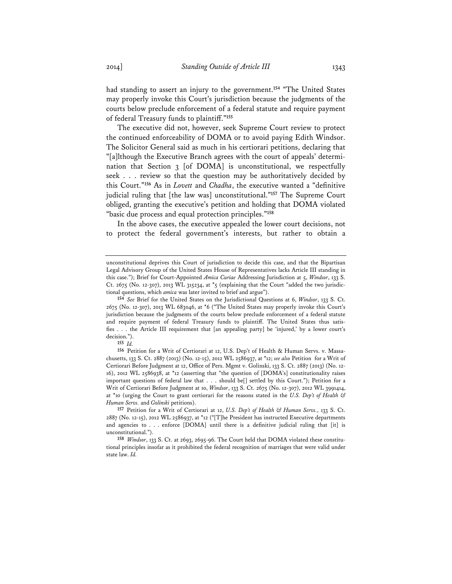had standing to assert an injury to the government.**<sup>154</sup>** "The United States may properly invoke this Court's jurisdiction because the judgments of the courts below preclude enforcement of a federal statute and require payment of federal Treasury funds to plaintiff."**<sup>155</sup>**

The executive did not, however, seek Supreme Court review to protect the continued enforceability of DOMA or to avoid paying Edith Windsor. The Solicitor General said as much in his certiorari petitions, declaring that "[a]lthough the Executive Branch agrees with the court of appeals' determination that Section 3 [of DOMA] is unconstitutional, we respectfully seek . . . review so that the question may be authoritatively decided by this Court."**<sup>156</sup>** As in *Lovett* and *Chadha*, the executive wanted a "definitive judicial ruling that [the law was] unconstitutional."**<sup>157</sup>** The Supreme Court obliged, granting the executive's petition and holding that DOMA violated "basic due process and equal protection principles."**<sup>158</sup>**

In the above cases, the executive appealed the lower court decisions, not to protect the federal government's interests, but rather to obtain a

unconstitutional deprives this Court of jurisdiction to decide this case, and that the Bipartisan Legal Advisory Group of the United States House of Representatives lacks Article III standing in this case."); Brief for Court-Appointed *Amica Curiae* Addressing Jurisdiction at 5, *Windsor*, 133 S. Ct. 2675 (No. 12-307), 2013 WL 315234, at \*5 (explaining that the Court "added the two jurisdictional questions, which *amica* was later invited to brief and argue").

**<sup>154</sup>** *See* Brief for the United States on the Jurisdictional Questions at 6, *Windsor*, 133 S. Ct. 2675 (No. 12-307), 2013 WL 683046, at \*6 ("The United States may properly invoke this Court's jurisdiction because the judgments of the courts below preclude enforcement of a federal statute and require payment of federal Treasury funds to plaintiff. The United States thus satisfies . . . the Article III requirement that [an appealing party] be 'injured,' by a lower court's decision.").

**<sup>155</sup>** *Id.*

**<sup>156</sup>** Petition for a Writ of Certiorari at 12, U.S. Dep't of Health & Human Servs. v. Massachusetts, 133 S. Ct. 2887 (2013) (No. 12-15), 2012 WL 2586937, at \*12; *see also* Petition for a Writ of Certiorari Before Judgment at 12, Office of Pers. Mgmt v. Golinski, 133 S. Ct. 2887 (2013) (No. 12- 16), 2012 WL 2586938, at \*12 (asserting that "the question of [DOMA's] constitutionality raises important questions of federal law that . . . should be[] settled by this Court."); Petition for a Writ of Certiorari Before Judgment at 10, *Windsor*, 133 S. Ct. 2675 (No. 12-307), 2012 WL 3991414, at \*10 (urging the Court to grant certiorari for the reasons stated in the *U.S. Dep't of Health & Human Servs.* and *Golinski* petitions).

**<sup>157</sup>** Petition for a Writ of Certiorari at 12, *U.S. Dep't of Health & Human Servs.*, 133 S. Ct. 2887 (No. 12-15), 2012 WL 2586937, at \*12 ("[T]he President has instructed Executive departments and agencies to . . . enforce [DOMA] until there is a definitive judicial ruling that [it] is unconstitutional.").

**<sup>158</sup>** *Windsor*, 133 S. Ct. at 2693, 2695-96. The Court held that DOMA violated these constitutional principles insofar as it prohibited the federal recognition of marriages that were valid under state law. *Id.*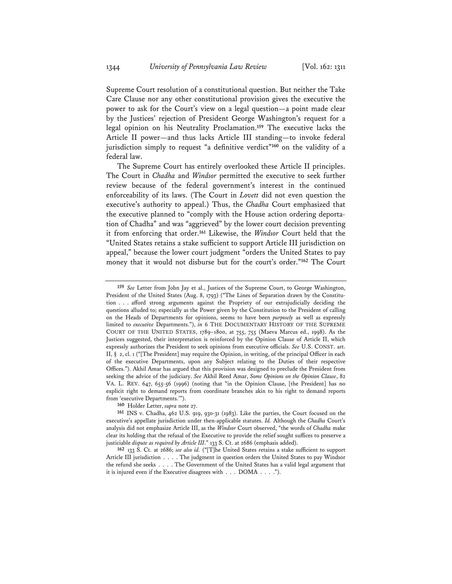Supreme Court resolution of a constitutional question. But neither the Take Care Clause nor any other constitutional provision gives the executive the power to ask for the Court's view on a legal question—a point made clear by the Justices' rejection of President George Washington's request for a legal opinion on his Neutrality Proclamation.**<sup>159</sup>** The executive lacks the Article II power—and thus lacks Article III standing—to invoke federal jurisdiction simply to request "a definitive verdict"**<sup>160</sup>** on the validity of a federal law.

The Supreme Court has entirely overlooked these Article II principles. The Court in *Chadha* and *Windsor* permitted the executive to seek further review because of the federal government's interest in the continued enforceability of its laws. (The Court in *Lovett* did not even question the executive's authority to appeal.) Thus, the *Chadha* Court emphasized that the executive planned to "comply with the House action ordering deportation of Chadha" and was "aggrieved" by the lower court decision preventing it from enforcing that order.**<sup>161</sup>** Likewise, the *Windsor* Court held that the "United States retains a stake sufficient to support Article III jurisdiction on appeal," because the lower court judgment "orders the United States to pay money that it would not disburse but for the court's order."**<sup>162</sup>** The Court

**160** Holder Letter, *supra* note 27.

**<sup>159</sup>** *See* Letter from John Jay et al., Justices of the Supreme Court, to George Washington, President of the United States (Aug. 8, 1793) ("The Lines of Separation drawn by the Constitution . . . afford strong arguments against the Propriety of our extrajudicially deciding the questions alluded to; especially as the Power given by the Constitution to the President of calling on the Heads of Departments for opinions, seems to have been *purposely* as well as expressly limited to *executive* Departments."), *in* 6 THE DOCUMENTARY HISTORY OF THE SUPREME COURT OF THE UNITED STATES, 1789–1800, at 755, 755 (Maeva Marcus ed., 1998). As the Justices suggested, their interpretation is reinforced by the Opinion Clause of Article II, which expressly authorizes the President to seek opinions from executive officials. *See* U.S. CONST. art. II,  $\S$  2, cl. 1 ("[The President] may require the Opinion, in writing, of the principal Officer in each of the executive Departments, upon any Subject relating to the Duties of their respective Offices."). Akhil Amar has argued that this provision was designed to preclude the President from seeking the advice of the judiciary. *See* Akhil Reed Amar, *Some Opinions on the Opinion Clause*, 82 VA. L. REV. 647, 655-56 (1996) (noting that "in the Opinion Clause, [the President] has no explicit right to demand reports from coordinate branches akin to his right to demand reports from 'executive Departments.'").

**<sup>161</sup>** INS v. Chadha, 462 U.S. 919, 930-31 (1983). Like the parties, the Court focused on the executive's appellate jurisdiction under then-applicable statutes. *Id.* Although the *Chadha* Court's analysis did not emphasize Article III, as the *Windsor* Court observed, "the words of *Chadha* make clear its holding that the refusal of the Executive to provide the relief sought suffices to preserve a justiciable *dispute as required by Article III*." 133 S. Ct. at 2686 (emphasis added).

**<sup>162</sup>** 133 S. Ct. at 2686; *see also id.* ("[T]he United States retains a stake sufficient to support Article III jurisdiction . . . . The judgment in question orders the United States to pay Windsor the refund she seeks . . . . The Government of the United States has a valid legal argument that it is injured even if the Executive disagrees with . . . DOMA . . . .").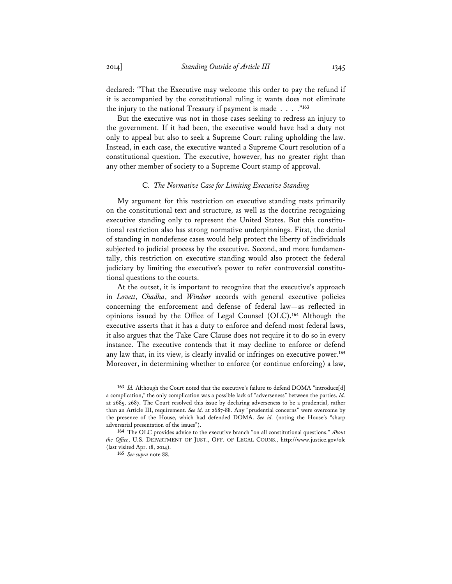declared: "That the Executive may welcome this order to pay the refund if it is accompanied by the constitutional ruling it wants does not eliminate the injury to the national Treasury if payment is made . . . ."**<sup>163</sup>**

But the executive was not in those cases seeking to redress an injury to the government. If it had been, the executive would have had a duty not only to appeal but also to seek a Supreme Court ruling upholding the law. Instead, in each case, the executive wanted a Supreme Court resolution of a constitutional question. The executive, however, has no greater right than any other member of society to a Supreme Court stamp of approval.

# C*. The Normative Case for Limiting Executive Standing*

My argument for this restriction on executive standing rests primarily on the constitutional text and structure, as well as the doctrine recognizing executive standing only to represent the United States. But this constitutional restriction also has strong normative underpinnings. First, the denial of standing in nondefense cases would help protect the liberty of individuals subjected to judicial process by the executive. Second, and more fundamentally, this restriction on executive standing would also protect the federal judiciary by limiting the executive's power to refer controversial constitutional questions to the courts.

At the outset, it is important to recognize that the executive's approach in *Lovett*, *Chadha*, and *Windsor* accords with general executive policies concerning the enforcement and defense of federal law—as reflected in opinions issued by the Office of Legal Counsel (OLC).**<sup>164</sup>** Although the executive asserts that it has a duty to enforce and defend most federal laws, it also argues that the Take Care Clause does not require it to do so in every instance. The executive contends that it may decline to enforce or defend any law that, in its view, is clearly invalid or infringes on executive power.**<sup>165</sup>** Moreover, in determining whether to enforce (or continue enforcing) a law,

**<sup>163</sup>** *Id.* Although the Court noted that the executive's failure to defend DOMA "introduce[d] a complication," the only complication was a possible lack of "adverseness" between the parties. *Id.* at 2685, 2687. The Court resolved this issue by declaring adverseness to be a prudential, rather than an Article III, requirement. *See id.* at 2687-88. Any "prudential concerns" were overcome by the presence of the House, which had defended DOMA. *See id.* (noting the House's "sharp adversarial presentation of the issues").

**<sup>164</sup>** The OLC provides advice to the executive branch "on all constitutional questions." *About the Office*, U.S. DEPARTMENT OF JUST., OFF. OF LEGAL COUNS., http://www.justice.gov/olc (last visited Apr. 18, 2014).

**<sup>165</sup>** *See supra* note 88.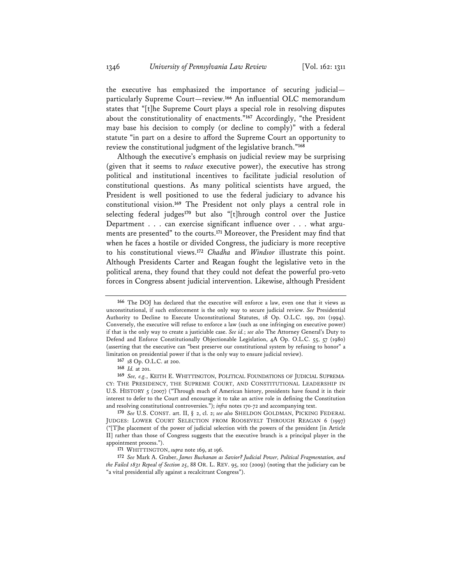the executive has emphasized the importance of securing judicial particularly Supreme Court—review.**<sup>166</sup>** An influential OLC memorandum states that "[t]he Supreme Court plays a special role in resolving disputes about the constitutionality of enactments."**<sup>167</sup>** Accordingly, "the President may base his decision to comply (or decline to comply)" with a federal statute "in part on a desire to afford the Supreme Court an opportunity to review the constitutional judgment of the legislative branch."**<sup>168</sup>**

Although the executive's emphasis on judicial review may be surprising (given that it seems to *reduce* executive power), the executive has strong political and institutional incentives to facilitate judicial resolution of constitutional questions. As many political scientists have argued, the President is well positioned to use the federal judiciary to advance his constitutional vision.**<sup>169</sup>** The President not only plays a central role in selecting federal judges**<sup>170</sup>** but also "[t]hrough control over the Justice Department . . . can exercise significant influence over . . . what arguments are presented" to the courts.**<sup>171</sup>** Moreover, the President may find that when he faces a hostile or divided Congress, the judiciary is more receptive to his constitutional views.**<sup>172</sup>** *Chadha* and *Windsor* illustrate this point. Although Presidents Carter and Reagan fought the legislative veto in the political arena, they found that they could not defeat the powerful pro-veto forces in Congress absent judicial intervention. Likewise, although President

**170** *See* U.S. CONST. art. II, § 2, cl. 2; *see also* SHELDON GOLDMAN, PICKING FEDERAL JUDGES: LOWER COURT SELECTION FROM ROOSEVELT THROUGH REAGAN 6 (1997) ("[T]he placement of the power of judicial selection with the powers of the president [in Article II] rather than those of Congress suggests that the executive branch is a principal player in the appointment process.").

**<sup>166</sup>** The DOJ has declared that the executive will enforce a law, even one that it views as unconstitutional, if such enforcement is the only way to secure judicial review. *See* Presidential Authority to Decline to Execute Unconstitutional Statutes, 18 Op. O.L.C. 199, 201 (1994). Conversely, the executive will refuse to enforce a law (such as one infringing on executive power) if that is the only way to create a justiciable case. *See id.*; *see also* The Attorney General's Duty to Defend and Enforce Constitutionally Objectionable Legislation, 4A Op. O.L.C. 55, 57 (1980) (asserting that the executive can "best preserve our constitutional system by refusing to honor" a limitation on presidential power if that is the only way to ensure judicial review).

**<sup>167</sup>** 18 Op. O.L.C. at 200.

**<sup>168</sup>** *Id.* at 201.

**<sup>169</sup>** *See, e.g.*, KEITH E. WHITTINGTON, POLITICAL FOUNDATIONS OF JUDICIAL SUPREMA-CY: THE PRESIDENCY, THE SUPREME COURT, AND CONSTITUTIONAL LEADERSHIP IN U.S. HISTORY 5 (2007) ("Through much of American history, presidents have found it in their interest to defer to the Court and encourage it to take an active role in defining the Constitution and resolving constitutional controversies."); *infra* notes 170-72 and accompanying text.

**<sup>171</sup>** WHITTINGTON, *supra* note 169, at 196.

**<sup>172</sup>** *See* Mark A. Graber, *James Buchanan as Savior? Judicial Power, Political Fragmentation, and the Failed 1831 Repeal of Section 25*, 88 OR. L. REV. 95, 102 (2009) (noting that the judiciary can be "a vital presidential ally against a recalcitrant Congress").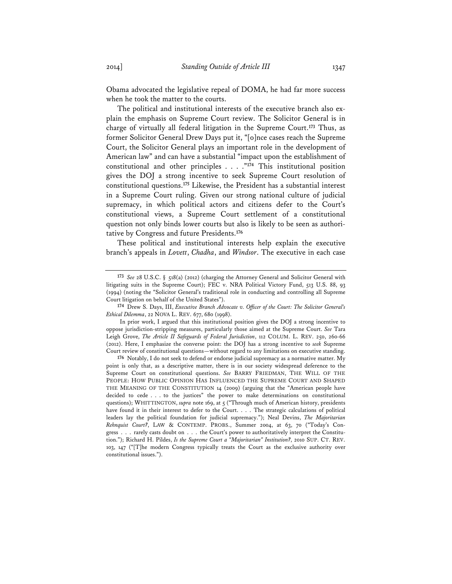Obama advocated the legislative repeal of DOMA, he had far more success when he took the matter to the courts.

The political and institutional interests of the executive branch also explain the emphasis on Supreme Court review. The Solicitor General is in charge of virtually all federal litigation in the Supreme Court.**<sup>173</sup>** Thus, as former Solicitor General Drew Days put it, "[o]nce cases reach the Supreme Court, the Solicitor General plays an important role in the development of American law" and can have a substantial "impact upon the establishment of constitutional and other principles . . . ."**<sup>174</sup>** This institutional position gives the DOJ a strong incentive to seek Supreme Court resolution of constitutional questions.**<sup>175</sup>** Likewise, the President has a substantial interest in a Supreme Court ruling. Given our strong national culture of judicial supremacy, in which political actors and citizens defer to the Court's constitutional views, a Supreme Court settlement of a constitutional question not only binds lower courts but also is likely to be seen as authoritative by Congress and future Presidents.**<sup>176</sup>**

These political and institutional interests help explain the executive branch's appeals in *Lovett*, *Chadha*, and *Windsor*. The executive in each case

**174** Drew S. Days, III, *Executive Branch Advocate v. Officer of the Court: The Solicitor General's Ethical Dilemma*, 22 NOVA L. REV. 677, 680 (1998).

**<sup>173</sup>** *See* 28 U.S.C. § 518(a) (2012) (charging the Attorney General and Solicitor General with litigating suits in the Supreme Court); FEC v. NRA Political Victory Fund, 513 U.S. 88, 93 (1994) (noting the "Solicitor General's traditional role in conducting and controlling all Supreme Court litigation on behalf of the United States").

In prior work, I argued that this institutional position gives the DOJ a strong incentive to oppose jurisdiction-stripping measures, particularly those aimed at the Supreme Court. *See* Tara Leigh Grove, *The Article II Safeguards of Federal Jurisdiction*, 112 COLUM. L. REV. 250, 260-66 (2012). Here, I emphasize the converse point: the DOJ has a strong incentive to *seek* Supreme Court review of constitutional questions—without regard to any limitations on executive standing.

**<sup>176</sup>** Notably, I do not seek to defend or endorse judicial supremacy as a normative matter. My point is only that, as a descriptive matter, there is in our society widespread deference to the Supreme Court on constitutional questions. *See* BARRY FRIEDMAN, THE WILL OF THE PEOPLE: HOW PUBLIC OPINION HAS INFLUENCED THE SUPREME COURT AND SHAPED THE MEANING OF THE CONSTITUTION 14 (2009) (arguing that the "American people have decided to cede . . . to the justices" the power to make determinations on constitutional questions); WHITTINGTON, *supra* note 169, at 5 ("Through much of American history, presidents have found it in their interest to defer to the Court. . . . The strategic calculations of political leaders lay the political foundation for judicial supremacy."); Neal Devins, *The Majoritarian Rehnquist Court?*, LAW & CONTEMP. PROBS., Summer 2004, at 63, 70 ("Today's Congress . . . rarely casts doubt on . . . the Court's power to authoritatively interpret the Constitution."); Richard H. Pildes, *Is the Supreme Court a "Majoritarian" Institution?*, 2010 SUP. CT. REV. 103, 147 ("[T]he modern Congress typically treats the Court as the exclusive authority over constitutional issues.").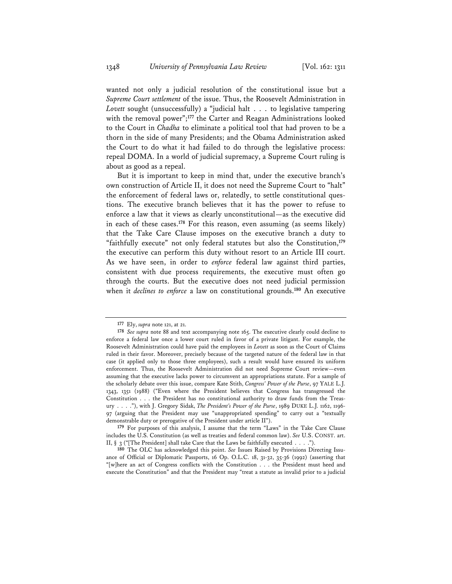wanted not only a judicial resolution of the constitutional issue but a *Supreme Court settlement* of the issue. Thus, the Roosevelt Administration in *Lovett* sought (unsuccessfully) a "judicial halt . . . to legislative tampering with the removal power";**<sup>177</sup>** the Carter and Reagan Administrations looked to the Court in *Chadha* to eliminate a political tool that had proven to be a thorn in the side of many Presidents; and the Obama Administration asked the Court to do what it had failed to do through the legislative process: repeal DOMA. In a world of judicial supremacy, a Supreme Court ruling is about as good as a repeal.

But it is important to keep in mind that, under the executive branch's own construction of Article II, it does not need the Supreme Court to "halt" the enforcement of federal laws or, relatedly, to settle constitutional questions. The executive branch believes that it has the power to refuse to enforce a law that it views as clearly unconstitutional—as the executive did in each of these cases.**<sup>178</sup>** For this reason, even assuming (as seems likely) that the Take Care Clause imposes on the executive branch a duty to "faithfully execute" not only federal statutes but also the Constitution,**<sup>179</sup>** the executive can perform this duty without resort to an Article III court. As we have seen, in order to *enforce* federal law against third parties, consistent with due process requirements, the executive must often go through the courts. But the executive does not need judicial permission when it *declines to enforce* a law on constitutional grounds.**<sup>180</sup>** An executive

**<sup>177</sup>** Ely, *supra* note 121, at 21.

**<sup>178</sup>** *See supra* note 88 and text accompanying note 165. The executive clearly could decline to enforce a federal law once a lower court ruled in favor of a private litigant. For example, the Roosevelt Administration could have paid the employees in *Lovett* as soon as the Court of Claims ruled in their favor. Moreover, precisely because of the targeted nature of the federal law in that case (it applied only to those three employees), such a result would have ensured its uniform enforcement. Thus, the Roosevelt Administration did not need Supreme Court review—even assuming that the executive lacks power to circumvent an appropriations statute. For a sample of the scholarly debate over this issue, compare Kate Stith, *Congress' Power of the Purse*, 97 YALE L.J. 1343, 1351 (1988) ("Even where the President believes that Congress has transgressed the Constitution . . . the President has no constitutional authority to draw funds from the Treasury . . . ."), with J. Gregory Sidak, *The President's Power of the Purse*, 1989 DUKE L.J. 1162, 1196- 97 (arguing that the President may use "unappropriated spending" to carry out a "textually demonstrable duty or prerogative of the President under article II").

**<sup>179</sup>** For purposes of this analysis, I assume that the term "Laws" in the Take Care Clause includes the U.S. Constitution (as well as treaties and federal common law). *See* U.S. CONST. art. II,  $\S$  3 ("[The President] shall take Care that the Laws be faithfully executed . . . .").

**<sup>180</sup>** The OLC has acknowledged this point. *See* Issues Raised by Provisions Directing Issuance of Official or Diplomatic Passports, 16 Op. O.L.C. 18, 31-32, 35-36 (1992) (asserting that "[w]here an act of Congress conflicts with the Constitution . . . the President must heed and execute the Constitution" and that the President may "treat a statute as invalid prior to a judicial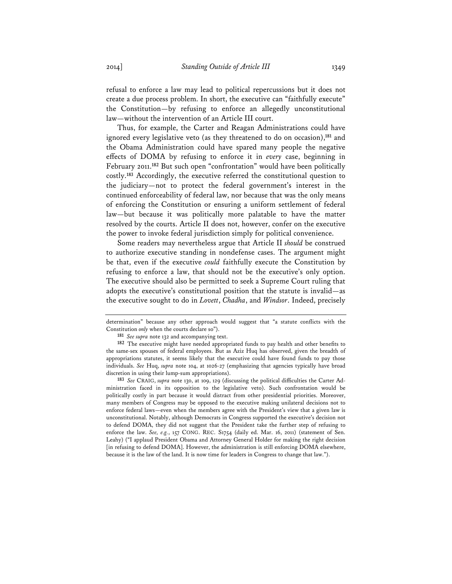refusal to enforce a law may lead to political repercussions but it does not create a due process problem. In short, the executive can "faithfully execute" the Constitution—by refusing to enforce an allegedly unconstitutional law—without the intervention of an Article III court.

Thus, for example, the Carter and Reagan Administrations could have ignored every legislative veto (as they threatened to do on occasion),**<sup>181</sup>** and the Obama Administration could have spared many people the negative effects of DOMA by refusing to enforce it in *every* case, beginning in February 2011.**<sup>182</sup>** But such open "confrontation" would have been politically costly.**<sup>183</sup>** Accordingly, the executive referred the constitutional question to the judiciary—not to protect the federal government's interest in the continued enforceability of federal law, nor because that was the only means of enforcing the Constitution or ensuring a uniform settlement of federal law—but because it was politically more palatable to have the matter resolved by the courts. Article II does not, however, confer on the executive the power to invoke federal jurisdiction simply for political convenience.

Some readers may nevertheless argue that Article II *should* be construed to authorize executive standing in nondefense cases. The argument might be that, even if the executive *could* faithfully execute the Constitution by refusing to enforce a law, that should not be the executive's only option. The executive should also be permitted to seek a Supreme Court ruling that adopts the executive's constitutional position that the statute is invalid—as the executive sought to do in *Lovett*, *Chadha*, and *Windsor*. Indeed, precisely

determination" because any other approach would suggest that "a statute conflicts with the Constitution *only* when the courts declare so").

**<sup>181</sup>** *See supra* note 132 and accompanying text.

**<sup>182</sup>** The executive might have needed appropriated funds to pay health and other benefits to the same-sex spouses of federal employees. But as Aziz Huq has observed, given the breadth of appropriations statutes, it seems likely that the executive could have found funds to pay those individuals. *See* Huq, *supra* note 104, at 1026-27 (emphasizing that agencies typically have broad discretion in using their lump-sum appropriations).

**<sup>183</sup>** *See* CRAIG, *supra* note 130, at 109, 129 (discussing the political difficulties the Carter Administration faced in its opposition to the legislative veto). Such confrontation would be politically costly in part because it would distract from other presidential priorities. Moreover, many members of Congress may be opposed to the executive making unilateral decisions not to enforce federal laws—even when the members agree with the President's view that a given law is unconstitutional. Notably, although Democrats in Congress supported the executive's decision not to defend DOMA, they did not suggest that the President take the further step of refusing to enforce the law. See, e.g., 157 CONG. REC. S1754 (daily ed. Mar. 16, 2011) (statement of Sen. Leahy) ("I applaud President Obama and Attorney General Holder for making the right decision [in refusing to defend DOMA]. However, the administration is still enforcing DOMA elsewhere, because it is the law of the land. It is now time for leaders in Congress to change that law.").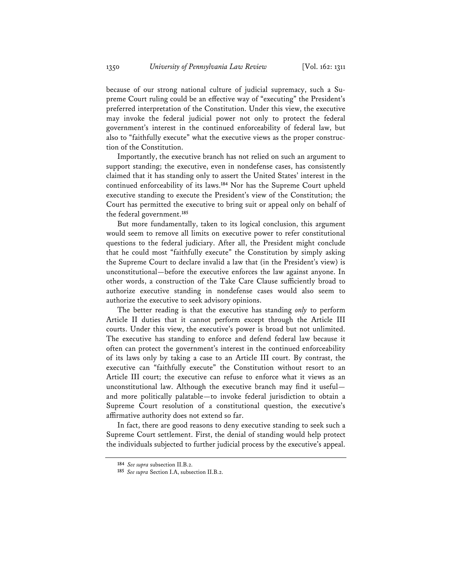because of our strong national culture of judicial supremacy, such a Supreme Court ruling could be an effective way of "executing" the President's preferred interpretation of the Constitution. Under this view, the executive may invoke the federal judicial power not only to protect the federal government's interest in the continued enforceability of federal law, but also to "faithfully execute" what the executive views as the proper construction of the Constitution.

Importantly, the executive branch has not relied on such an argument to support standing; the executive, even in nondefense cases, has consistently claimed that it has standing only to assert the United States' interest in the continued enforceability of its laws.**<sup>184</sup>** Nor has the Supreme Court upheld executive standing to execute the President's view of the Constitution; the Court has permitted the executive to bring suit or appeal only on behalf of the federal government.**<sup>185</sup>**

But more fundamentally, taken to its logical conclusion, this argument would seem to remove all limits on executive power to refer constitutional questions to the federal judiciary. After all, the President might conclude that he could most "faithfully execute" the Constitution by simply asking the Supreme Court to declare invalid a law that (in the President's view) is unconstitutional—before the executive enforces the law against anyone. In other words, a construction of the Take Care Clause sufficiently broad to authorize executive standing in nondefense cases would also seem to authorize the executive to seek advisory opinions.

The better reading is that the executive has standing *only* to perform Article II duties that it cannot perform except through the Article III courts. Under this view, the executive's power is broad but not unlimited. The executive has standing to enforce and defend federal law because it often can protect the government's interest in the continued enforceability of its laws only by taking a case to an Article III court. By contrast, the executive can "faithfully execute" the Constitution without resort to an Article III court; the executive can refuse to enforce what it views as an unconstitutional law. Although the executive branch may find it useful and more politically palatable—to invoke federal jurisdiction to obtain a Supreme Court resolution of a constitutional question, the executive's affirmative authority does not extend so far.

In fact, there are good reasons to deny executive standing to seek such a Supreme Court settlement. First, the denial of standing would help protect the individuals subjected to further judicial process by the executive's appeal.

**<sup>184</sup>** *See supra* subsection II.B.2.

**<sup>185</sup>** *See supra* Section I.A, subsection II.B.2.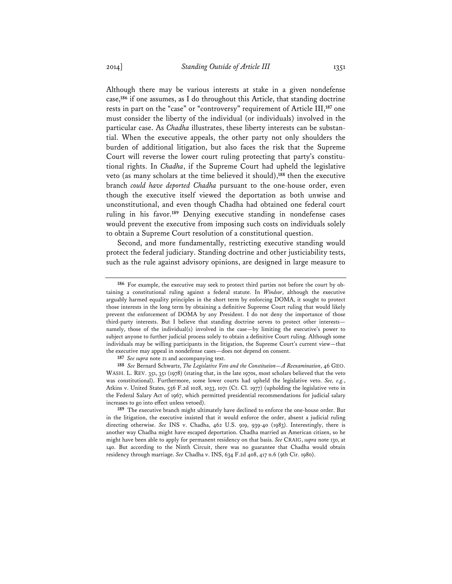Although there may be various interests at stake in a given nondefense case,**<sup>186</sup>** if one assumes, as I do throughout this Article, that standing doctrine rests in part on the "case" or "controversy" requirement of Article III,**<sup>187</sup>** one must consider the liberty of the individual (or individuals) involved in the particular case. As *Chadha* illustrates, these liberty interests can be substantial. When the executive appeals, the other party not only shoulders the burden of additional litigation, but also faces the risk that the Supreme Court will reverse the lower court ruling protecting that party's constitutional rights. In *Chadha*, if the Supreme Court had upheld the legislative veto (as many scholars at the time believed it should),**<sup>188</sup>** then the executive branch *could have deported Chadha* pursuant to the one-house order, even though the executive itself viewed the deportation as both unwise and unconstitutional, and even though Chadha had obtained one federal court ruling in his favor.**<sup>189</sup>** Denying executive standing in nondefense cases would prevent the executive from imposing such costs on individuals solely to obtain a Supreme Court resolution of a constitutional question.

Second, and more fundamentally, restricting executive standing would protect the federal judiciary. Standing doctrine and other justiciability tests, such as the rule against advisory opinions, are designed in large measure to

**<sup>186</sup>** For example, the executive may seek to protect third parties not before the court by obtaining a constitutional ruling against a federal statute. In *Windsor*, although the executive arguably harmed equality principles in the short term by enforcing DOMA, it sought to protect those interests in the long term by obtaining a definitive Supreme Court ruling that would likely prevent the enforcement of DOMA by any President. I do not deny the importance of those third-party interests. But I believe that standing doctrine serves to protect other interests namely, those of the individual(s) involved in the case—by limiting the executive's power to subject anyone to further judicial process solely to obtain a definitive Court ruling. Although some individuals may be willing participants in the litigation, the Supreme Court's current view—that the executive may appeal in nondefense cases—does not depend on consent.

**<sup>187</sup>** *See supra* note 21 and accompanying text.

**<sup>188</sup>** *See* Bernard Schwartz, *The Legislative Veto and the Constitution—A Reexamination*, 46 GEO. WASH. L. REV. 351, 351 (1978) (stating that, in the late 1970s, most scholars believed that the veto was constitutional). Furthermore, some lower courts had upheld the legislative veto. *See, e.g.*, Atkins v. United States, 556 F.2d 1028, 1033, 1071 (Ct. Cl. 1977) (upholding the legislative veto in the Federal Salary Act of 1967, which permitted presidential recommendations for judicial salary increases to go into effect unless vetoed).

**<sup>189</sup>** The executive branch might ultimately have declined to enforce the one-house order. But in the litigation, the executive insisted that it would enforce the order, absent a judicial ruling directing otherwise. *See* INS v. Chadha, 462 U.S. 919, 939-40 (1983). Interestingly, there is another way Chadha might have escaped deportation. Chadha married an American citizen, so he might have been able to apply for permanent residency on that basis. *See* CRAIG, *supra* note 130, at 140. But according to the Ninth Circuit, there was no guarantee that Chadha would obtain residency through marriage. *See* Chadha v. INS, 634 F.2d 408, 417 n.6 (9th Cir. 1980).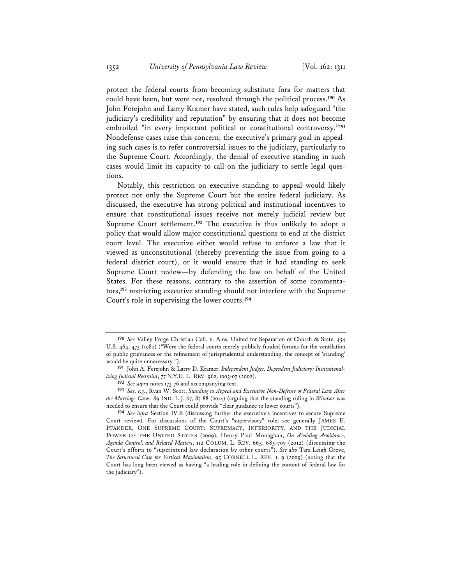protect the federal courts from becoming substitute fora for matters that could have been, but were not, resolved through the political process.**<sup>190</sup>** As John Ferejohn and Larry Kramer have stated, such rules help safeguard "the judiciary's credibility and reputation" by ensuring that it does not become embroiled "in every important political or constitutional controversy."**<sup>191</sup>** Nondefense cases raise this concern; the executive's primary goal in appealing such cases is to refer controversial issues to the judiciary, particularly to the Supreme Court. Accordingly, the denial of executive standing in such cases would limit its capacity to call on the judiciary to settle legal questions.

Notably, this restriction on executive standing to appeal would likely protect not only the Supreme Court but the entire federal judiciary. As discussed, the executive has strong political and institutional incentives to ensure that constitutional issues receive not merely judicial review but Supreme Court settlement.**<sup>192</sup>** The executive is thus unlikely to adopt a policy that would allow major constitutional questions to end at the district court level. The executive either would refuse to enforce a law that it viewed as unconstitutional (thereby preventing the issue from going to a federal district court), or it would ensure that it had standing to seek Supreme Court review—by defending the law on behalf of the United States. For these reasons, contrary to the assertion of some commentators,**<sup>193</sup>** restricting executive standing should not interfere with the Supreme Court's role in supervising the lower courts.**<sup>194</sup>**

**<sup>190</sup>** *See* Valley Forge Christian Coll. v. Ams. United for Separation of Church & State, 454 U.S. 464, 473 (1982) ("Were the federal courts merely publicly funded forums for the ventilation of public grievances or the refinement of jurisprudential understanding, the concept of 'standing' would be quite unnecessary.").

**<sup>191</sup>** John A. Ferejohn & Larry D. Kramer, *Independent Judges, Dependent Judiciary: Institutionalizing Judicial Restraint*, 77 N.Y.U. L. REV. 962, 1003-07 (2002).

**<sup>192</sup>** *See supra* notes 173-76 and accompanying text.

**<sup>193</sup>** *See, e.g.*, Ryan W. Scott, *Standing to Appeal and Executive Non-Defense of Federal Law After the Marriage Cases*, 89 IND. L.J. 67, 87-88 (2014) (arguing that the standing ruling in *Windsor* was needed to ensure that the Court could provide "clear guidance to lower courts").

**<sup>194</sup>** *See infra* Section IV.B (discussing further the executive's incentives to secure Supreme Court review). For discussions of the Court's "supervisory" role, see generally JAMES E. PFANDER, ONE SUPREME COURT: SUPREMACY, INFERIORITY, AND THE JUDICIAL POWER OF THE UNITED STATES (2009); Henry Paul Monaghan, *On Avoiding Avoidance, Agenda Control, and Related Matters*, 112 COLUM. L. REV. 665, 685-707 (2012) (discussing the Court's efforts to "superintend law declaration by other courts"). *See also* Tara Leigh Grove, *The Structural Case for Vertical Maximalism*, 95 CORNELL L. REV. 1, 9 (2009) (noting that the Court has long been viewed as having "a leading role in defining the content of federal law for the judiciary").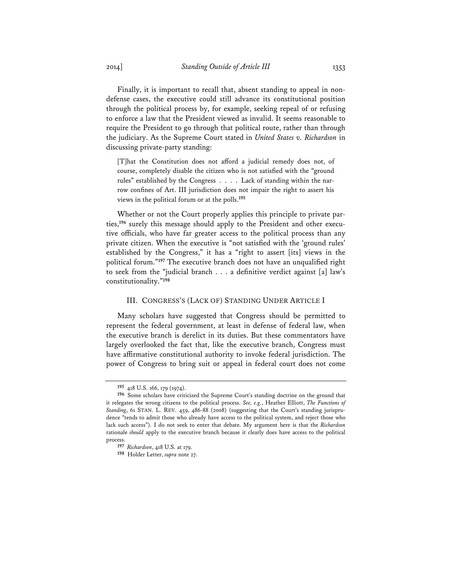Finally, it is important to recall that, absent standing to appeal in nondefense cases, the executive could still advance its constitutional position through the political process by, for example, seeking repeal of or refusing to enforce a law that the President viewed as invalid. It seems reasonable to require the President to go through that political route, rather than through the judiciary. As the Supreme Court stated in *United States v. Richardson* in discussing private-party standing:

[T]hat the Constitution does not afford a judicial remedy does not, of course, completely disable the citizen who is not satisfied with the "ground rules" established by the Congress . . . . Lack of standing within the narrow confines of Art. III jurisdiction does not impair the right to assert his views in the political forum or at the polls.**<sup>195</sup>**

Whether or not the Court properly applies this principle to private parties,**196** surely this message should apply to the President and other executive officials, who have far greater access to the political process than any private citizen. When the executive is "not satisfied with the 'ground rules' established by the Congress," it has a "right to assert [its] views in the political forum."**<sup>197</sup>** The executive branch does not have an unqualified right to seek from the "judicial branch . . . a definitive verdict against [a] law's constitutionality."**<sup>198</sup>**

# III. CONGRESS'S (LACK OF) STANDING UNDER ARTICLE I

Many scholars have suggested that Congress should be permitted to represent the federal government, at least in defense of federal law, when the executive branch is derelict in its duties. But these commentators have largely overlooked the fact that, like the executive branch, Congress must have affirmative constitutional authority to invoke federal jurisdiction. The power of Congress to bring suit or appeal in federal court does not come

**<sup>195</sup>** 418 U.S. 166, 179 (1974).

**<sup>196</sup>** Some scholars have criticized the Supreme Court's standing doctrine on the ground that it relegates the wrong citizens to the political process. *See, e.g.*, Heather Elliott, *The Functions of Standing*, 61 STAN. L. REV. 459, 486-88 (2008) (suggesting that the Court's standing jurisprudence "tends to admit those who already have access to the political system, and reject those who lack such access"). I do not seek to enter that debate. My argument here is that the *Richardson* rationale *should* apply to the executive branch because it clearly does have access to the political process.

**<sup>197</sup>** *Richardson*, 418 U.S. at 179.

**<sup>198</sup>** Holder Letter, *supra* note 27.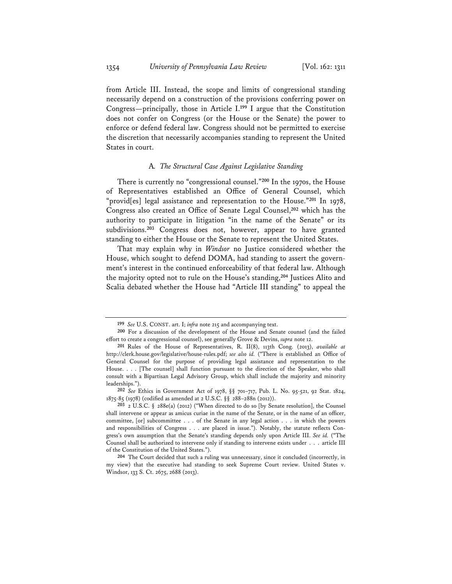from Article III. Instead, the scope and limits of congressional standing necessarily depend on a construction of the provisions conferring power on Congress—principally, those in Article I.**<sup>199</sup>** I argue that the Constitution does not confer on Congress (or the House or the Senate) the power to enforce or defend federal law. Congress should not be permitted to exercise the discretion that necessarily accompanies standing to represent the United States in court.

# A*. The Structural Case Against Legislative Standing*

There is currently no "congressional counsel."**<sup>200</sup>** In the 1970s, the House of Representatives established an Office of General Counsel, which "provid[es] legal assistance and representation to the House."**<sup>201</sup>** In 1978, Congress also created an Office of Senate Legal Counsel,**<sup>202</sup>** which has the authority to participate in litigation "in the name of the Senate" or its subdivisions.**<sup>203</sup>** Congress does not, however, appear to have granted standing to either the House or the Senate to represent the United States.

That may explain why in *Windsor* no Justice considered whether the House, which sought to defend DOMA, had standing to assert the government's interest in the continued enforceability of that federal law. Although the majority opted not to rule on the House's standing,**<sup>204</sup>** Justices Alito and Scalia debated whether the House had "Article III standing" to appeal the

**<sup>199</sup>** *See* U.S. CONST. art. I; *infra* note 215 and accompanying text.

**<sup>200</sup>** For a discussion of the development of the House and Senate counsel (and the failed effort to create a congressional counsel), see generally Grove & Devins, *supra* note 12.

**<sup>201</sup>** Rules of the House of Representatives, R. II(8), 113th Cong. (2013), *available at* http://clerk.house.gov/legislative/house-rules.pdf; *see also id.* ("There is established an Office of General Counsel for the purpose of providing legal assistance and representation to the House. . . . [The counsel] shall function pursuant to the direction of the Speaker, who shall consult with a Bipartisan Legal Advisory Group, which shall include the majority and minority leaderships.").

**<sup>202</sup>** *See* Ethics in Government Act of 1978, §§ 701–717, Pub. L. No. 95-521, 92 Stat. 1824, 1875-85 (1978) (codified as amended at 2 U.S.C. §§ 288–288n (2012)).

**<sup>203</sup>** 2 U.S.C. § 288e(a) (2012) ("When directed to do so [by Senate resolution], the Counsel shall intervene or appear as amicus curiae in the name of the Senate, or in the name of an officer, committee, [or] subcommittee . . . of the Senate in any legal action . . . in which the powers and responsibilities of Congress . . . are placed in issue."). Notably, the statute reflects Congress's own assumption that the Senate's standing depends only upon Article III. *See id.* ("The Counsel shall be authorized to intervene only if standing to intervene exists under . . . article III of the Constitution of the United States.").

**<sup>204</sup>** The Court decided that such a ruling was unnecessary, since it concluded (incorrectly, in my view) that the executive had standing to seek Supreme Court review. United States v. Windsor, 133 S. Ct. 2675, 2688 (2013).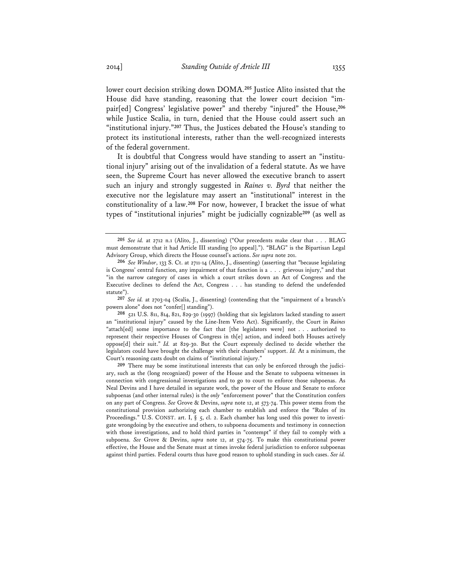lower court decision striking down DOMA.**<sup>205</sup>** Justice Alito insisted that the House did have standing, reasoning that the lower court decision "impair[ed] Congress' legislative power" and thereby "injured" the House,**<sup>206</sup>** while Justice Scalia, in turn, denied that the House could assert such an "institutional injury."**<sup>207</sup>** Thus, the Justices debated the House's standing to protect its institutional interests, rather than the well-recognized interests of the federal government.

It is doubtful that Congress would have standing to assert an "institutional injury" arising out of the invalidation of a federal statute. As we have seen, the Supreme Court has never allowed the executive branch to assert such an injury and strongly suggested in *Raines v. Byrd* that neither the executive nor the legislature may assert an "institutional" interest in the constitutionality of a law.**<sup>208</sup>** For now, however, I bracket the issue of what types of "institutional injuries" might be judicially cognizable**<sup>209</sup>** (as well as

**207** *See id.* at 2703-04 (Scalia, J., dissenting) (contending that the "impairment of a branch's powers alone" does not "confer[] standing").

**208** 521 U.S. 811, 814, 821, 829-30 (1997) (holding that six legislators lacked standing to assert an "institutional injury" caused by the Line-Item Veto Act). Significantly, the Court in *Raines* "attach[ed] some importance to the fact that [the legislators were] not . . . authorized to represent their respective Houses of Congress in th[e] action, and indeed both Houses actively oppose[d] their suit." *Id.* at 829-30. But the Court expressly declined to decide whether the legislators could have brought the challenge with their chambers' support. *Id.* At a minimum, the Court's reasoning casts doubt on claims of "institutional injury."

**209** There may be some institutional interests that can only be enforced through the judiciary, such as the (long recognized) power of the House and the Senate to subpoena witnesses in connection with congressional investigations and to go to court to enforce those subpoenas. As Neal Devins and I have detailed in separate work, the power of the House and Senate to enforce subpoenas (and other internal rules) is the *only* "enforcement power" that the Constitution confers on any part of Congress. *See* Grove & Devins, *supra* note 12, at 573-74. This power stems from the constitutional provision authorizing each chamber to establish and enforce the "Rules of its Proceedings." U.S. CONST. art. I, § 5, cl. 2. Each chamber has long used this power to investigate wrongdoing by the executive and others, to subpoena documents and testimony in connection with those investigations, and to hold third parties in "contempt" if they fail to comply with a subpoena. *See* Grove & Devins, *supra* note 12, at 574-75. To make this constitutional power effective, the House and the Senate must at times invoke federal jurisdiction to enforce subpoenas against third parties. Federal courts thus have good reason to uphold standing in such cases. *See id.*

**<sup>205</sup>** *See id.* at 2712 n.1 (Alito, J., dissenting) ("Our precedents make clear that . . . BLAG must demonstrate that it had Article III standing [to appeal]."). "BLAG" is the Bipartisan Legal Advisory Group, which directs the House counsel's actions. *See supra* note 201.

**<sup>206</sup>** *See Windsor*, 133 S. Ct. at 2711-14 (Alito, J., dissenting) (asserting that "because legislating is Congress' central function, any impairment of that function is a . . . grievous injury," and that "in the narrow category of cases in which a court strikes down an Act of Congress and the Executive declines to defend the Act, Congress . . . has standing to defend the undefended statute").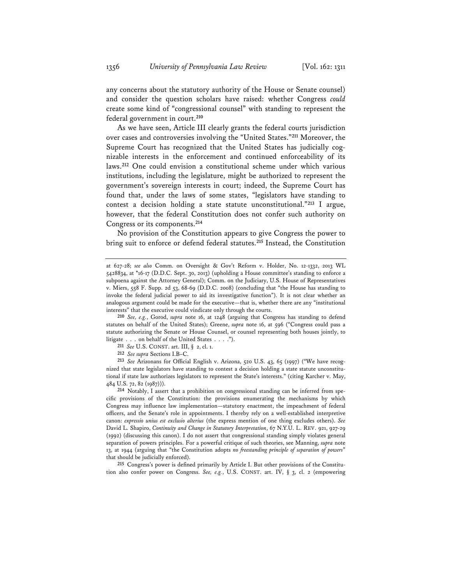any concerns about the statutory authority of the House or Senate counsel) and consider the question scholars have raised: whether Congress *could* create some kind of "congressional counsel" with standing to represent the federal government in court.**<sup>210</sup>**

As we have seen, Article III clearly grants the federal courts jurisdiction over cases and controversies involving the "United States."**<sup>211</sup>** Moreover, the Supreme Court has recognized that the United States has judicially cognizable interests in the enforcement and continued enforceability of its laws.**<sup>212</sup>** One could envision a constitutional scheme under which various institutions, including the legislature, might be authorized to represent the government's sovereign interests in court; indeed, the Supreme Court has found that, under the laws of some states, "legislators have standing to contest a decision holding a state statute unconstitutional."**<sup>213</sup>** I argue, however, that the federal Constitution does not confer such authority on Congress or its components.**<sup>214</sup>**

No provision of the Constitution appears to give Congress the power to bring suit to enforce or defend federal statutes.**<sup>215</sup>** Instead, the Constitution

**210** *See, e.g.*, Gorod, *supra* note 16, at 1248 (arguing that Congress has standing to defend statutes on behalf of the United States); Greene, *supra* note 16, at 596 ("Congress could pass a statute authorizing the Senate or House Counsel, or counsel representing both houses jointly, to litigate . . . on behalf of the United States . . . .").

**211** *See* U.S. CONST. art. III, § 2, cl. 1.

**215** Congress's power is defined primarily by Article I. But other provisions of the Constitution also confer power on Congress. *See, e.g.*, U.S. CONST. art. IV, § 3, cl. 2 (empowering

at 627-28; *see also* Comm. on Oversight & Gov't Reform v. Holder, No. 12-1332, 2013 WL 5428834, at \*16-17 (D.D.C. Sept. 30, 2013) (upholding a House committee's standing to enforce a subpoena against the Attorney General); Comm. on the Judiciary, U.S. House of Representatives v. Miers, 558 F. Supp. 2d 53, 68-69 (D.D.C. 2008) (concluding that "the House has standing to invoke the federal judicial power to aid its investigative function"). It is not clear whether an analogous argument could be made for the executive—that is, whether there are any "institutional interests" that the executive could vindicate only through the courts.

**<sup>212</sup>** *See supra* Sections I.B–C.

**<sup>213</sup>** *See* Arizonans for Official English v. Arizona, 520 U.S. 43, 65 (1997) ("We have recognized that state legislators have standing to contest a decision holding a state statute unconstitutional if state law authorizes legislators to represent the State's interests." (citing Karcher v. May, 484 U.S. 72, 82 (1987))).

**<sup>214</sup>** Notably, I assert that a prohibition on congressional standing can be inferred from specific provisions of the Constitution: the provisions enumerating the mechanisms by which Congress may influence law implementation—statutory enactment, the impeachment of federal officers, and the Senate's role in appointments. I thereby rely on a well-established interpretive canon: *expressio unius est exclusio alterius* (the express mention of one thing excludes others). *See* David L. Shapiro, *Continuity and Change in Statutory Interpretation*, 67 N.Y.U. L. REV. 921, 927-29 (1992) (discussing this canon). I do not assert that congressional standing simply violates general separation of powers principles. For a powerful critique of such theories, see Manning, *supra* note 13, at 1944 (arguing that "the Constitution adopts *no freestanding principle of separation of powers*" that should be judicially enforced).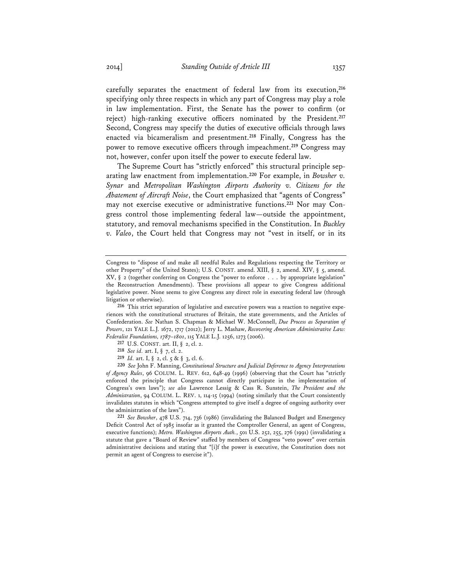carefully separates the enactment of federal law from its execution,**<sup>216</sup>** specifying only three respects in which any part of Congress may play a role in law implementation. First, the Senate has the power to confirm (or reject) high-ranking executive officers nominated by the President.**<sup>217</sup>** Second, Congress may specify the duties of executive officials through laws enacted via bicameralism and presentment.**<sup>218</sup>** Finally, Congress has the power to remove executive officers through impeachment.**<sup>219</sup>** Congress may not, however, confer upon itself the power to execute federal law.

The Supreme Court has "strictly enforced" this structural principle separating law enactment from implementation.**<sup>220</sup>** For example, in *Bowsher v. Synar* and *Metropolitan Washington Airports Authority v. Citizens for the Abatement of Aircraft Noise*, the Court emphasized that "agents of Congress" may not exercise executive or administrative functions.**221** Nor may Congress control those implementing federal law—outside the appointment, statutory, and removal mechanisms specified in the Constitution. In *Buckley v. Valeo*, the Court held that Congress may not "vest in itself, or in its

- **218** *See id.* art. I, § 7, cl. 2.
- **219** *Id.* art. I, § 2, cl. 5 & § 3, cl. 6.

**220** *See* John F. Manning, *Constitutional Structure and Judicial Deference to Agency Interpretations of Agency Rules*, 96 COLUM. L. REV. 612, 648-49 (1996) (observing that the Court has "strictly enforced the principle that Congress cannot directly participate in the implementation of Congress's own laws"); *see also* Lawrence Lessig & Cass R. Sunstein, *The President and the Administration*, 94 COLUM. L. REV. 1, 114-15 (1994) (noting similarly that the Court consistently invalidates statutes in which "Congress attempted to give itself a degree of ongoing authority over the administration of the laws").

**221** *See Bowsher*, 478 U.S. 714, 736 (1986) (invalidating the Balanced Budget and Emergency Deficit Control Act of 1985 insofar as it granted the Comptroller General, an agent of Congress, executive functions); *Metro. Washington Airports Auth.*, 501 U.S. 252, 255, 276 (1991) (invalidating a statute that gave a "Board of Review" staffed by members of Congress "veto power" over certain administrative decisions and stating that "[i]f the power is executive, the Constitution does not permit an agent of Congress to exercise it").

Congress to "dispose of and make all needful Rules and Regulations respecting the Territory or other Property" of the United States); U.S. CONST. amend. XIII, § 2, amend. XIV, § 5, amend. XV, § 2 (together conferring on Congress the "power to enforce . . . by appropriate legislation" the Reconstruction Amendments). These provisions all appear to give Congress additional legislative power. None seems to give Congress any direct role in executing federal law (through litigation or otherwise).

**<sup>216</sup>** This strict separation of legislative and executive powers was a reaction to negative experiences with the constitutional structures of Britain, the state governments, and the Articles of Confederation. *See* Nathan S. Chapman & Michael W. McConnell, *Due Process as Separation of Powers*, 121 YALE L.J. 1672, 1717 (2012); Jerry L. Mashaw, *Recovering American Administrative Law: Federalist Foundations, 1787–1801*, 115 YALE L.J. 1256, 1273 (2006).

**<sup>217</sup>** U.S. CONST. art. II, § 2, cl. 2.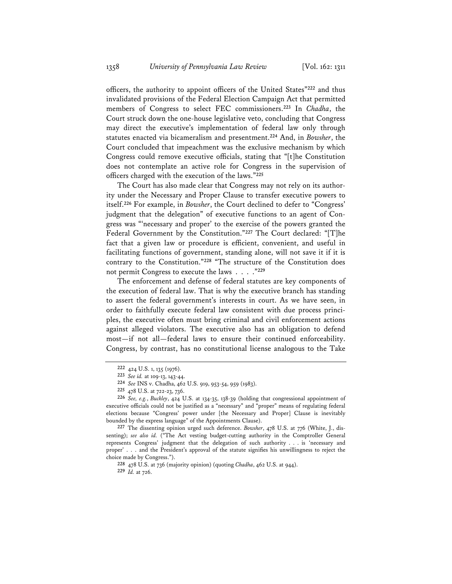officers, the authority to appoint officers of the United States"**<sup>222</sup>** and thus invalidated provisions of the Federal Election Campaign Act that permitted members of Congress to select FEC commissioners.**<sup>223</sup>** In *Chadha*, the Court struck down the one-house legislative veto, concluding that Congress may direct the executive's implementation of federal law only through statutes enacted via bicameralism and presentment.**<sup>224</sup>** And, in *Bowsher*, the Court concluded that impeachment was the exclusive mechanism by which Congress could remove executive officials, stating that "[t]he Constitution does not contemplate an active role for Congress in the supervision of officers charged with the execution of the laws."**<sup>225</sup>**

The Court has also made clear that Congress may not rely on its authority under the Necessary and Proper Clause to transfer executive powers to itself.**<sup>226</sup>** For example, in *Bowsher*, the Court declined to defer to "Congress' judgment that the delegation" of executive functions to an agent of Congress was "'necessary and proper' to the exercise of the powers granted the Federal Government by the Constitution."**<sup>227</sup>** The Court declared: "[T]he fact that a given law or procedure is efficient, convenient, and useful in facilitating functions of government, standing alone, will not save it if it is contrary to the Constitution."**<sup>228</sup>** "The structure of the Constitution does not permit Congress to execute the laws . . . ."**<sup>229</sup>**

The enforcement and defense of federal statutes are key components of the execution of federal law. That is why the executive branch has standing to assert the federal government's interests in court. As we have seen, in order to faithfully execute federal law consistent with due process principles, the executive often must bring criminal and civil enforcement actions against alleged violators. The executive also has an obligation to defend most—if not all—federal laws to ensure their continued enforceability. Congress, by contrast, has no constitutional license analogous to the Take

**228** 478 U.S. at 736 (majority opinion) (quoting *Chadha*, 462 U.S. at 944). **229** *Id.* at 726.

**<sup>222</sup>** 424 U.S. 1, 135 (1976).

**<sup>223</sup>** *See id.* at 109-13, 143-44.

**<sup>224</sup>** *See* INS v. Chadha, 462 U.S. 919, 953-54, 959 (1983).

**<sup>225</sup>** 478 U.S. at 722-23, 736.

**<sup>226</sup>** *See, e.g.*, *Buckley*, 424 U.S. at 134-35, 138-39 (holding that congressional appointment of executive officials could not be justified as a "necessary" and "proper" means of regulating federal elections because "Congress' power under [the Necessary and Proper] Clause is inevitably bounded by the express language" of the Appointments Clause).

**<sup>227</sup>** The dissenting opinion urged such deference. *Bowsher*, 478 U.S. at 776 (White, J., dissenting); *see also id.* ("The Act vesting budget-cutting authority in the Comptroller General represents Congress' judgment that the delegation of such authority . . . is 'necessary and proper' . . . and the President's approval of the statute signifies his unwillingness to reject the choice made by Congress.").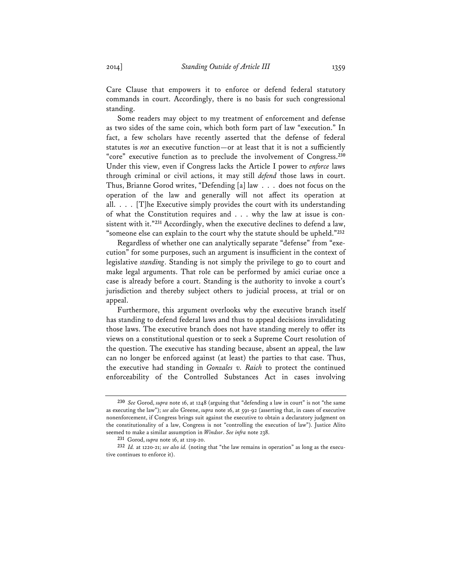Care Clause that empowers it to enforce or defend federal statutory commands in court. Accordingly, there is no basis for such congressional standing.

Some readers may object to my treatment of enforcement and defense as two sides of the same coin, which both form part of law "execution." In fact, a few scholars have recently asserted that the defense of federal statutes is *not* an executive function—or at least that it is not a sufficiently "core" executive function as to preclude the involvement of Congress.**<sup>230</sup>** Under this view, even if Congress lacks the Article I power to *enforce* laws through criminal or civil actions, it may still *defend* those laws in court. Thus, Brianne Gorod writes, "Defending [a] law . . . does not focus on the operation of the law and generally will not affect its operation at all. . . . [T]he Executive simply provides the court with its understanding of what the Constitution requires and . . . why the law at issue is consistent with it."**<sup>231</sup>** Accordingly, when the executive declines to defend a law, "someone else can explain to the court why the statute should be upheld."**<sup>232</sup>**

Regardless of whether one can analytically separate "defense" from "execution" for some purposes, such an argument is insufficient in the context of legislative *standing*. Standing is not simply the privilege to go to court and make legal arguments. That role can be performed by amici curiae once a case is already before a court. Standing is the authority to invoke a court's jurisdiction and thereby subject others to judicial process, at trial or on appeal.

Furthermore, this argument overlooks why the executive branch itself has standing to defend federal laws and thus to appeal decisions invalidating those laws. The executive branch does not have standing merely to offer its views on a constitutional question or to seek a Supreme Court resolution of the question. The executive has standing because, absent an appeal, the law can no longer be enforced against (at least) the parties to that case. Thus, the executive had standing in *Gonzales v. Raich* to protect the continued enforceability of the Controlled Substances Act in cases involving

**<sup>230</sup>** *See* Gorod, *supra* note 16, at 1248 (arguing that "defending a law in court" is not "the same as executing the law"); *see also* Greene, *supra* note 16, at 591-92 (asserting that, in cases of executive nonenforcement, if Congress brings suit against the executive to obtain a declaratory judgment on the constitutionality of a law, Congress is not "controlling the execution of law"). Justice Alito seemed to make a similar assumption in *Windsor*. *See infra* note 238.

**<sup>231</sup>** Gorod, *supra* note 16, at 1219-20.

**<sup>232</sup>** *Id.* at 1220-21; *see also id.* (noting that "the law remains in operation" as long as the executive continues to enforce it).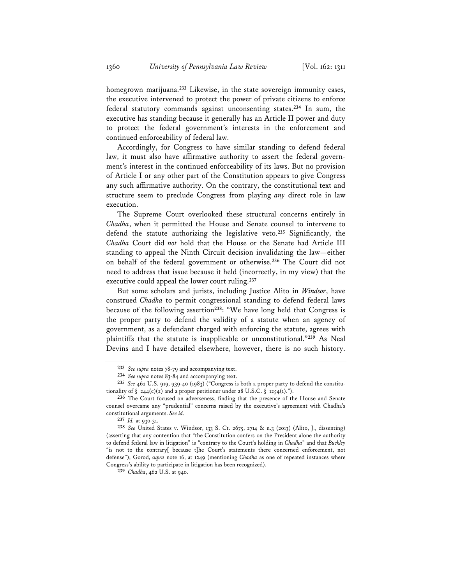homegrown marijuana.**<sup>233</sup>** Likewise, in the state sovereign immunity cases, the executive intervened to protect the power of private citizens to enforce federal statutory commands against unconsenting states.**<sup>234</sup>** In sum, the executive has standing because it generally has an Article II power and duty to protect the federal government's interests in the enforcement and continued enforceability of federal law.

Accordingly, for Congress to have similar standing to defend federal law, it must also have affirmative authority to assert the federal government's interest in the continued enforceability of its laws. But no provision of Article I or any other part of the Constitution appears to give Congress any such affirmative authority. On the contrary, the constitutional text and structure seem to preclude Congress from playing *any* direct role in law execution.

The Supreme Court overlooked these structural concerns entirely in *Chadha*, when it permitted the House and Senate counsel to intervene to defend the statute authorizing the legislative veto.**<sup>235</sup>** Significantly, the *Chadha* Court did *not* hold that the House or the Senate had Article III standing to appeal the Ninth Circuit decision invalidating the law—either on behalf of the federal government or otherwise.**<sup>236</sup>** The Court did not need to address that issue because it held (incorrectly, in my view) that the executive could appeal the lower court ruling.**<sup>237</sup>**

But some scholars and jurists, including Justice Alito in *Windsor*, have construed *Chadha* to permit congressional standing to defend federal laws because of the following assertion**<sup>238</sup>**: "We have long held that Congress is the proper party to defend the validity of a statute when an agency of government, as a defendant charged with enforcing the statute, agrees with plaintiffs that the statute is inapplicable or unconstitutional."**<sup>239</sup>** As Neal Devins and I have detailed elsewhere, however, there is no such history.

**<sup>233</sup>** *See supra* notes 78-79 and accompanying text.

**<sup>234</sup>** *See supra* notes 83-84 and accompanying text.

**<sup>235</sup>** *See* 462 U.S. 919, 939-40 (1983) ("Congress is both a proper party to defend the constitutionality of  $\S$  244(c)(2) and a proper petitioner under 28 U.S.C.  $\S$  1254(1).").

**<sup>236</sup>** The Court focused on adverseness, finding that the presence of the House and Senate counsel overcame any "prudential" concerns raised by the executive's agreement with Chadha's constitutional arguments. *See id.*

**<sup>237</sup>** *Id.* at 930-31.

**<sup>238</sup>** *See* United States v. Windsor, 133 S. Ct. 2675, 2714 & n.3 (2013) (Alito, J., dissenting) (asserting that any contention that "the Constitution confers on the President alone the authority to defend federal law in litigation" is "contrary to the Court's holding in *Chadha*" and that *Buckley* "is not to the contrary[ because t]he Court's statements there concerned enforcement, not defense"); Gorod, *supra* note 16, at 1249 (mentioning *Chadha* as one of repeated instances where Congress's ability to participate in litigation has been recognized).

**<sup>239</sup>** *Chadha*, 462 U.S. at 940.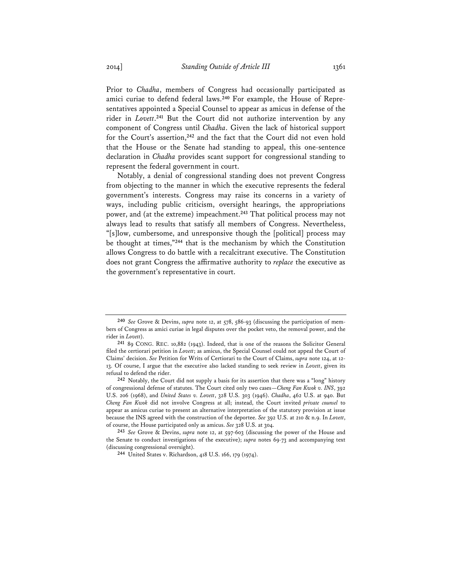Prior to *Chadha*, members of Congress had occasionally participated as amici curiae to defend federal laws.**240** For example, the House of Representatives appointed a Special Counsel to appear as amicus in defense of the rider in *Lovett*. **<sup>241</sup>** But the Court did not authorize intervention by any component of Congress until *Chadha*. Given the lack of historical support for the Court's assertion,**<sup>242</sup>** and the fact that the Court did not even hold that the House or the Senate had standing to appeal, this one-sentence declaration in *Chadha* provides scant support for congressional standing to represent the federal government in court.

Notably, a denial of congressional standing does not prevent Congress from objecting to the manner in which the executive represents the federal government's interests. Congress may raise its concerns in a variety of ways, including public criticism, oversight hearings, the appropriations power, and (at the extreme) impeachment.**<sup>243</sup>** That political process may not always lead to results that satisfy all members of Congress. Nevertheless, "[s]low, cumbersome, and unresponsive though the [political] process may be thought at times,"**<sup>244</sup>** that is the mechanism by which the Constitution allows Congress to do battle with a recalcitrant executive. The Constitution does not grant Congress the affirmative authority to *replace* the executive as the government's representative in court.

**243** *See* Grove & Devins, *supra* note 12, at 597-603 (discussing the power of the House and the Senate to conduct investigations of the executive); *supra* notes 69-73 and accompanying text (discussing congressional oversight).

**<sup>240</sup>** *See* Grove & Devins, *supra* note 12, at 578, 586-93 (discussing the participation of members of Congress as amici curiae in legal disputes over the pocket veto, the removal power, and the rider in *Lovett*).

**<sup>241</sup>** 89 CONG. REC. 10,882 (1943). Indeed, that is one of the reasons the Solicitor General filed the certiorari petition in *Lovett*; as amicus, the Special Counsel could not appeal the Court of Claims' decision. *See* Petition for Writs of Certiorari to the Court of Claims, *supra* note 124, at 12- 13. Of course, I argue that the executive also lacked standing to seek review in *Lovett*, given its refusal to defend the rider.

**<sup>242</sup>** Notably, the Court did not supply a basis for its assertion that there was a "long" history of congressional defense of statutes. The Court cited only two cases—*Cheng Fan Kwok v. INS*, 392 U.S. 206 (1968), and *United States v. Lovett*, 328 U.S. 303 (1946). *Chadha*, 462 U.S. at 940. But *Cheng Fan Kwok* did not involve Congress at all; instead, the Court invited *private counsel* to appear as amicus curiae to present an alternative interpretation of the statutory provision at issue because the INS agreed with the construction of the deportee. *See* 392 U.S. at 210 & n.9. In *Lovett*, of course, the House participated only as amicus. *See* 328 U.S. at 304.

**<sup>244</sup>** United States v. Richardson, 418 U.S. 166, 179 (1974).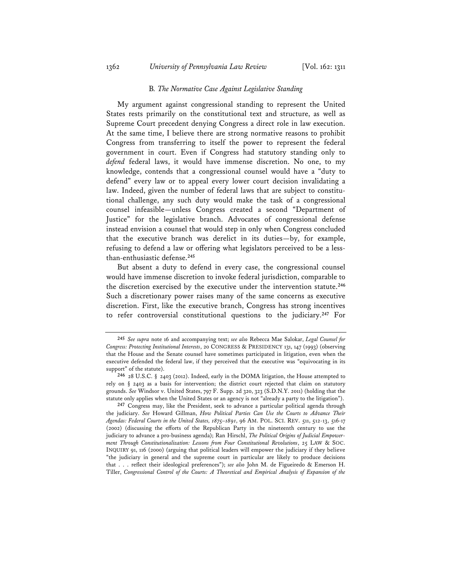# B*. The Normative Case Against Legislative Standing*

My argument against congressional standing to represent the United States rests primarily on the constitutional text and structure, as well as Supreme Court precedent denying Congress a direct role in law execution. At the same time, I believe there are strong normative reasons to prohibit Congress from transferring to itself the power to represent the federal government in court. Even if Congress had statutory standing only to *defend* federal laws, it would have immense discretion. No one, to my knowledge, contends that a congressional counsel would have a "duty to defend" every law or to appeal every lower court decision invalidating a law. Indeed, given the number of federal laws that are subject to constitutional challenge, any such duty would make the task of a congressional counsel infeasible—unless Congress created a second "Department of Justice" for the legislative branch. Advocates of congressional defense instead envision a counsel that would step in only when Congress concluded that the executive branch was derelict in its duties—by, for example, refusing to defend a law or offering what legislators perceived to be a lessthan-enthusiastic defense.**<sup>245</sup>**

But absent a duty to defend in every case, the congressional counsel would have immense discretion to invoke federal jurisdiction, comparable to the discretion exercised by the executive under the intervention statute.**<sup>246</sup>** Such a discretionary power raises many of the same concerns as executive discretion. First, like the executive branch, Congress has strong incentives to refer controversial constitutional questions to the judiciary.**<sup>247</sup>** For

**<sup>245</sup>** *See supra* note 16 and accompanying text; *see also* Rebecca Mae Salokar, *Legal Counsel for Congress: Protecting Institutional Interests*, 20 CONGRESS & PRESIDENCY 131, 147 (1993) (observing that the House and the Senate counsel have sometimes participated in litigation, even when the executive defended the federal law, if they perceived that the executive was "equivocating in its support" of the statute).

**<sup>246</sup>** 28 U.S.C. § 2403 (2012). Indeed, early in the DOMA litigation, the House attempted to rely on § 2403 as a basis for intervention; the district court rejected that claim on statutory grounds. *See* Windsor v. United States, 797 F. Supp. 2d 320, 323 (S.D.N.Y. 2011) (holding that the statute only applies when the United States or an agency is not "already a party to the litigation").

**<sup>247</sup>** Congress may, like the President, seek to advance a particular political agenda through the judiciary. *See* Howard Gillman, *How Political Parties Can Use the Courts to Advance Their Agendas: Federal Courts in the United States, 1875–1891*, 96 AM. POL. SCI. REV. 511, 512-13, 516-17 (2002) (discussing the efforts of the Republican Party in the nineteenth century to use the judiciary to advance a pro-business agenda); Ran Hirschl, *The Political Origins of Judicial Empowerment Through Constitutionalization: Lessons from Four Constitutional Revolutions*, 25 LAW & SOC. INQUIRY 91, 116 (2000) (arguing that political leaders will empower the judiciary if they believe "the judiciary in general and the supreme court in particular are likely to produce decisions that . . . reflect their ideological preferences"); *see also* John M. de Figueiredo & Emerson H. Tiller, *Congressional Control of the Courts: A Theoretical and Empirical Analysis of Expansion of the*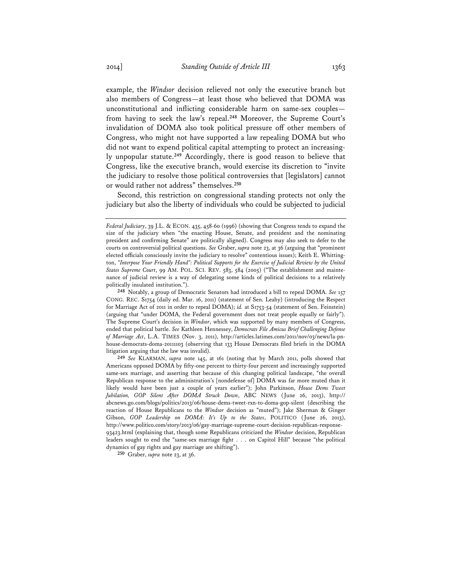example, the *Windsor* decision relieved not only the executive branch but also members of Congress—at least those who believed that DOMA was unconstitutional and inflicting considerable harm on same-sex couples from having to seek the law's repeal.**<sup>248</sup>** Moreover, the Supreme Court's invalidation of DOMA also took political pressure off other members of Congress, who might not have supported a law repealing DOMA but who did not want to expend political capital attempting to protect an increasingly unpopular statute.**<sup>249</sup>** Accordingly, there is good reason to believe that Congress, like the executive branch, would exercise its discretion to "invite the judiciary to resolve those political controversies that [legislators] cannot or would rather not address" themselves.**<sup>250</sup>**

Second, this restriction on congressional standing protects not only the judiciary but also the liberty of individuals who could be subjected to judicial

**249** *See* KLARMAN, *supra* note 145, at 161 (noting that by March 2011, polls showed that Americans opposed DOMA by fifty-one percent to thirty-four percent and increasingly supported same-sex marriage, and asserting that because of this changing political landscape, "the overall Republican response to the administration's [nondefense of] DOMA was far more muted than it likely would have been just a couple of years earlier"); John Parkinson, *House Dems Tweet Jubilation, GOP Silent After DOMA Struck Down*, ABC NEWS (June 26, 2013), http:// abcnews.go.com/blogs/politics/2013/06/house-dems-tweet-rxn-to-doma-gop-silent (describing the reaction of House Republicans to the *Windsor* decision as "muted"); Jake Sherman & Ginger Gibson, *GOP Leadership on DOMA: It's Up to the States*, POLITICO (June 26, 2013), http://www.politico.com/story/2013/06/gay-marriage-supreme-court-decision-republican-response-93423.html (explaining that, though some Republicans criticized the *Windsor* decision, Republican leaders sought to end the "same-sex marriage fight . . . on Capitol Hill" because "the political dynamics of gay rights and gay marriage are shifting").

**250** Graber, *supra* note 23, at 36.

*Federal Judiciary*, 39 J.L. & ECON. 435, 458-60 (1996) (showing that Congress tends to expand the size of the judiciary when "the enacting House, Senate, and president and the nominating president and confirming Senate" are politically aligned). Congress may also seek to defer to the courts on controversial political questions. *See* Graber, *supra* note 23, at 36 (arguing that "prominent elected officials consciously invite the judiciary to resolve" contentious issues); Keith E. Whittington, *"Interpose Your Friendly Hand": Political Supports for the Exercise of Judicial Review by the United States Supreme Court*, 99 AM. POL. SCI. REV. 583, 584 (2005) ("The establishment and maintenance of judicial review is a way of delegating some kinds of political decisions to a relatively politically insulated institution.").

**<sup>248</sup>** Notably, a group of Democratic Senators had introduced a bill to repeal DOMA. *See* 157 CONG. REC. S1754 (daily ed. Mar. 16, 2011) (statement of Sen. Leahy) (introducing the Respect for Marriage Act of 2011 in order to repeal DOMA); *id.* at S1753-54 (statement of Sen. Feinstein) (arguing that "under DOMA, the Federal government does not treat people equally or fairly"). The Supreme Court's decision in *Windsor*, which was supported by many members of Congress, ended that political battle. *See* Kathleen Hennessey, *Democrats File Amicus Brief Challenging Defense of Marriage Act*, L.A. TIMES (Nov. 3, 2011), http://articles.latimes.com/2011/nov/03/news/la-pnhouse-democrats-doma-20111103 (observing that 133 House Democrats filed briefs in the DOMA litigation arguing that the law was invalid).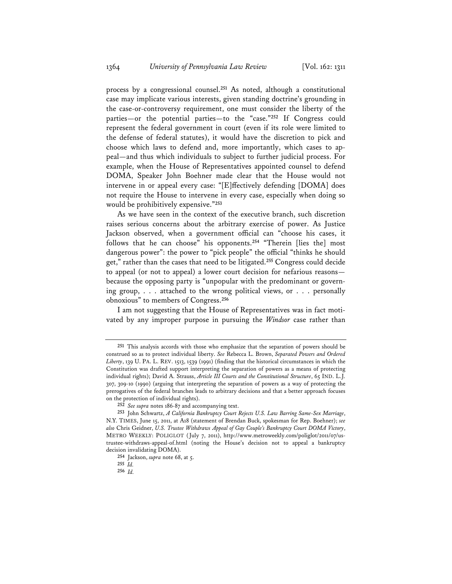process by a congressional counsel.**<sup>251</sup>** As noted, although a constitutional case may implicate various interests, given standing doctrine's grounding in the case-or-controversy requirement, one must consider the liberty of the parties—or the potential parties—to the "case."**<sup>252</sup>** If Congress could represent the federal government in court (even if its role were limited to the defense of federal statutes), it would have the discretion to pick and choose which laws to defend and, more importantly, which cases to appeal—and thus which individuals to subject to further judicial process. For example, when the House of Representatives appointed counsel to defend DOMA, Speaker John Boehner made clear that the House would not intervene in or appeal every case: "[E]ffectively defending [DOMA] does not require the House to intervene in every case, especially when doing so would be prohibitively expensive."**<sup>253</sup>**

As we have seen in the context of the executive branch, such discretion raises serious concerns about the arbitrary exercise of power. As Justice Jackson observed, when a government official can "choose his cases, it follows that he can choose" his opponents.**<sup>254</sup>** "Therein [lies the] most dangerous power": the power to "pick people" the official "thinks he should get," rather than the cases that need to be litigated.**<sup>255</sup>** Congress could decide to appeal (or not to appeal) a lower court decision for nefarious reasons because the opposing party is "unpopular with the predominant or governing group, . . . attached to the wrong political views, or . . . personally obnoxious" to members of Congress.**<sup>256</sup>**

I am not suggesting that the House of Representatives was in fact motivated by any improper purpose in pursuing the *Windsor* case rather than

**<sup>251</sup>** This analysis accords with those who emphasize that the separation of powers should be construed so as to protect individual liberty. *See* Rebecca L. Brown, *Separated Powers and Ordered Liberty*, 139 U. PA. L. REV. 1513, 1539 (1991) (finding that the historical circumstances in which the Constitution was drafted support interpreting the separation of powers as a means of protecting individual rights); David A. Strauss, *Article III Courts and the Constitutional Structure*, 65 IND. L.J. 307, 309-10 (1990) (arguing that interpreting the separation of powers as a way of protecting the prerogatives of the federal branches leads to arbitrary decisions and that a better approach focuses on the protection of individual rights).

**<sup>252</sup>** *See supra* notes 186-87 and accompanying text.

**<sup>253</sup>** John Schwartz, *A California Bankruptcy Court Rejects U.S. Law Barring Same-Sex Marriage*, N.Y. TIMES, June 15, 2011, at A18 (statement of Brendan Buck, spokesman for Rep. Boehner); *see also* Chris Geidner, *U.S. Trustee Withdraws Appeal of Gay Couple's Bankruptcy Court DOMA Victory*, METRO WEEKLY: POLIGLOT (July 7, 2011), http://www.metroweekly.com/poliglot/2011/07/ustrustee-withdraws-appeal-of.html (noting the House's decision not to appeal a bankruptcy decision invalidating DOMA).

**<sup>254</sup>** Jackson, *supra* note 68, at 5.

**<sup>255</sup>** *Id.* **256** *Id.*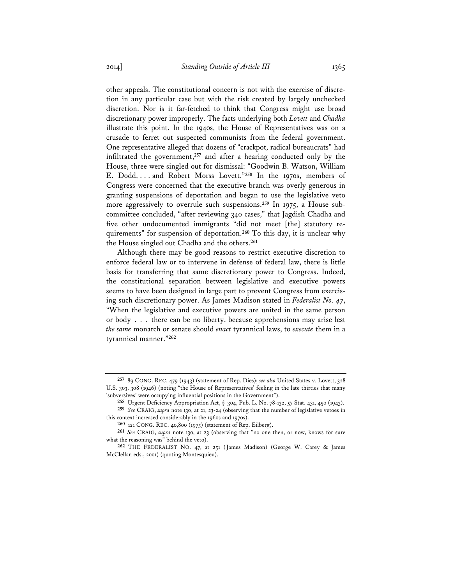other appeals. The constitutional concern is not with the exercise of discretion in any particular case but with the risk created by largely unchecked discretion. Nor is it far-fetched to think that Congress might use broad discretionary power improperly. The facts underlying both *Lovett* and *Chadha* illustrate this point. In the 1940s, the House of Representatives was on a crusade to ferret out suspected communists from the federal government. One representative alleged that dozens of "crackpot, radical bureaucrats" had infiltrated the government,**<sup>257</sup>** and after a hearing conducted only by the House, three were singled out for dismissal: "Goodwin B. Watson, William E. Dodd, . . . and Robert Morss Lovett."**<sup>258</sup>** In the 1970s, members of Congress were concerned that the executive branch was overly generous in granting suspensions of deportation and began to use the legislative veto more aggressively to overrule such suspensions.**259** In 1975, a House subcommittee concluded, "after reviewing 340 cases," that Jagdish Chadha and five other undocumented immigrants "did not meet [the] statutory requirements" for suspension of deportation.**<sup>260</sup>** To this day, it is unclear why the House singled out Chadha and the others.**<sup>261</sup>**

Although there may be good reasons to restrict executive discretion to enforce federal law or to intervene in defense of federal law, there is little basis for transferring that same discretionary power to Congress. Indeed, the constitutional separation between legislative and executive powers seems to have been designed in large part to prevent Congress from exercising such discretionary power. As James Madison stated in *Federalist No. 47*, "When the legislative and executive powers are united in the same person or body . . . there can be no liberty, because apprehensions may arise lest *the same* monarch or senate should *enact* tyrannical laws, to *execute* them in a tyrannical manner."**<sup>262</sup>**

**<sup>257</sup>** 89 CONG. REC. 479 (1943) (statement of Rep. Dies); *see also* United States v. Lovett, 328 U.S. 303, 308 (1946) (noting "the House of Representatives' feeling in the late thirties that many 'subversives' were occupying influential positions in the Government").

**<sup>258</sup>** Urgent Deficiency Appropriation Act, § 304, Pub. L. No. 78-132, 57 Stat. 431, 450 (1943). **259** *See* CRAIG, *supra* note 130, at 21, 23-24 (observing that the number of legislative vetoes in

this context increased considerably in the 1960s and 1970s).

**<sup>260</sup>** 121 CONG. REC. 40,800 (1975) (statement of Rep. Eilberg).

**<sup>261</sup>** *See* CRAIG, *supra* note 130, at 23 (observing that "no one then, or now, knows for sure what the reasoning was" behind the veto).

**<sup>262</sup>** THE FEDERALIST NO. 47, at 251 (James Madison) (George W. Carey & James McClellan eds., 2001) (quoting Montesquieu).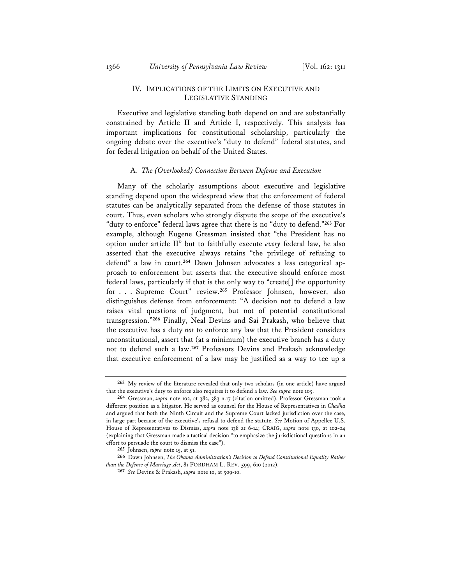# IV. IMPLICATIONS OF THE LIMITS ON EXECUTIVE AND LEGISLATIVE STANDING

Executive and legislative standing both depend on and are substantially constrained by Article II and Article I, respectively. This analysis has important implications for constitutional scholarship, particularly the ongoing debate over the executive's "duty to defend" federal statutes, and for federal litigation on behalf of the United States.

#### A*. The (Overlooked) Connection Between Defense and Execution*

Many of the scholarly assumptions about executive and legislative standing depend upon the widespread view that the enforcement of federal statutes can be analytically separated from the defense of those statutes in court. Thus, even scholars who strongly dispute the scope of the executive's "duty to enforce" federal laws agree that there is no "duty to defend."**<sup>263</sup>** For example, although Eugene Gressman insisted that "the President has no option under article II" but to faithfully execute *every* federal law, he also asserted that the executive always retains "the privilege of refusing to defend" a law in court.**264** Dawn Johnsen advocates a less categorical approach to enforcement but asserts that the executive should enforce most federal laws, particularly if that is the only way to "create[] the opportunity for . . . Supreme Court" review.**<sup>265</sup>** Professor Johnsen, however, also distinguishes defense from enforcement: "A decision not to defend a law raises vital questions of judgment, but not of potential constitutional transgression."**<sup>266</sup>** Finally, Neal Devins and Sai Prakash, who believe that the executive has a duty *not* to enforce any law that the President considers unconstitutional, assert that (at a minimum) the executive branch has a duty not to defend such a law.**<sup>267</sup>** Professors Devins and Prakash acknowledge that executive enforcement of a law may be justified as a way to tee up a

**<sup>263</sup>** My review of the literature revealed that only two scholars (in one article) have argued that the executive's duty to enforce also requires it to defend a law. *See supra* note 105.

**<sup>264</sup>** Gressman, *supra* note 102, at 382, 383 n.17 (citation omitted). Professor Gressman took a different position as a litigator. He served as counsel for the House of Representatives in *Chadha* and argued that both the Ninth Circuit and the Supreme Court lacked jurisdiction over the case, in large part because of the executive's refusal to defend the statute. *See* Motion of Appellee U.S. House of Representatives to Dismiss, *supra* note 138 at 6-14; CRAIG, *supra* note 130, at 102-04 (explaining that Gressman made a tactical decision "to emphasize the jurisdictional questions in an effort to persuade the court to dismiss the case").

**<sup>265</sup>** Johnsen, *supra* note 15, at 51.

**<sup>266</sup>** Dawn Johnsen, *The Obama Administration's Decision to Defend Constitutional Equality Rather than the Defense of Marriage Act*, 81 FORDHAM L. REV. 599, 610 (2012).

**<sup>267</sup>** *See* Devins & Prakash, *supra* note 10, at 509-10.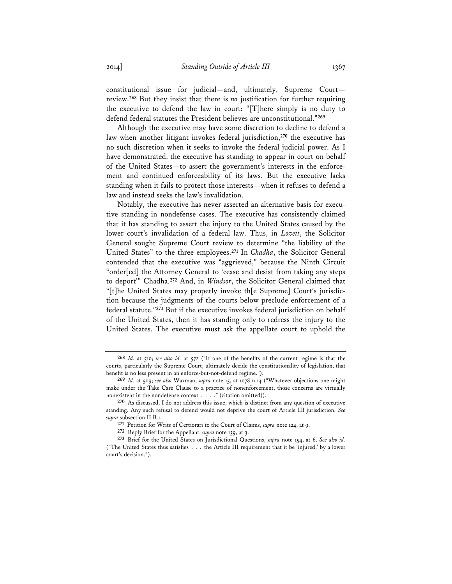constitutional issue for judicial—and, ultimately, Supreme Court review.**<sup>268</sup>** But they insist that there is *no* justification for further requiring the executive to defend the law in court: "[T]here simply is no duty to defend federal statutes the President believes are unconstitutional."**<sup>269</sup>**

Although the executive may have some discretion to decline to defend a law when another litigant invokes federal jurisdiction,**<sup>270</sup>** the executive has no such discretion when it seeks to invoke the federal judicial power. As I have demonstrated, the executive has standing to appear in court on behalf of the United States—to assert the government's interests in the enforcement and continued enforceability of its laws. But the executive lacks standing when it fails to protect those interests—when it refuses to defend a law and instead seeks the law's invalidation.

Notably, the executive has never asserted an alternative basis for executive standing in nondefense cases. The executive has consistently claimed that it has standing to assert the injury to the United States caused by the lower court's invalidation of a federal law. Thus, in *Lovett*, the Solicitor General sought Supreme Court review to determine "the liability of the United States" to the three employees.**<sup>271</sup>** In *Chadha*, the Solicitor General contended that the executive was "aggrieved," because the Ninth Circuit "order[ed] the Attorney General to 'cease and desist from taking any steps to deport'" Chadha.**<sup>272</sup>** And, in *Windsor*, the Solicitor General claimed that "[t]he United States may properly invoke th[e Supreme] Court's jurisdiction because the judgments of the courts below preclude enforcement of a federal statute."**<sup>273</sup>** But if the executive invokes federal jurisdiction on behalf of the United States, then it has standing only to redress the injury to the United States. The executive must ask the appellate court to uphold the

**<sup>268</sup>** *Id.* at 510; *see also id.* at 572 ("If one of the benefits of the current regime is that the courts, particularly the Supreme Court, ultimately decide the constitutionality of legislation, that benefit is no less present in an enforce-but-not-defend regime.").

**<sup>269</sup>** *Id.* at 509; *see also* Waxman, *supra* note 15, at 1078 n.14 ("Whatever objections one might make under the Take Care Clause to a practice of nonenforcement, those concerns are virtually nonexistent in the nondefense context . . . ." (citation omitted)).

**<sup>270</sup>** As discussed, I do not address this issue, which is distinct from any question of executive standing. Any such refusal to defend would not deprive the court of Article III jurisdiction. *See supra* subsection II.B.1.

**<sup>271</sup>** Petition for Writs of Certiorari to the Court of Claims, *supra* note 124, at 9.

**<sup>272</sup>** Reply Brief for the Appellant, *supra* note 139, at 3.

**<sup>273</sup>** Brief for the United States on Jurisdictional Questions, *supra* note 154, at 6. *See also id.* ("The United States thus satisfies . . . the Article III requirement that it be 'injured,' by a lower court's decision.").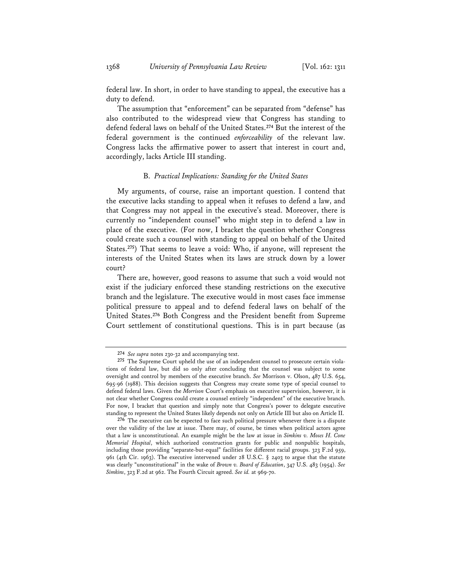federal law. In short, in order to have standing to appeal, the executive has a duty to defend.

The assumption that "enforcement" can be separated from "defense" has also contributed to the widespread view that Congress has standing to defend federal laws on behalf of the United States.**<sup>274</sup>** But the interest of the federal government is the continued *enforceability* of the relevant law. Congress lacks the affirmative power to assert that interest in court and, accordingly, lacks Article III standing.

# B. *Practical Implications: Standing for the United States*

My arguments, of course, raise an important question. I contend that the executive lacks standing to appeal when it refuses to defend a law, and that Congress may not appeal in the executive's stead. Moreover, there is currently no "independent counsel" who might step in to defend a law in place of the executive. (For now, I bracket the question whether Congress could create such a counsel with standing to appeal on behalf of the United States.**<sup>275</sup>**) That seems to leave a void: Who, if anyone, will represent the interests of the United States when its laws are struck down by a lower court?

There are, however, good reasons to assume that such a void would not exist if the judiciary enforced these standing restrictions on the executive branch and the legislature. The executive would in most cases face immense political pressure to appeal and to defend federal laws on behalf of the United States.**<sup>276</sup>** Both Congress and the President benefit from Supreme Court settlement of constitutional questions. This is in part because (as

**<sup>274</sup>** *See supra* notes 230-32 and accompanying text.

**<sup>275</sup>** The Supreme Court upheld the use of an independent counsel to prosecute certain violations of federal law, but did so only after concluding that the counsel was subject to some oversight and control by members of the executive branch. *See* Morrison v. Olson, 487 U.S. 654, 695-96 (1988). This decision suggests that Congress may create some type of special counsel to defend federal laws. Given the *Morrison* Court's emphasis on executive supervision, however, it is not clear whether Congress could create a counsel entirely "independent" of the executive branch. For now, I bracket that question and simply note that Congress's power to delegate executive standing to represent the United States likely depends not only on Article III but also on Article II.

**<sup>276</sup>** The executive can be expected to face such political pressure whenever there is a dispute over the validity of the law at issue. There may, of course, be times when political actors agree that a law is unconstitutional. An example might be the law at issue in *Simkins v. Moses H. Cone Memorial Hospital*, which authorized construction grants for public and nonpublic hospitals, including those providing "separate-but-equal" facilities for different racial groups. 323 F.2d 959, 961 (4th Cir. 1963). The executive intervened under 28 U.S.C. § 2403 to argue that the statute was clearly "unconstitutional" in the wake of *Brown v. Board of Education*, 347 U.S. 483 (1954). *See Simkins*, 323 F.2d at 962. The Fourth Circuit agreed. *See id.* at 969-70.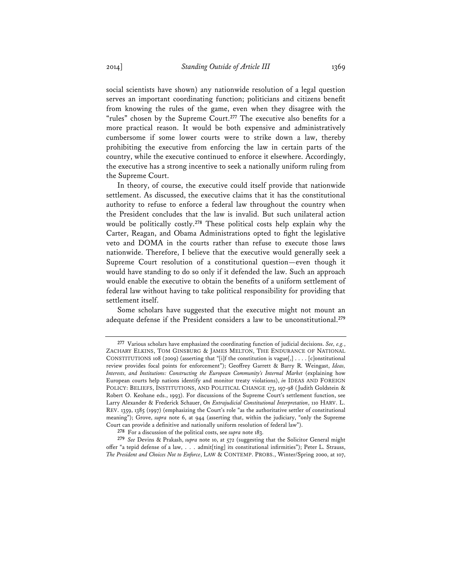social scientists have shown) any nationwide resolution of a legal question serves an important coordinating function; politicians and citizens benefit from knowing the rules of the game, even when they disagree with the "rules" chosen by the Supreme Court.**<sup>277</sup>** The executive also benefits for a more practical reason. It would be both expensive and administratively cumbersome if some lower courts were to strike down a law, thereby prohibiting the executive from enforcing the law in certain parts of the country, while the executive continued to enforce it elsewhere. Accordingly, the executive has a strong incentive to seek a nationally uniform ruling from the Supreme Court.

In theory, of course, the executive could itself provide that nationwide settlement. As discussed, the executive claims that it has the constitutional authority to refuse to enforce a federal law throughout the country when the President concludes that the law is invalid. But such unilateral action would be politically costly.**<sup>278</sup>** These political costs help explain why the Carter, Reagan, and Obama Administrations opted to fight the legislative veto and DOMA in the courts rather than refuse to execute those laws nationwide. Therefore, I believe that the executive would generally seek a Supreme Court resolution of a constitutional question—even though it would have standing to do so only if it defended the law. Such an approach would enable the executive to obtain the benefits of a uniform settlement of federal law without having to take political responsibility for providing that settlement itself.

Some scholars have suggested that the executive might not mount an adequate defense if the President considers a law to be unconstitutional.**<sup>279</sup>**

**<sup>277</sup>** Various scholars have emphasized the coordinating function of judicial decisions. *See, e.g.*, ZACHARY ELKINS, TOM GINSBURG & JAMES MELTON, THE ENDURANCE OF NATIONAL CONSTITUTIONS 108 (2009) (asserting that "[i]f the constitution is vague[,] . . . . [c]onstitutional review provides focal points for enforcement"); Geoffrey Garrett & Barry R. Weingast, *Ideas, Interests, and Institutions: Constructing the European Community's Internal Market* (explaining how European courts help nations identify and monitor treaty violations), *in* IDEAS AND FOREIGN POLICY: BELIEFS, INSTITUTIONS, AND POLITICAL CHANGE 173, 197-98 (Judith Goldstein & Robert O. Keohane eds., 1993). For discussions of the Supreme Court's settlement function, see Larry Alexander & Frederick Schauer, *On Extrajudicial Constitutional Interpretation*, 110 HARV. L. REV. 1359, 1385 (1997) (emphasizing the Court's role "as the authoritative settler of constitutional meaning"); Grove, *supra* note 6, at 944 (asserting that, within the judiciary, "only the Supreme Court can provide a definitive and nationally uniform resolution of federal law").

**<sup>278</sup>** For a discussion of the political costs, see *supra* note 183.

**<sup>279</sup>** *See* Devins & Prakash, *supra* note 10, at 572 (suggesting that the Solicitor General might offer "a tepid defense of a law, . . . admit[ting] its constitutional infirmities"); Peter L. Strauss, *The President and Choices Not to Enforce*, LAW & CONTEMP. PROBS., Winter/Spring 2000, at 107,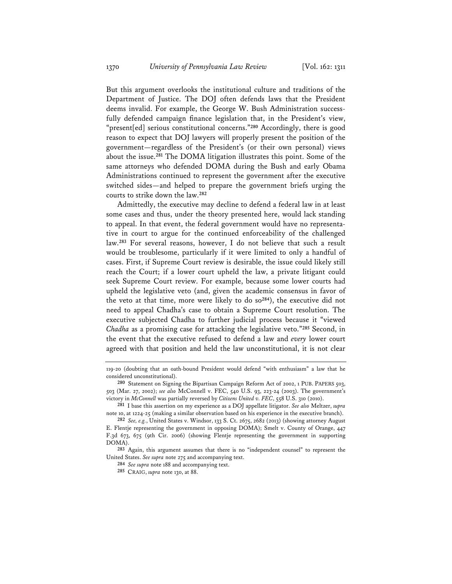But this argument overlooks the institutional culture and traditions of the Department of Justice. The DOJ often defends laws that the President deems invalid. For example, the George W. Bush Administration successfully defended campaign finance legislation that, in the President's view, "present[ed] serious constitutional concerns."**<sup>280</sup>** Accordingly, there is good reason to expect that DOJ lawyers will properly present the position of the government—regardless of the President's (or their own personal) views about the issue.**<sup>281</sup>** The DOMA litigation illustrates this point. Some of the same attorneys who defended DOMA during the Bush and early Obama Administrations continued to represent the government after the executive switched sides—and helped to prepare the government briefs urging the courts to strike down the law.**<sup>282</sup>**

Admittedly, the executive may decline to defend a federal law in at least some cases and thus, under the theory presented here, would lack standing to appeal. In that event, the federal government would have no representative in court to argue for the continued enforceability of the challenged law.**<sup>283</sup>** For several reasons, however, I do not believe that such a result would be troublesome, particularly if it were limited to only a handful of cases. First, if Supreme Court review is desirable, the issue could likely still reach the Court; if a lower court upheld the law, a private litigant could seek Supreme Court review. For example, because some lower courts had upheld the legislative veto (and, given the academic consensus in favor of the veto at that time, more were likely to do so**<sup>284</sup>**), the executive did not need to appeal Chadha's case to obtain a Supreme Court resolution. The executive subjected Chadha to further judicial process because it "viewed *Chadha* as a promising case for attacking the legislative veto."**<sup>285</sup>** Second, in the event that the executive refused to defend a law and *every* lower court agreed with that position and held the law unconstitutional, it is not clear

**284** *See supra* note 188 and accompanying text.

**285** CRAIG, *supra* note 130, at 88.

<sup>119-20 (</sup>doubting that an oath-bound President would defend "with enthusiasm" a law that he considered unconstitutional).

**<sup>280</sup>** Statement on Signing the Bipartisan Campaign Reform Act of 2002, 1 PUB. PAPERS 503, 503 (Mar. 27, 2002); *see also* McConnell v. FEC, 540 U.S. 93, 223-24 (2003). The government's victory in *McConnell* was partially reversed by *Citizens United v. FEC*, 558 U.S. 310 (2010).

**<sup>281</sup>** I base this assertion on my experience as a DOJ appellate litigator. *See also* Meltzer, *supra* note 10, at 1224-25 (making a similar observation based on his experience in the executive branch).

**<sup>282</sup>** *See, e.g.*, United States v. Windsor, 133 S. Ct. 2675, 2682 (2013) (showing attorney August E. Flentje representing the government in opposing DOMA); Smelt v. County of Orange, 447 F.3d 673, 675 (9th Cir. 2006) (showing Flentje representing the government in supporting DOMA).

**<sup>283</sup>** Again, this argument assumes that there is no "independent counsel" to represent the United States. *See supra* note 275 and accompanying text.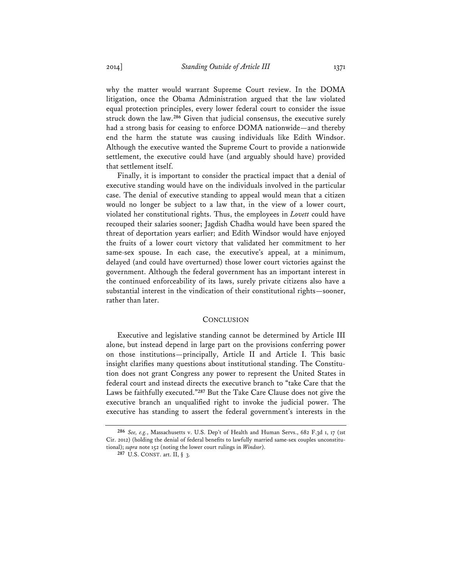why the matter would warrant Supreme Court review. In the DOMA litigation, once the Obama Administration argued that the law violated equal protection principles, every lower federal court to consider the issue struck down the law.**<sup>286</sup>** Given that judicial consensus, the executive surely had a strong basis for ceasing to enforce DOMA nationwide—and thereby end the harm the statute was causing individuals like Edith Windsor. Although the executive wanted the Supreme Court to provide a nationwide settlement, the executive could have (and arguably should have) provided that settlement itself.

Finally, it is important to consider the practical impact that a denial of executive standing would have on the individuals involved in the particular case. The denial of executive standing to appeal would mean that a citizen would no longer be subject to a law that, in the view of a lower court, violated her constitutional rights. Thus, the employees in *Lovett* could have recouped their salaries sooner; Jagdish Chadha would have been spared the threat of deportation years earlier; and Edith Windsor would have enjoyed the fruits of a lower court victory that validated her commitment to her same-sex spouse. In each case, the executive's appeal, at a minimum, delayed (and could have overturned) those lower court victories against the government. Although the federal government has an important interest in the continued enforceability of its laws, surely private citizens also have a substantial interest in the vindication of their constitutional rights—sooner, rather than later.

# **CONCLUSION**

Executive and legislative standing cannot be determined by Article III alone, but instead depend in large part on the provisions conferring power on those institutions—principally, Article II and Article I. This basic insight clarifies many questions about institutional standing. The Constitution does not grant Congress any power to represent the United States in federal court and instead directs the executive branch to "take Care that the Laws be faithfully executed."**<sup>287</sup>** But the Take Care Clause does not give the executive branch an unqualified right to invoke the judicial power. The executive has standing to assert the federal government's interests in the

**<sup>286</sup>** *See, e.g.*, Massachusetts v. U.S. Dep't of Health and Human Servs., 682 F.3d 1, 17 (1st Cir. 2012) (holding the denial of federal benefits to lawfully married same-sex couples unconstitutional); *supra* note 152 (noting the lower court rulings in *Windsor*).

**<sup>287</sup>** U.S. CONST. art. II, § 3.